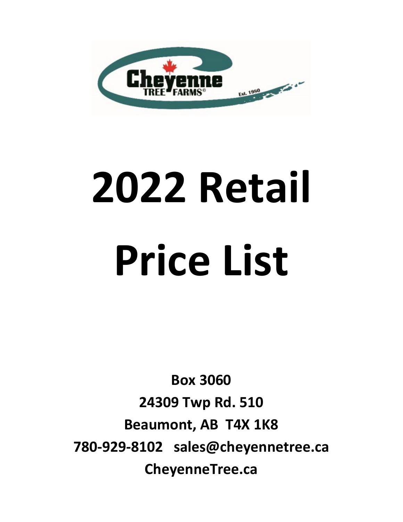

## **2022 Retail Price List**

**Box 3060 24309 Twp Rd. 510 Beaumont, AB T4X 1K8 780-929-8102 sales@cheyennetree.ca CheyenneTree.ca**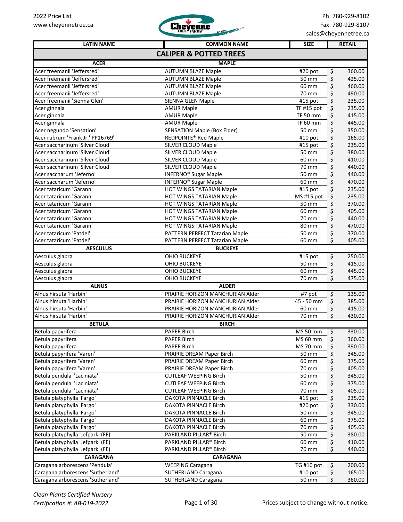

| <b>LATIN NAME</b>                      | <b>COMMON NAME</b>                                   | <b>SIZE</b>          |    | <b>RETAIL</b>    |
|----------------------------------------|------------------------------------------------------|----------------------|----|------------------|
|                                        | <b>CALIPER &amp; POTTED TREES</b>                    |                      |    |                  |
| <b>ACER</b>                            | <b>MAPLE</b>                                         |                      |    |                  |
| Acer freemanii 'Jeffersred'            | <b>AUTUMN BLAZE Maple</b>                            | #20 pot              | \$ | 360.00           |
| Acer freemanii 'Jeffersred'            | <b>AUTUMN BLAZE Maple</b>                            | 50 mm                | \$ | 425.00           |
| Acer freemanii 'Jeffersred'            | <b>AUTUMN BLAZE Maple</b>                            | 60 mm                | \$ | 460.00           |
| Acer freemanii 'Jeffersred'            | <b>AUTUMN BLAZE Maple</b>                            | 70 mm                | \$ | 490.00           |
| Acer freemanii 'Sienna Glen'           | <b>SIENNA GLEN Maple</b>                             | #15 pot              | \$ | 235.00           |
| Acer ginnala                           | <b>AMUR Maple</b>                                    | TF #15 pot           | \$ | 235.00           |
| Acer ginnala                           | <b>AMUR Maple</b>                                    | <b>TF 50 mm</b>      | \$ | 415.00           |
| Acer ginnala                           | <b>AMUR Maple</b>                                    | TF 60 mm             | \$ | 445.00           |
| Acer negundo 'Sensation'               | <b>SENSATION Maple (Box Elder)</b>                   | 50 mm                | \$ | 350.00           |
| Acer rubrum 'Frank Jr.' PP16769'       | REDPOINTE <sup>®</sup> Red Maple                     | #10 pot              | \$ | 165.00           |
| Acer saccharinum 'Silver Cloud'        | SILVER CLOUD Maple                                   | #15 pot              | \$ | 235.00           |
| Acer saccharinum 'Silver Cloud'        | <b>SILVER CLOUD Maple</b>                            | 50 mm                | \$ | 380.00           |
| Acer saccharinum 'Silver Cloud'        | <b>SILVER CLOUD Maple</b>                            | 60 mm                | \$ | 410.00           |
| Acer saccharinum 'Silver Cloud'        | SILVER CLOUD Maple                                   | 70 mm                | \$ | 440.00           |
| Acer saccharum 'Jeferno'               | <b>INFERNO® Sugar Maple</b>                          | 50 mm                | \$ | 440.00           |
| Acer saccharum 'Jeferno'               | <b>INFERNO® Sugar Maple</b>                          | 60 mm                | \$ | 470.00           |
| Acer tataricum 'Garann'                | HOT WINGS TATARIAN Maple                             | #15 pot              | \$ | 235.00           |
| Acer tataricum 'Garann'                |                                                      | MS #15 pot           | \$ | 235.00           |
| Acer tataricum 'Garann'                | HOT WINGS TATARIAN Maple<br>HOT WINGS TATARIAN Maple | 50 mm                | \$ | 370.00           |
| Acer tataricum 'Garann'                |                                                      | 60 mm                |    | 405.00           |
| Acer tataricum 'Garann'                | HOT WINGS TATARIAN Maple                             | 70 mm                | \$ | 440.00           |
| Acer tataricum 'Garann'                | HOT WINGS TATARIAN Maple                             |                      | \$ |                  |
|                                        | HOT WINGS TATARIAN Maple                             | 80 mm                | \$ | 470.00           |
| Acer tataricum 'Patdel'                | PATTERN PERFECT Tatarian Maple                       | 50 mm                | \$ | 370.00           |
| Acer tataricum 'Patdel'                | PATTERN PERFECT Tatarian Maple                       | 60 mm                | \$ | 405.00           |
| <b>AESCULUS</b>                        | <b>BUCKEYE</b>                                       |                      |    |                  |
| Aesculus glabra                        | OHIO BUCKEYE                                         | $\overline{415}$ pot | \$ | 250.00           |
| Aesculus glabra                        | OHIO BUCKEYE                                         | 50 mm                | \$ | 415.00           |
| Aesculus glabra                        | OHIO BUCKEYE                                         | 60 mm                | \$ | 445.00           |
| Aesculus glabra                        | OHIO BUCKEYE                                         | 70 mm                | Ś. | 475.00           |
| <b>ALNUS</b><br>Alnus hirsuta 'Harbin' | <b>ALDER</b><br>PRAIRIE HORIZON MANCHURIAN Alder     |                      |    |                  |
| Alnus hirsuta 'Harbin'                 | PRAIRIE HORIZON MANCHURIAN Alder                     | #7 pot<br>45 - 50 mm | \$ | 135.00<br>385.00 |
|                                        |                                                      |                      | \$ |                  |
| Alnus hirsuta 'Harbin'                 | PRAIRIE HORIZON MANCHURIAN Alder                     | 60 mm                | \$ | 415.00           |
| Alnus hirsuta 'Harbin'                 | PRAIRIE HORIZON MANCHURIAN Alder                     | 70 mm                | \$ | 430.00           |
| <b>BETULA</b>                          | <b>BIRCH</b>                                         |                      |    |                  |
| Betula papyrifera                      | PAPER Birch                                          | MS 50 mm             | \$ | 330.00<br>360.00 |
| Betula papyrifera                      | PAPER Birch                                          | MS 60 mm             | \$ |                  |
| Betula papyrifera                      | <b>PAPER Birch</b>                                   | MS 70 mm             | \$ | 390.00           |
| Betula papyrifera 'Varen'              | PRAIRIE DREAM Paper Birch                            | 50 mm                | \$ | 345.00           |
| Betula papyrifera 'Varen'              | PRAIRIE DREAM Paper Birch                            | 60 mm                | \$ | 375.00           |
| Betula papyrifera 'Varen'              | PRAIRIE DREAM Paper Birch                            | 70 mm                | \$ | 405.00           |
| Betula pendula 'Laciniata'             | <b>CUTLEAF WEEPING Birch</b>                         | 50 mm                | \$ | 345.00           |
| Betula pendula 'Laciniata'             | <b>CUTLEAF WEEPING Birch</b>                         | 60 mm                | \$ | 375.00           |
| Betula pendula 'Laciniata'             | <b>CUTLEAF WEEPING Birch</b>                         | 70 mm                | \$ | 405.00           |
| Betula platyphylla 'Fargo'             | DAKOTA PINNACLE Birch                                | #15 pot              | \$ | 235.00           |
| Betula platyphylla 'Fargo'             | DAKOTA PINNACLE Birch                                | #20 pot              | \$ | 330.00           |
| Betula platyphylla 'Fargo'             | DAKOTA PINNACLE Birch                                | 50 mm                | \$ | 345.00           |
| Betula platyphylla 'Fargo'             | DAKOTA PINNACLE Birch                                | 60 mm                | \$ | 375.00           |
| Betula platyphylla 'Fargo'             | DAKOTA PINNACLE Birch                                | 70 mm                | \$ | 405.00           |
| Betula platyphylla 'Jefpark' (FE)      | PARKLAND PILLAR® Birch                               | 50 mm                | \$ | 380.00           |
| Betula platyphylla 'Jefpark' (FE)      | PARKLAND PILLAR® Birch                               | 60 mm                | \$ | 410.00           |
| Betula platyphylla 'Jefpark' (FE)      | PARKLAND PILLAR® Birch                               | 70 mm                | \$ | 440.00           |
| <b>CARAGANA</b>                        | <b>CARAGANA</b>                                      |                      |    |                  |
| Caragana arborescens 'Pendula'         | <b>WEEPING Caragana</b>                              | TG #10 pot           | \$ | 200.00           |
| Caragana arborescens 'Sutherland'      | <b>SUTHERLAND Caragana</b>                           | #10 pot              | \$ | 165.00           |
| Caragana arborescens 'Sutherland'      | <b>SUTHERLAND Caragana</b>                           | 50 mm                | \$ | 360.00           |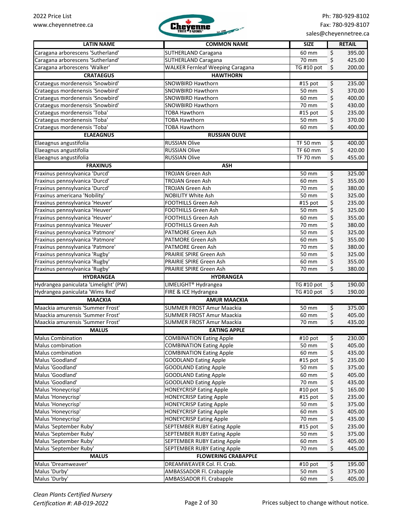

| <b>LATIN NAME</b>                     | <b>COMMON NAME</b>                      | <b>SIZE</b>          |         | <b>RETAIL</b> |
|---------------------------------------|-----------------------------------------|----------------------|---------|---------------|
| Caragana arborescens 'Sutherland'     | SUTHERLAND Caragana                     | 60 mm                | \$      | 395.00        |
| Caragana arborescens 'Sutherland'     | SUTHERLAND Caragana                     | 70 mm                | \$      | 425.00        |
| Caragana arborescens 'Walker'         | <b>WALKER Fernleaf Weeping Caragana</b> | TG #10 pot           | \$      | 200.00        |
| <b>CRATAEGUS</b>                      | <b>HAWTHORN</b>                         |                      |         |               |
| Crataegus mordenensis 'Snowbird'      | SNOWBIRD Hawthorn                       | $\overline{415}$ pot | \$      | 235.00        |
| Crataegus mordenensis 'Snowbird'      | <b>SNOWBIRD Hawthorn</b>                | 50 mm                | \$      | 370.00        |
| Crataegus mordenensis 'Snowbird'      | <b>SNOWBIRD Hawthorn</b>                | 60 mm                | \$      | 400.00        |
| Crataegus mordenensis 'Snowbird'      | <b>SNOWBIRD Hawthorn</b>                | 70 mm                | \$      | 430.00        |
| Crataegus mordenensis 'Toba'          | <b>TOBA Hawthorn</b>                    | #15 pot              | \$      | 235.00        |
| Crataegus mordenensis 'Toba'          | <b>TOBA Hawthorn</b>                    | 50 mm                | \$      | 370.00        |
| Crataegus mordenensis 'Toba'          | <b>TOBA Hawthorn</b>                    | 60 mm                | \$      | 400.00        |
| <b>ELAEAGNUS</b>                      | <b>RUSSIAN OLIVE</b>                    |                      |         |               |
| Elaeagnus angustifolia                | <b>RUSSIAN Olive</b>                    | <b>TF 50 mm</b>      | \$      | 400.00        |
| Elaeagnus angustifolia                | <b>RUSSIAN Olive</b>                    | TF 60 mm             | \$      | 420.00        |
| Elaeagnus angustifolia                | <b>RUSSIAN Olive</b>                    | <b>TF 70 mm</b>      | \$      | 455.00        |
| <b>FRAXINUS</b>                       | <b>ASH</b>                              |                      |         |               |
| Fraxinus pennsylvanica 'Durcd'        | <b>TROJAN Green Ash</b>                 | 50 mm                | \$      | 325.00        |
| Fraxinus pennsylvanica 'Durcd'        | <b>TROJAN Green Ash</b>                 | 60 mm                | \$      | 355.00        |
| Fraxinus pennsylvanica 'Durcd'        | <b>TROJAN Green Ash</b>                 | 70 mm                | \$      | 380.00        |
| Fraxinus americana 'Nobility'         | <b>NOBILITY White Ash</b>               | 50 mm                | \$      | 325.00        |
| Fraxinus pennsylvanica 'Heuver'       | <b>FOOTHILLS Green Ash</b>              | #15 pot              | \$      | 235.00        |
| Fraxinus pennsylvanica 'Heuver'       | <b>FOOTHILLS Green Ash</b>              | 50 mm                | \$      | 325.00        |
| Fraxinus pennsylvanica 'Heuver'       | <b>FOOTHILLS Green Ash</b>              | 60 mm                | \$      | 355.00        |
| Fraxinus pennsylvanica 'Heuver'       | FOOTHILLS Green Ash                     | 70 mm                | \$      | 380.00        |
| Fraxinus pennsylvanica 'Patmore'      | PATMORE Green Ash                       | 50 mm                | \$      | 325.00        |
| Fraxinus pennsylvanica 'Patmore'      | <b>PATMORE Green Ash</b>                | 60 mm                | \$      | 355.00        |
| Fraxinus pennsylvanica 'Patmore'      | <b>PATMORE Green Ash</b>                | 70 mm                | \$      | 380.00        |
| Fraxinus pennsylvanica 'Rugby'        | PRAIRIE SPIRE Green Ash                 | 50 mm                | \$      | 325.00        |
| Fraxinus pennsylvanica 'Rugby'        | PRAIRIE SPIRE Green Ash                 | 60 mm                | \$      | 355.00        |
| Fraxinus pennsylvanica 'Rugby'        | PRAIRIE SPIRE Green Ash                 | 70 mm                | \$      | 380.00        |
| <b>HYDRANGEA</b>                      | <b>HYDRANGEA</b>                        |                      |         |               |
| Hydrangea paniculata 'Limelight' (PW) | LIMELIGHT <sup>®</sup> Hydrangea        | TG #10 pot           | \$      | 190.00        |
| Hydrangea paniculata 'Wims Red'       | FIRE & ICE Hydrangea                    | TG #10 pot           | $\zeta$ | 190.00        |
| <b>MAACKIA</b>                        | <b>AMUR MAACKIA</b>                     |                      |         |               |
| Maackia amurensis 'Summer Frost'      | <b>SUMMER FROST Amur Maackia</b>        | 50 mm                | \$      | 375.00        |
| Maackia amurensis 'Summer Frost'      | <b>SUMMER FROST Amur Maackia</b>        | 60 mm                | \$      | 405.00        |
| Maackia amurensis 'Summer Frost'      | <b>SUMMER FROST Amur Maackia</b>        | 70 mm                | \$      | 435.00        |
| <b>MALUS</b>                          | <b>EATING APPLE</b>                     |                      |         |               |
| <b>Malus Combination</b>              | <b>COMBINATION Eating Apple</b>         | $#10$ pot            | \$      | 230.00        |
| Malus combination                     | <b>COMBINATION Eating Apple</b>         | 50 mm                | \$      | 405.00        |
| Malus combination                     | <b>COMBINATION Eating Apple</b>         | 60 mm                | \$      | 435.00        |
| Malus 'Goodland'                      | <b>GOODLAND Eating Apple</b>            | #15 pot              | \$      | 235.00        |
| Malus 'Goodland'                      | <b>GOODLAND Eating Apple</b>            | 50 mm                | \$      | 375.00        |
| Malus 'Goodland'                      | <b>GOODLAND Eating Apple</b>            | 60 mm                | \$      | 405.00        |
| Malus 'Goodland'                      | <b>GOODLAND Eating Apple</b>            | 70 mm                | \$      | 435.00        |
| Malus 'Honeycrisp'                    | <b>HONEYCRISP Eating Apple</b>          | $#10$ pot            | \$      | 165.00        |
| Malus 'Honeycrisp'                    | <b>HONEYCRISP Eating Apple</b>          | #15 pot              | \$      | 235.00        |
| Malus 'Honeycrisp'                    | <b>HONEYCRISP Eating Apple</b>          | 50 mm                | \$      | 375.00        |
| Malus 'Honeycrisp'                    | <b>HONEYCRISP Eating Apple</b>          | 60 mm                | \$      | 405.00        |
| Malus 'Honeycrisp'                    | <b>HONEYCRISP Eating Apple</b>          | 70 mm                | \$      | 435.00        |
| Malus 'September Ruby'                | SEPTEMBER RUBY Eating Apple             | #15 pot              | \$      | 235.00        |
| Malus 'September Ruby'                | SEPTEMBER RUBY Eating Apple             | 50 mm                | \$      | 375.00        |
| Malus 'September Ruby'                | SEPTEMBER RUBY Eating Apple             | 60 mm                | \$      | 405.00        |
| Malus 'September Ruby'                | <b>SEPTEMBER RUBY Eating Apple</b>      | 70 mm                | \$      | 445.00        |
| <b>MALUS</b>                          | <b>FLOWERING CRABAPPLE</b>              |                      |         |               |
| Malus 'Dreamweaver'                   | DREAMWEAVER Col. Fl. Crab.              | #10 pot              | \$      | 195.00        |
| Malus 'Durby'                         | AMBASSADOR Fl. Crabapple                | 50 mm                | \$      | 375.00        |
| Malus 'Durby'                         | AMBASSADOR Fl. Crabapple                | 60 mm                | \$      | 405.00        |
|                                       |                                         |                      |         |               |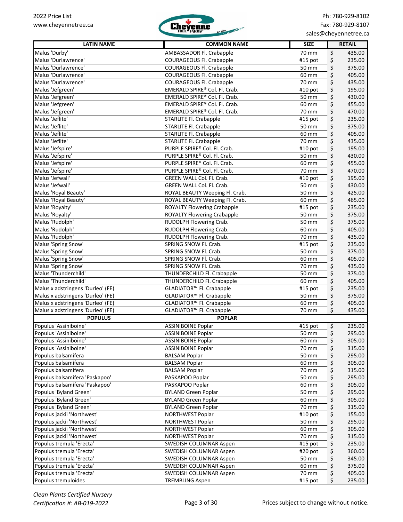

| <b>LATIN NAME</b>                 | <b>COMMON NAME</b>                 | <b>SIZE</b> |          | <b>RETAIL</b> |
|-----------------------------------|------------------------------------|-------------|----------|---------------|
| Malus 'Durby'                     | AMBASSADOR Fl. Crabapple           | 70 mm       | \$       | 435.00        |
| Malus 'Durlawrence'               | <b>COURAGEOUS Fl. Crabapple</b>    | #15 pot     | \$       | 235.00        |
| Malus 'Durlawrence'               | <b>COURAGEOUS Fl. Crabapple</b>    | 50 mm       | \$       | 375.00        |
| Malus 'Durlawrence'               | COURAGEOUS Fl. Crabapple           | 60 mm       | \$       | 405.00        |
| Malus 'Durlawrence'               | <b>COURAGEOUS Fl. Crabapple</b>    | 70 mm       | \$       | 435.00        |
| Malus 'Jefgreen'                  | EMERALD SPIRE® Col. Fl. Crab.      | #10 pot     | \$       | 195.00        |
| Malus 'Jefgreen'                  | EMERALD SPIRE® Col. Fl. Crab.      | 50 mm       | \$       | 430.00        |
| Malus 'Jefgreen'                  | EMERALD SPIRE® Col. Fl. Crab.      | 60 mm       | \$       | 455.00        |
| Malus 'Jefgreen'                  | EMERALD SPIRE® Col. Fl. Crab.      | 70 mm       | \$       | 470.00        |
| Malus 'Jeflite'                   | <b>STARLITE Fl. Crabapple</b>      | #15 pot     | \$       | 235.00        |
| Malus 'Jeflite'                   | <b>STARLITE Fl. Crabapple</b>      | 50 mm       | \$       | 375.00        |
| Malus 'Jeflite'                   | <b>STARLITE Fl. Crabapple</b>      | 60 mm       | \$       | 405.00        |
| Malus 'Jeflite'                   | <b>STARLITE Fl. Crabapple</b>      | 70 mm       | \$       | 435.00        |
| Malus 'Jefspire'                  | PURPLE SPIRE® Col. Fl. Crab.       | #10 pot     | \$       | 195.00        |
| Malus 'Jefspire'                  | PURPLE SPIRE® Col. Fl. Crab.       | 50 mm       | \$       | 430.00        |
| Malus 'Jefspire'                  | PURPLE SPIRE® Col. Fl. Crab.       | 60 mm       | \$       | 455.00        |
| Malus 'Jefspire'                  | PURPLE SPIRE® Col. Fl. Crab.       | 70 mm       | \$       | 470.00        |
| Malus 'Jefwall'                   | GREEN WALL Col. Fl. Crab.          | #10 pot     | \$       | 195.00        |
| Malus 'Jefwall'                   | GREEN WALL Col. Fl. Crab.          | 50 mm       | \$       | 430.00        |
| Malus 'Royal Beauty'              | ROYAL BEAUTY Weeping Fl. Crab.     | 50 mm       | \$       | 425.00        |
| Malus 'Royal Beauty'              | ROYAL BEAUTY Weeping Fl. Crab.     | 60 mm       | \$       | 465.00        |
| Malus 'Royalty'                   | <b>ROYALTY Flowering Crabapple</b> | #15 pot     | \$       | 235.00        |
| Malus 'Royalty'                   | <b>ROYALTY Flowering Crabapple</b> | 50 mm       | \$       | 375.00        |
| Malus 'Rudolph'                   | RUDOLPH Flowering Crab.            | 50 mm       | \$       | 375.00        |
| Malus 'Rudolph'                   | RUDOLPH Flowering Crab.            | 60 mm       | \$       | 405.00        |
| Malus 'Rudolph'                   | RUDOLPH Flowering Crab.            | 70 mm       | \$       | 435.00        |
| Malus 'Spring Snow'               | SPRING SNOW Fl. Crab.              | #15 pot     | \$       | 235.00        |
| Malus 'Spring Snow'               | SPRING SNOW Fl. Crab.              | 50 mm       | \$       | 375.00        |
| Malus 'Spring Snow'               | SPRING SNOW Fl. Crab.              | 60 mm       | \$       | 405.00        |
| Malus 'Spring Snow'               | SPRING SNOW Fl. Crab.              | 70 mm       | \$       | 435.00        |
| Malus 'Thunderchild'              | THUNDERCHILD Fl. Crabapple         | 50 mm       | \$       | 375.00        |
| Malus 'Thunderchild'              | THUNDERCHILD Fl. Crabapple         | 60 mm       | \$       | 405.00        |
| Malus x adstringens 'Durleo' (FE) | GLADIATOR™ Fl. Crabapple           | #15 pot     | \$       | 235.00        |
| Malus x adstringens 'Durleo' (FE) | GLADIATOR™ Fl. Crabapple           | 50 mm       | \$       | 375.00        |
| Malus x adstringens 'Durleo' (FE) | GLADIATOR™ Fl. Crabapple           | 60 mm       | \$       | 405.00        |
| Malus x adstringens 'Durleo' (FE) | GLADIATOR™ Fl. Crabapple           | 70 mm       | \$       | 435.00        |
| <b>POPULUS</b>                    | <b>POPLAR</b>                      |             |          |               |
| Populus 'Assiniboine'             | <b>ASSINIBOINE Poplar</b>          | #15 pot     | \$       | 235.00        |
| Populus 'Assiniboine'             | ASSINIBOINE Poplar                 | 50 mm       | $\sharp$ | 295.00        |
| Populus 'Assiniboine'             | <b>ASSINIBOINE Poplar</b>          | 60 mm       | \$       | 305.00        |
| Populus 'Assiniboine'             | <b>ASSINIBOINE Poplar</b>          | 70 mm       | \$       | 315.00        |
| Populus balsamifera               | <b>BALSAM Poplar</b>               | 50 mm       | \$       | 295.00        |
| Populus balsamifera               | <b>BALSAM Poplar</b>               | 60 mm       | \$       | 305.00        |
| Populus balsamifera               | <b>BALSAM Poplar</b>               | 70 mm       | \$       | 315.00        |
| Populus balsamifera 'Paskapoo'    | PASKAPOO Poplar                    | 50 mm       | \$       | 295.00        |
| Populus balsamifera 'Paskapoo'    | PASKAPOO Poplar                    | 60 mm       | \$       | 305.00        |
| Populus 'Byland Green'            | <b>BYLAND Green Poplar</b>         | 50 mm       | \$       | 295.00        |
| Populus 'Byland Green'            | <b>BYLAND Green Poplar</b>         | 60 mm       | \$       | 305.00        |
| Populus 'Byland Green'            | <b>BYLAND Green Poplar</b>         | 70 mm       | \$       | 315.00        |
| Populus jackii 'Northwest'        | NORTHWEST Poplar                   | $#10$ pot   | \$       | 155.00        |
| Populus jackii 'Northwest'        | <b>NORTHWEST Poplar</b>            | 50 mm       | \$       | 295.00        |
| Populus jackii 'Northwest'        | NORTHWEST Poplar                   | 60 mm       | \$       | 305.00        |
| Populus jackii 'Northwest'        | <b>NORTHWEST Poplar</b>            | 70 mm       | \$       | 315.00        |
| Populus tremula 'Erecta'          | SWEDISH COLUMNAR Aspen             | #15 pot     | \$       | 235.00        |
| Populus tremula 'Erecta'          | SWEDISH COLUMNAR Aspen             | #20 pot     | \$       | 360.00        |
| Populus tremula 'Erecta'          | SWEDISH COLUMNAR Aspen             | 50 mm       | \$       | 345.00        |
| Populus tremula 'Erecta'          | SWEDISH COLUMNAR Aspen             | 60 mm       | \$       | 375.00        |
| Populus tremula 'Erecta'          | SWEDISH COLUMNAR Aspen             | 70 mm       | \$       | 405.00        |
| Populus tremuloides               | <b>TREMBLING Aspen</b>             | #15 pot     | \$       | 235.00        |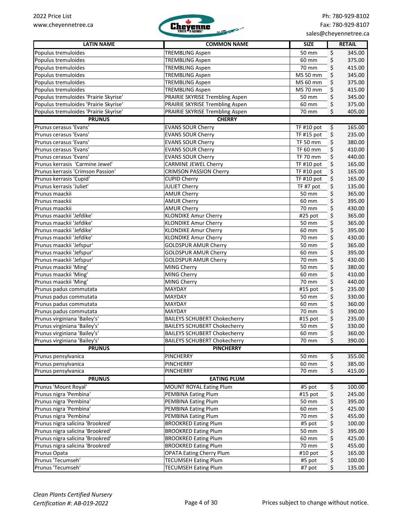

| <b>LATIN NAME</b>                     | <b>COMMON NAME</b>                  | <b>SIZE</b>            | <b>RETAIL</b> |        |
|---------------------------------------|-------------------------------------|------------------------|---------------|--------|
| Populus tremuloides                   | <b>TREMBLING Aspen</b>              | 50 mm                  | \$            | 345.00 |
| Populus tremuloides                   | <b>TREMBLING Aspen</b>              | 60 mm                  | \$            | 375.00 |
| Populus tremuloides                   | <b>TREMBLING Aspen</b>              | 70 mm                  | \$            | 415.00 |
| Populus tremuloides                   | <b>TREMBLING Aspen</b>              | MS 50 mm               | \$            | 345.00 |
| Populus tremuloides                   | <b>TREMBLING Aspen</b>              | $\overline{M}$ S 60 mm | \$            | 375.00 |
| Populus tremuloides                   | <b>TREMBLING Aspen</b>              | MS 70 mm               | \$            | 415.00 |
| Populus tremuloides 'Prairie Skyrise' | PRAIRIE SKYRISE Trembling Aspen     | 50 mm                  | \$            | 345.00 |
| Populus tremuloides 'Prairie Skyrise' | PRAIRIE SKYRISE Trembling Aspen     | 60 mm                  | \$            | 375.00 |
| Populus tremuloides 'Prairie Skyrise' | PRAIRIE SKYRISE Trembling Aspen     | 70 mm                  | \$            | 405.00 |
| <b>PRUNUS</b>                         | <b>CHERRY</b>                       |                        |               |        |
| Prunus cerasus 'Evans'                | <b>EVANS SOUR Cherry</b>            | TF #10 pot             | \$            | 165.00 |
| Prunus cerasus 'Evans'                | <b>EVANS SOUR Cherry</b>            | TF #15 pot             |               | 235.00 |
|                                       |                                     |                        | \$            |        |
| Prunus cerasus 'Evans'                | <b>EVANS SOUR Cherry</b>            | <b>TF 50 mm</b>        | \$            | 380.00 |
| Prunus cerasus 'Evans'                | <b>EVANS SOUR Cherry</b>            | <b>TF 60 mm</b>        | \$            | 410.00 |
| Prunus cerasus 'Evans'                | <b>EVANS SOUR Cherry</b>            | <b>TF 70 mm</b>        | \$            | 440.00 |
| Prunus kerrasis 'Carmine Jewel'       | <b>CARMINE JEWEL Cherry</b>         | TF #10 pot             | \$            | 165.00 |
| Prunus kerrasis 'Crimson Passion'     | <b>CRIMSON PASSION Cherry</b>       | TF #10 pot             | \$            | 165.00 |
| Prunus kerrasis 'Cupid'               | <b>CUPID Cherry</b>                 | TF #10 pot             | \$            | 165.00 |
| Prunus kerrasis 'Juliet'              | <b>JULIET Cherry</b>                | TF #7 pot              | \$            | 135.00 |
| Prunus maackii                        | <b>AMUR Cherry</b>                  | 50 mm                  | \$            | 365.00 |
| Prunus maackii                        | <b>AMUR Cherry</b>                  | 60 mm                  | \$            | 395.00 |
| Prunus maackii                        | <b>AMUR Cherry</b>                  | 70 mm                  | \$            | 430.00 |
| Prunus maackii 'Jefdike'              | <b>KLONDIKE Amur Cherry</b>         | #25 pot                | \$            | 365.00 |
| Prunus maackii 'Jefdike'              | <b>KLONDIKE Amur Cherry</b>         | 50 mm                  | \$            | 365.00 |
| Prunus maackii 'Jefdike'              | <b>KLONDIKE Amur Cherry</b>         | 60 mm                  | \$            | 395.00 |
| Prunus maackii 'Jefdike'              | <b>KLONDIKE Amur Cherry</b>         | 70 mm                  | \$            | 430.00 |
| Prunus maackii 'Jefspur'              | <b>GOLDSPUR AMUR Cherry</b>         | 50 mm                  | \$            | 365.00 |
| Prunus maackii 'Jefspur'              | <b>GOLDSPUR AMUR Cherry</b>         | 60 mm                  | \$            | 395.00 |
| Prunus maackii 'Jefspur'              | <b>GOLDSPUR AMUR Cherry</b>         | 70 mm                  | \$            | 430.00 |
| Prunus maackii 'Ming'                 | MING Cherry                         | 50 mm                  | \$            | 380.00 |
| Prunus maackii 'Ming'                 | MING Cherry                         | 60 mm                  |               | 410.00 |
|                                       |                                     |                        | \$            |        |
| Prunus maackii 'Ming'                 | MING Cherry                         | 70 mm                  | \$            | 440.00 |
| Prunus padus commutata                | MAYDAY                              | #15 pot                | \$            | 235.00 |
| Prunus padus commutata                | <b>MAYDAY</b>                       | 50 mm                  | \$            | 330.00 |
| Prunus padus commutata                | <b>MAYDAY</b>                       | 60 mm                  | \$            | 360.00 |
| Prunus padus commutata                | MAYDAY                              | 70 mm                  | \$            | 390.00 |
| Prunus virginiana 'Bailey's'          | <b>BAILEYS SCHUBERT Chokecherry</b> | #15 pot                | \$            | 235.00 |
| Prunus virginiana 'Bailey's'          | <b>BAILEYS SCHUBERT Chokecherry</b> | 50 mm                  | \$            | 330.00 |
| Prunus virginiana 'Bailey's'          | <b>BAILEYS SCHUBERT Chokecherry</b> | 60 mm                  | Ş             | 360.00 |
| Prunus virginiana 'Bailey's'          | <b>BAILEYS SCHUBERT Chokecherry</b> | 70 mm                  | \$            | 390.00 |
| <b>PRUNUS</b>                         | <b>PINCHERRY</b>                    |                        |               |        |
| Prunus pensylvanica                   | PINCHERRY                           | 50 mm                  | \$            | 355.00 |
| Prunus pensylvanica                   | PINCHERRY                           | 60 mm                  | \$            | 385.00 |
| Prunus pensylvanica                   | PINCHERRY                           | 70 mm                  | \$            | 415.00 |
| <b>PRUNUS</b>                         | <b>EATING PLUM</b>                  |                        |               |        |
| Prunus 'Mount Royal'                  | MOUNT ROYAL Eating Plum             | #5 pot                 | \$            | 100.00 |
| Prunus nigra 'Pembina'                | PEMBINA Eating Plum                 | #15 pot                | \$            | 245.00 |
| Prunus nigra 'Pembina'                | PEMBINA Eating Plum                 | 50 mm                  | \$            | 395.00 |
| Prunus nigra 'Pembina'                | PEMBINA Eating Plum                 | 60 mm                  |               | 425.00 |
| Prunus nigra 'Pembina'                |                                     | 70 mm                  | \$            | 455.00 |
|                                       | PEMBINA Eating Plum                 |                        | \$            |        |
| Prunus nigra salicina 'Brookred'      | <b>BROOKRED Eating Plum</b>         | #5 pot                 | \$            | 100.00 |
| Prunus nigra salicina 'Brookred'      | <b>BROOKRED Eating Plum</b>         | 50 mm                  | \$            | 395.00 |
| Prunus nigra salicina 'Brookred'      | <b>BROOKRED Eating Plum</b>         | 60 mm                  | \$            | 425.00 |
| Prunus nigra salicina 'Brookred'      | <b>BROOKRED Eating Plum</b>         | 70 mm                  | \$            | 455.00 |
| Prunus Opata                          | <b>OPATA Eating Cherry Plum</b>     | #10 pot                | \$            | 165.00 |
| Prunus 'Tecumseh'                     | <b>TECUMSEH Eating Plum</b>         | #5 pot                 | \$            | 100.00 |
| Prunus 'Tecumseh'                     | <b>TECUMSEH Eating Plum</b>         | #7 pot                 | \$            | 135.00 |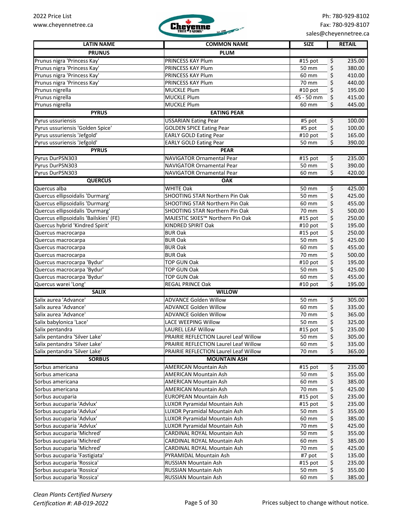

| <b>LATIN NAME</b>                                          | <b>COMMON NAME</b>                    | <b>SIZE</b>         | <b>RETAIL</b>          |
|------------------------------------------------------------|---------------------------------------|---------------------|------------------------|
| <b>PRUNUS</b>                                              | <b>PLUM</b>                           |                     |                        |
|                                                            | PRINCESS KAY Plum                     |                     |                        |
| Prunus nigra 'Princess Kay'<br>Prunus nigra 'Princess Kay' | PRINCESS KAY Plum                     | #15 pot<br>50 mm    | \$<br>235.00<br>380.00 |
| Prunus nigra Princess Kay'                                 | PRINCESS KAY Plum                     | 60 mm               | \$<br>\$<br>410.00     |
| Prunus nigra 'Princess Kay'                                | PRINCESS KAY Plum                     | 70 mm               | \$<br>440.00           |
| Prunus nigrella                                            | <b>MUCKLE Plum</b>                    | #10 pot             | \$<br>195.00           |
| Prunus nigrella                                            | <b>MUCKLE Plum</b>                    | 45 - 50 mm          | \$<br>415.00           |
| Prunus nigrella                                            | <b>MUCKLE Plum</b>                    | 60 mm               | 445.00<br>\$           |
| <b>PYRUS</b>                                               | <b>EATING PEAR</b>                    |                     |                        |
| Pyrus ussuriensis                                          | <b>USSARIAN Eating Pear</b>           | #5 pot              | 100.00<br>\$           |
| Pyrus ussuriensis 'Golden Spice'                           | <b>GOLDEN SPICE Eating Pear</b>       | #5 pot              | \$<br>100.00           |
| Pyrus ussuriensis 'Jefgold'                                | <b>EARLY GOLD Eating Pear</b>         | #10 pot             | \$<br>165.00           |
| Pyrus ussuriensis 'Jefgold'                                | <b>EARLY GOLD Eating Pear</b>         | 50 mm               | \$<br>390.00           |
| <b>PYRUS</b>                                               | <b>PEAR</b>                           |                     |                        |
| Pyrus DurPSN303                                            | <b>NAVIGATOR Ornamental Pear</b>      | $#15$ pot           | \$<br>235.00           |
| Pyrus DurPSN303                                            | NAVIGATOR Ornamental Pear             | 50 mm               | 390.00                 |
| Pyrus DurPSN303                                            | <b>NAVIGATOR Ornamental Pear</b>      | 60 mm               | \$<br>\$<br>420.00     |
|                                                            |                                       |                     |                        |
| <b>QUERCUS</b>                                             | <b>OAK</b>                            |                     |                        |
| Quercus alba                                               | <b>WHITE Oak</b>                      | 50 mm               | 425.00<br>\$           |
| Quercus ellipsoidalis 'Durmarg'                            | SHOOTING STAR Northern Pin Oak        | 50 mm               | 425.00<br>\$           |
| Quercus ellipsoidalis 'Durmarg'                            | SHOOTING STAR Northern Pin Oak        | 60 mm               | \$<br>455.00           |
| Quercus ellipsoidalis 'Durmarg'                            | SHOOTING STAR Northern Pin Oak        | 70 mm               | \$<br>500.00           |
| Quercus ellipsoidalis 'Bailskies' (FE)                     | MAJESTIC SKIES™ Northern Pin Oak      | #15 pot             | \$<br>250.00           |
| Quercus hybrid 'Kindred Spirit'                            | KINDRED SPIRIT Oak                    | $\frac{1}{4}10$ pot | \$<br>195.00           |
| Quercus macrocarpa                                         | <b>BUR Oak</b>                        | #15 pot             | \$<br>250.00           |
| Quercus macrocarpa                                         | <b>BUR Oak</b>                        | 50 mm               | \$<br>425.00           |
| Quercus macrocarpa                                         | <b>BUR Oak</b>                        | 60 mm               | \$<br>455.00           |
| Quercus macrocarpa                                         | <b>BUR Oak</b>                        | 70 mm               | \$<br>500.00           |
| Quercus macrocarpa 'Bydur'                                 | <b>TOP GUN Oak</b>                    | #10 pot             | \$<br>195.00           |
| Quercus macrocarpa 'Bydur'                                 | <b>TOP GUN Oak</b>                    | 50 mm               | \$<br>425.00           |
| Quercus macrocarpa 'Bydur'                                 | <b>TOP GUN Oak</b>                    | 60 mm               | \$<br>455.00           |
| Quercus warei 'Long'                                       | REGAL PRINCE Oak                      | #10 pot             | \$<br>195.00           |
| <b>SALIX</b>                                               | <b>WILLOW</b>                         |                     |                        |
| Salix aurea 'Advance'                                      | <b>ADVANCE Golden Willow</b>          | 50 mm               | 305.00<br>\$           |
| Salix aurea 'Advance'                                      | <b>ADVANCE Golden Willow</b>          | 60 mm               | \$<br>335.00           |
| Salix aurea 'Advance'                                      | <b>ADVANCE Golden Willow</b>          | 70 mm               | 365.00<br>\$           |
| Salix babylonica 'Lace'                                    | <b>LACE WEEPING Willow</b>            | 50 mm               | \$<br>325.00           |
| Salix pentandra                                            | <b>LAUREL LEAF Willow</b>             | #15 pot             | \$<br>235.00           |
| Salix pentandra 'Silver Lake'                              | PRAIRIE REFLECTION Laurel Leaf Willow | 50 mm               | \$<br>305.00           |
| Salix pentandra 'Silver Lake'                              | PRAIRIE REFLECTION Laurel Leaf Willow | 60 mm               | \$<br>335.00           |
| Salix pentandra 'Silver Lake'                              | PRAIRIE REFLECTION Laurel Leaf Willow | 70 mm               | \$<br>365.00           |
| <b>SORBUS</b>                                              | <b>MOUNTAIN ASH</b>                   |                     |                        |
| Sorbus americana                                           | AMERICAN Mountain Ash                 | #15 pot             | \$<br>235.00           |
| Sorbus americana                                           | <b>AMERICAN Mountain Ash</b>          | 50 mm               | \$<br>355.00           |
| Sorbus americana                                           | <b>AMERICAN Mountain Ash</b>          | 60 mm               | \$<br>385.00           |
| Sorbus americana                                           | AMERICAN Mountain Ash                 | 70 mm               | \$<br>425.00           |
| Sorbus aucuparia                                           | EUROPEAN Mountain Ash                 | #15 pot             | \$<br>235.00           |
| Sorbus aucuparia 'Advlux'                                  | LUXOR Pyramidal Mountain Ash          | #15 pot             | \$<br>235.00           |
| Sorbus aucuparia 'Advlux'                                  | LUXOR Pyramidal Mountain Ash          | 50 mm               | \$<br>355.00           |
| Sorbus aucuparia 'Advlux'                                  | LUXOR Pyramidal Mountain Ash          | 60 mm               | \$<br>385.00           |
| Sorbus aucuparia 'Advlux'                                  | LUXOR Pyramidal Mountain Ash          | 70 mm               | \$<br>425.00           |
| Sorbus aucuparia 'Michred'                                 | CARDINAL ROYAL Mountain Ash           | 50 mm               | \$<br>355.00           |
| Sorbus aucuparia 'Michred'                                 | CARDINAL ROYAL Mountain Ash           | 60 mm               | \$<br>385.00           |
| Sorbus aucuparia 'Michred'                                 | CARDINAL ROYAL Mountain Ash           | 70 mm               | \$<br>425.00           |
| Sorbus aucuparia 'Fastigiata'                              | PYRAMIDAL Mountain Ash                | #7 pot              | \$<br>135.00           |
| Sorbus aucuparia 'Rossica'                                 | RUSSIAN Mountain Ash                  | #15 pot             | \$<br>235.00           |
| Sorbus aucuparia 'Rossica'                                 | RUSSIAN Mountain Ash                  | 50 mm               | \$<br>355.00           |
| Sorbus aucuparia 'Rossica'                                 | RUSSIAN Mountain Ash                  | 60 mm               | \$<br>385.00           |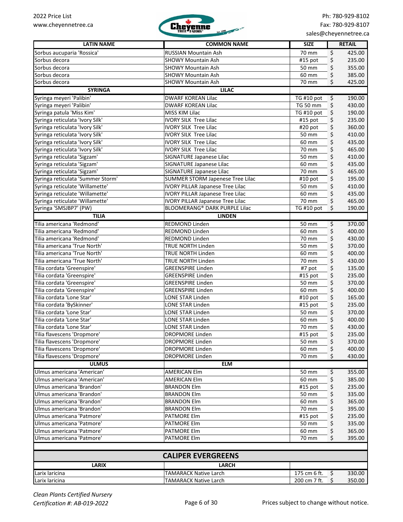

| <b>LATIN NAME</b>                 | <b>COMMON NAME</b>                      | <b>SIZE</b> | <b>RETAIL</b> |
|-----------------------------------|-----------------------------------------|-------------|---------------|
| Sorbus aucuparia 'Rossica'        | RUSSIAN Mountain Ash                    | 70 mm       | \$<br>425.00  |
| Sorbus decora                     | <b>SHOWY Mountain Ash</b>               | #15 pot     | \$<br>235.00  |
| Sorbus decora                     | <b>SHOWY Mountain Ash</b>               | 50 mm       | \$<br>355.00  |
| Sorbus decora                     | <b>SHOWY Mountain Ash</b>               | 60 mm       | \$<br>385.00  |
| Sorbus decora                     | <b>SHOWY Mountain Ash</b>               | 70 mm       | \$<br>425.00  |
| <b>SYRINGA</b>                    | <b>LILAC</b>                            |             |               |
| Syringa meyeri 'Palibin'          | <b>DWARF KOREAN Lilac</b>               | TG #10 pot  | 190.00<br>\$  |
| Syringa meyeri 'Palibin'          | <b>DWARF KOREAN Lilac</b>               | TG 50 mm    | \$<br>430.00  |
| Syringa patula 'Miss Kim'         | MISS KIM Lilac                          | TG #10 pot  | \$<br>190.00  |
| Syringa reticulata 'Ivory Silk'   | <b>IVORY SILK Tree Lilac</b>            | $#15$ pot   | \$<br>235.00  |
| Syringa reticulata 'Ivory Silk'   | <b>IVORY SILK Tree Lilac</b>            | #20 pot     | \$<br>360.00  |
| Syringa reticulata 'Ivory Silk'   | <b>IVORY SILK Tree Lilac</b>            | 50 mm       | \$<br>410.00  |
| Syringa reticulata 'Ivory Silk'   | <b>IVORY SILK Tree Lilac</b>            | 60 mm       | \$<br>435.00  |
| Syringa reticulata 'Ivory Silk'   | <b>IVORY SILK Tree Lilac</b>            | 70 mm       | \$<br>465.00  |
| Syringa reticulata 'Sigzam'       | SIGNATURE Japanese Lilac                | 50 mm       | \$<br>410.00  |
| Syringa reticulata 'Sigzam'       | SIGNATURE Japanese Lilac                | 60 mm       | \$<br>435.00  |
| Syringa reticulata 'Sigzam'       | SIGNATURE Japanese Lilac                | 70 mm       | \$<br>465.00  |
| Syringa reticulata 'Summer Storm' | SUMMER STORM Japenese Tree Lilac        | #10 pot     | \$<br>195.00  |
| Syringa reticulate 'Willamette'   | <b>IVORY PILLAR Japanese Tree Lilac</b> | 50 mm       | \$<br>410.00  |
| Syringa reticulate 'Willamette'   | <b>IVORY PILLAR Japanese Tree Lilac</b> | 60 mm       | \$<br>435.00  |
| Syringa reticulate 'Willamette'   | <b>IVORY PILLAR Japanese Tree Lilac</b> | 70 mm       | \$<br>465.00  |
| Syringa 'SMSJBP7' (PW)            | <b>BLOOMERANG® DARK PURPLE Lilac</b>    | TG#10 pot   | \$<br>190.00  |
| <b>TILIA</b>                      | <b>LINDEN</b>                           |             |               |
| Tilia americana 'Redmond'         | <b>REDMOND Linden</b>                   | 50 mm       | 370.00<br>\$  |
| Tilia americana 'Redmond'         | <b>REDMOND Linden</b>                   | 60 mm       | \$<br>400.00  |
| Tilia americana 'Redmond'         | <b>REDMOND Linden</b>                   | 70 mm       | \$<br>430.00  |
| Tilia americana 'True North'      | <b>TRUE NORTH Linden</b>                | 50 mm       | \$<br>370.00  |
| Tilia americana 'True North'      | <b>TRUE NORTH Linden</b>                | 60 mm       | \$<br>400.00  |
| Tilia americana 'True North'      | <b>TRUE NORTH Linden</b>                | 70 mm       | \$<br>430.00  |
| Tilia cordata 'Greenspire'        | <b>GREENSPIRE Linden</b>                | #7 pot      | \$<br>135.00  |
| Tilia cordata 'Greenspire'        | <b>GREENSPIRE Linden</b>                | #15 pot     | \$<br>235.00  |
| Tilia cordata 'Greenspire'        | <b>GREENSPIRE Linden</b>                | 50 mm       | \$<br>370.00  |
| Tilia cordata 'Greenspire'        | <b>GREENSPIRE Linden</b>                | 60 mm       | \$<br>400.00  |
| Tilia cordata 'Lone Star'         | LONE STAR Linden                        | #10 pot     | \$<br>165.00  |
| Tilia cordata 'BySkinner'         | LONE STAR Linden                        | #15 pot     | \$<br>235.00  |
| Tilia cordata 'Lone Star'         | LONE STAR Linden                        | 50 mm       | \$<br>370.00  |
| Tilia cordata 'Lone Star'         | LONE STAR Linden                        | 60 mm       | \$<br>400.00  |
| Tilia cordata 'Lone Star'         | LONE STAR Linden                        | 70 mm       | \$<br>430.00  |
| Tilia flavescens 'Dropmore'       | <b>DROPMORE Linden</b>                  | $#15$ pot   | \$<br>235.00  |
| Tilia flavescens 'Dropmore'       | <b>DROPMORE Linden</b>                  | 50 mm       | 370.00<br>\$  |
| Tilia flavescens 'Dropmore'       | DROPMORE Linden                         | 60 mm       | 400.00<br>\$  |
| Tilia flavescens 'Dropmore'       | <b>DROPMORE Linden</b>                  | 70 mm       | \$<br>430.00  |
| <b>ULMUS</b>                      | <b>ELM</b>                              |             |               |
| Ulmus americana 'American'        | <b>AMERICAN Elm</b>                     | 50 mm       | 355.00<br>\$  |
| Ulmus americana 'American'        | <b>AMERICAN Elm</b>                     | 60 mm       | \$<br>385.00  |
| Ulmus americana 'Brandon'         | <b>BRANDON Elm</b>                      | #15 pot     | \$<br>235.00  |
| Ulmus americana 'Brandon'         | <b>BRANDON Elm</b>                      | 50 mm       | \$<br>335.00  |
| Ulmus americana 'Brandon'         | <b>BRANDON Elm</b>                      | 60 mm       | 365.00<br>\$  |
| Ulmus americana 'Brandon'         | <b>BRANDON Elm</b>                      | 70 mm       | \$<br>395.00  |
| Ulmus americana 'Patmore'         | <b>PATMORE Elm</b>                      | #15 pot     | \$<br>235.00  |
| Ulmus americana 'Patmore'         | <b>PATMORE Elm</b>                      | 50 mm       | \$<br>335.00  |
| Ulmus americana 'Patmore'         | PATMORE Elm                             | 60 mm       | \$<br>365.00  |
| Ulmus americana 'Patmore'         | PATMORE Elm                             | 70 mm       | Ś.<br>395.00  |
|                                   |                                         |             |               |
|                                   |                                         |             |               |
|                                   | <b>CALIPER EVERGREENS</b>               |             |               |
| <b>LARIX</b>                      | <b>LARCH</b>                            |             |               |

Larix laricina TAMARACK Native Larch 175 cm 6 ft. \$ 330.00

Larix laricina **TAMARACK Native Larch 200 cm 7 ft.** \$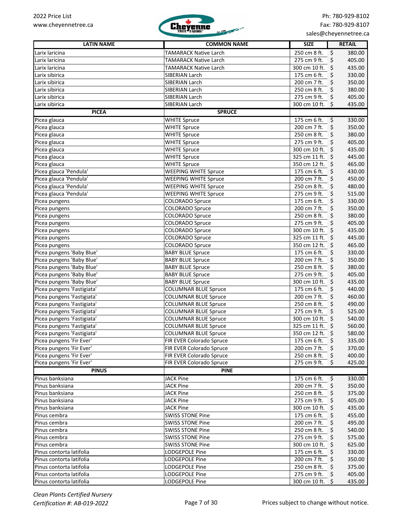

| <b>LATIN NAME</b>                                        | <b>COMMON NAME</b>                                         | <b>SIZE</b>                            | <b>RETAIL</b>    |
|----------------------------------------------------------|------------------------------------------------------------|----------------------------------------|------------------|
| Larix laricina                                           | <b>TAMARACK Native Larch</b>                               | \$<br>250 cm 8 ft.                     | 380.00           |
| Larix laricina                                           | <b>TAMARACK Native Larch</b>                               | \$<br>275 cm 9 ft.                     | 405.00           |
| Larix laricina                                           | <b>TAMARACK Native Larch</b>                               | 300 cm 10 ft. \$                       | 435.00           |
| Larix sibirica                                           | SIBERIAN Larch                                             | 175 cm 6 ft.<br>-\$                    | 330.00           |
| Larix sibirica                                           | SIBERIAN Larch                                             | 200 cm 7 ft.<br>-\$                    | 350.00           |
| Larix sibirica                                           | SIBERIAN Larch                                             | 250 cm 8 ft.<br>\$                     | 380.00           |
| Larix sibirica                                           | SIBERIAN Larch                                             | 275 cm 9 ft.<br>\$                     | 405.00           |
| Larix sibirica                                           | SIBERIAN Larch                                             | 300 cm 10 ft. \$                       | 435.00           |
| <b>PICEA</b>                                             | <b>SPRUCE</b>                                              |                                        |                  |
| Picea glauca                                             | <b>WHITE Spruce</b>                                        | 175 cm 6 ft.<br>\$                     | 330.00           |
| Picea glauca                                             | <b>WHITE Spruce</b>                                        | \$<br>200 cm 7 ft.                     | 350.00           |
| Picea glauca                                             | <b>WHITE Spruce</b>                                        | 250 cm 8 ft.<br>\$                     | 380.00           |
| Picea glauca                                             | <b>WHITE Spruce</b>                                        | 275 cm 9 ft.<br>$\ddot{\mathsf{s}}$    | 405.00           |
| Picea glauca                                             | <b>WHITE Spruce</b>                                        | 300 cm 10 ft. \$                       | 435.00           |
| Picea glauca                                             | <b>WHITE Spruce</b>                                        | 325 cm 11 ft. \$                       | 445.00           |
| Picea glauca                                             | <b>WHITE Spruce</b>                                        | 350 cm 12 ft. \$                       | 465.00           |
| Picea glauca 'Pendula'                                   | <b>WEEPING WHITE Spruce</b>                                | 175 cm 6 ft.<br>\$                     | 430.00           |
| Picea glauca 'Pendula'                                   | <b>WEEPING WHITE Spruce</b>                                | \$<br>200 cm 7 ft.                     | 450.00           |
| Picea glauca 'Pendula'                                   | <b>WEEPING WHITE Spruce</b>                                | 250 cm 8 ft.<br>\$                     | 480.00           |
| Picea glauca 'Pendula'                                   | <b>WEEPING WHITE Spruce</b>                                | 275 cm 9 ft.<br>\$                     | 515.00           |
| Picea pungens                                            | <b>COLORADO Spruce</b>                                     | 175 cm 6 ft.<br>-\$                    | 330.00           |
| Picea pungens                                            | <b>COLORADO Spruce</b>                                     | 200 cm 7 ft.<br>Ş                      | 350.00           |
| Picea pungens                                            | <b>COLORADO Spruce</b>                                     | 250 cm 8 ft.<br>\$                     | 380.00           |
| Picea pungens                                            | <b>COLORADO Spruce</b>                                     | 275 cm 9 ft.<br>\$                     | 405.00           |
| Picea pungens                                            | <b>COLORADO Spruce</b>                                     | 300 cm 10 ft. \$                       | 435.00           |
| Picea pungens                                            | <b>COLORADO Spruce</b>                                     | 325 cm 11 ft. \$                       | 445.00           |
| Picea pungens                                            | <b>COLORADO Spruce</b>                                     | 350 cm 12 ft. \$                       | 465.00           |
| Picea pungens 'Baby Blue'                                | <b>BABY BLUE Spruce</b>                                    | 175 cm 6 ft.<br>\$                     | 330.00           |
| Picea pungens 'Baby Blue'                                | <b>BABY BLUE Spruce</b>                                    | 200 cm 7 ft.<br>Ş                      | 350.00           |
| Picea pungens 'Baby Blue'                                | <b>BABY BLUE Spruce</b>                                    | 250 cm 8 ft.<br>\$                     | 380.00           |
| Picea pungens 'Baby Blue'                                | <b>BABY BLUE Spruce</b>                                    | 275 cm 9 ft.<br>\$                     | 405.00           |
| Picea pungens 'Baby Blue'                                | <b>BABY BLUE Spruce</b>                                    | 300 cm 10 ft. \$                       | 435.00           |
| Picea pungens 'Fastigiata'                               | <b>COLUMNAR BLUE Spruce</b>                                | 175 cm 6 ft.<br>\$                     | 440.00           |
| Picea pungens 'Fastigiata'                               | <b>COLUMNAR BLUE Spruce</b>                                | 200 cm 7 ft.<br>\$                     | 460.00           |
| Picea pungens 'Fastigiata'                               | <b>COLUMNAR BLUE Spruce</b>                                | 250 cm 8 ft.<br>\$                     | 490.00           |
| Picea pungens 'Fastigiata'<br>Picea pungens 'Fastigiata' | <b>COLUMNAR BLUE Spruce</b>                                | 275 cm 9 ft.<br>\$<br>300 cm 10 ft. \$ | 525.00           |
| Picea pungens 'Fastigiata'                               | <b>COLUMNAR BLUE Spruce</b><br><b>COLUMNAR BLUE Spruce</b> | 325 cm 11 ft. \$                       | 540.00<br>560.00 |
| Picea pungens 'Fastigiata'                               | <b>COLUMNAR BLUE Spruce</b>                                | 350 cm 12 ft. \$                       | 580.00           |
| Picea pungens 'Fir Ever'                                 | FIR EVER Colorado Spruce                                   | 175 cm 6 ft. $\frac{1}{2}$             | 335.00           |
| Picea pungens 'Fir Ever'                                 | FIR EVER Colorado Spruce                                   | 200 cm 7 ft. \$                        | 370.00           |
| Picea pungens 'Fir Ever'                                 | FIR EVER Colorado Spruce                                   | 250 cm 8 ft.<br>\$                     | 400.00           |
| Picea pungens 'Fir Ever'                                 | FIR EVER Colorado Spruce                                   | 275 cm 9 ft.<br>- \$                   | 425.00           |
| <b>PINUS</b>                                             | <b>PINE</b>                                                |                                        |                  |
| Pinus banksiana                                          | <b>JACK Pine</b>                                           | 175 cm 6 ft.<br>\$                     | 330.00           |
| Pinus banksiana                                          | <b>JACK Pine</b>                                           | 200 cm 7 ft.<br>\$                     | 350.00           |
| Pinus banksiana                                          | <b>JACK Pine</b>                                           | 250 cm 8 ft.<br>\$                     | 375.00           |
| Pinus banksiana                                          | <b>JACK Pine</b>                                           | 275 cm 9 ft.<br>\$                     | 405.00           |
| Pinus banksiana                                          | <b>JACK Pine</b>                                           | 300 cm 10 ft. \$                       | 435.00           |
| Pinus cembra                                             | <b>SWISS STONE Pine</b>                                    | 175 cm 6 ft.<br>\$                     | 455.00           |
| Pinus cembra                                             | <b>SWISS STONE Pine</b>                                    | 200 cm 7 ft.<br>\$                     | 495.00           |
| Pinus cembra                                             | <b>SWISS STONE Pine</b>                                    | 250 cm 8 ft.<br>\$                     | 540.00           |
| Pinus cembra                                             | <b>SWISS STONE Pine</b>                                    | 275 cm 9 ft.<br>Ş                      | 575.00           |
| Pinus cembra                                             | <b>SWISS STONE Pine</b>                                    | 300 cm 10 ft.<br>\$                    | 625.00           |
| Pinus contorta latifolia                                 | LODGEPOLE Pine                                             | 175 cm 6 ft.<br>\$                     | 330.00           |
| Pinus contorta latifolia                                 | LODGEPOLE Pine                                             | 200 cm 7 ft.<br>\$                     | 350.00           |
| Pinus contorta latifolia                                 | LODGEPOLE Pine                                             | 250 cm 8 ft.<br>\$                     | 375.00           |
| Pinus contorta latifolia                                 | LODGEPOLE Pine                                             | 275 cm 9 ft.<br>\$                     | 405.00           |
| Pinus contorta latifolia                                 | LODGEPOLE Pine                                             | 300 cm 10 ft. \$                       | 435.00           |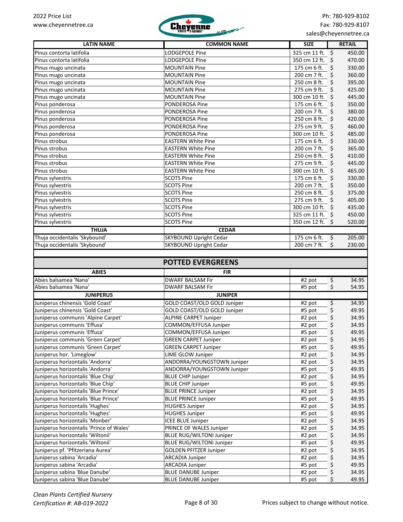

| <b>LATIN NAME</b>                                               | <b>COMMON NAME</b>              | <b>SIZE</b>          | <b>RETAIL</b> |
|-----------------------------------------------------------------|---------------------------------|----------------------|---------------|
| Pinus contorta latifolia                                        | <b>LODGEPOLE Pine</b>           | 325 cm 11 ft. \$     | 450.00        |
| Pinus contorta latifolia                                        | LODGEPOLE Pine                  | 350 cm 12 ft.        | 470.00<br>S.  |
| Pinus mugo uncinata                                             | <b>MOUNTAIN Pine</b>            | 175 cm 6 ft.         | 330.00<br>\$  |
| Pinus mugo uncinata                                             | <b>MOUNTAIN Pine</b>            | 200 cm 7 ft.         | \$<br>360.00  |
| Pinus mugo uncinata                                             | <b>MOUNTAIN Pine</b>            | 250 cm 8 ft.         | \$<br>395.00  |
| Pinus mugo uncinata                                             | <b>MOUNTAIN Pine</b>            | 275 cm 9 ft.         | 425.00<br>\$  |
| Pinus mugo uncinata                                             | <b>MOUNTAIN Pine</b>            | 300 cm 10 ft. \$     | 445.00        |
| Pinus ponderosa                                                 | <b>PONDEROSA Pine</b>           | 175 cm 6 ft.         | 350.00<br>\$  |
| Pinus ponderosa                                                 | <b>PONDEROSA Pine</b>           | 200 cm 7 ft.         | 380.00<br>\$  |
| Pinus ponderosa                                                 | PONDEROSA Pine                  | 250 cm 8 ft.         | 420.00<br>\$  |
| Pinus ponderosa                                                 | PONDEROSA Pine                  | 275 cm 9 ft.         | 460.00<br>\$  |
| Pinus ponderosa                                                 | PONDEROSA Pine                  | 300 cm 10 ft.        | \$<br>485.00  |
| Pinus strobus                                                   | <b>EASTERN White Pine</b>       | 175 cm 6 ft.         | 330.00<br>\$  |
| Pinus strobus                                                   | <b>EASTERN White Pine</b>       | 200 cm 7 ft.         | \$<br>365.00  |
| Pinus strobus                                                   | <b>EASTERN White Pine</b>       | 250 cm 8 ft.         | 410.00<br>\$  |
| Pinus strobus                                                   | <b>EASTERN White Pine</b>       | 275 cm 9 ft.         | 445.00<br>\$  |
| Pinus strobus                                                   | <b>EASTERN White Pine</b>       | 300 cm 10 ft.        | 465.00<br>\$  |
| Pinus sylvestris                                                | <b>SCOTS Pine</b>               | 175 cm 6 ft.         | 330.00<br>\$  |
| Pinus sylvestris                                                | <b>SCOTS Pine</b>               | 200 cm 7 ft.         | \$<br>350.00  |
| Pinus sylvestris                                                | <b>SCOTS Pine</b>               | 250 cm 8 ft.         | \$<br>375.00  |
| Pinus sylvestris                                                | <b>SCOTS Pine</b>               | 275 cm 9 ft.         | 405.00<br>\$  |
| Pinus sylvestris                                                | <b>SCOTS Pine</b>               | 300 cm 10 ft. \$     | 435.00        |
| Pinus sylvestris                                                | <b>SCOTS Pine</b>               | 325 cm 11 ft. \$     | 450.00        |
| Pinus sylvestris                                                | <b>SCOTS Pine</b>               | 350 cm 12 ft. \$     | 520.00        |
| <b>THUJA</b>                                                    | <b>CEDAR</b>                    |                      |               |
| Thuja occidentalis 'Skybound'                                   | <b>SKYBOUND Upright Cedar</b>   | 175 cm 6 ft.         | 205.00<br>\$  |
| Thuja occidentalis 'Skybound'                                   | <b>SKYBOUND Upright Cedar</b>   | 200 cm 7 ft.         | Ś.<br>230.00  |
|                                                                 |                                 |                      |               |
|                                                                 |                                 |                      |               |
|                                                                 | <b>POTTED EVERGREENS</b>        |                      |               |
| <b>ABIES</b>                                                    | <b>FIR</b>                      |                      |               |
| Abies balsamea 'Nana'                                           | <b>DWARF BALSAM Fir</b>         | #2 pot               | \$<br>34.95   |
| Abies balsamea 'Nana'                                           | <b>DWARF BALSAM Fir</b>         | #5 pot               | \$<br>54.95   |
| <b>JUNIPERUS</b>                                                | <b>JUNIPER</b>                  |                      |               |
| Juniperus chinensis 'Gold Coast'                                | GOLD COAST/OLD GOLD Juniper     | $\overline{4}$ 2 pot | \$<br>34.95   |
| Juniperus chinensis 'Gold Coast'                                | GOLD COAST/OLD GOLD Juniper     | #5 pot               | \$<br>49.95   |
| Juniperus communis 'Alpine Carpet'                              | <b>ALPINE CARPET Juniper</b>    | #2 pot               | 34.95<br>\$   |
| Juniperus communis 'Effusa'                                     | COMMON/EFFUSA Juniper           | #2 pot               | \$<br>34.95   |
| Juniperus communis 'Effusa'                                     | COMMON/EFFUSA Juniper           | #5 pot               | \$<br>49.95   |
| Juniperus communis 'Green Carpet'                               | <b>GREEN CARPET Juniper</b>     | #2 pot               | \$<br>34.95   |
| Juniperus communis 'Green Carpet'                               | <b>GREEN CARPET Juniper</b>     | #5 pot               | \$<br>49.95   |
| Juniperus hor. 'Limeglow'                                       | <b>LIME GLOW Juniper</b>        | #2 pot               | \$<br>34.95   |
| Juniperus horizontalis 'Andorra'                                | ANDORRA/YOUNGSTOWN Juniper      | #2 pot               | \$<br>34.95   |
| Juniperus horizontalis 'Andorra'                                | ANDORRA/YOUNGSTOWN Juniper      | #5 pot               | \$<br>49.95   |
| Juniperus horizontalis 'Blue Chip'                              | <b>BLUE CHIP Juniper</b>        | #2 pot               | \$<br>34.95   |
| Juniperus horizontalis 'Blue Chip'                              | <b>BLUE CHIP Juniper</b>        | #5 pot               | \$<br>49.95   |
| Juniperus horizontalis 'Blue Prince'                            | <b>BLUE PRINCE Juniper</b>      | #2 pot               | \$<br>34.95   |
| Juniperus horizontalis 'Blue Prince'                            | <b>BLUE PRINCE Juniper</b>      | #5 pot               | \$<br>49.95   |
| Juniperus horizontalis 'Hughes'                                 | <b>HUGHES Juniper</b>           | #2 pot               | \$<br>34.95   |
| Juniperus horizontalis 'Hughes'                                 | <b>HUGHES Juniper</b>           | #5 pot               | \$<br>49.95   |
| Juniperus horizontalis 'Monber'                                 | <b>ICEE BLUE Juniper</b>        | #2 pot               | \$<br>34.95   |
| Juniperus horizontalis 'Prince of Wales'                        | PRINCE OF WALES Juniper         | #2 pot               | \$<br>34.95   |
| Juniperus horizontalis 'Wiltonii'                               | <b>BLUE RUG/WILTONI Juniper</b> | #2 pot               | \$<br>34.95   |
| Juniperus horizontalis 'Wiltonii'                               | <b>BLUE RUG/WILTONI Juniper</b> |                      | 49.95         |
|                                                                 |                                 | #5 pot               | \$            |
| Juniperus pf. 'Pfitzeriana Aurea'<br>Juniperus sabina 'Arcadia' | <b>GOLDEN PFITZER Juniper</b>   | #2 pot               | \$<br>34.95   |
|                                                                 | ARCADIA Juniper                 | #2 pot               | \$<br>34.95   |
| Juniperus sabina 'Arcadia'                                      | <b>ARCADIA Juniper</b>          | #5 pot               | \$<br>49.95   |
| Juniperus sabina 'Blue Danube'                                  | <b>BLUE DANUBE Juniper</b>      | #2 pot               | \$<br>34.95   |
| Juniperus sabina 'Blue Danube'                                  | <b>BLUE DANUBE Juniper</b>      | #5 pot               | \$.<br>49.95  |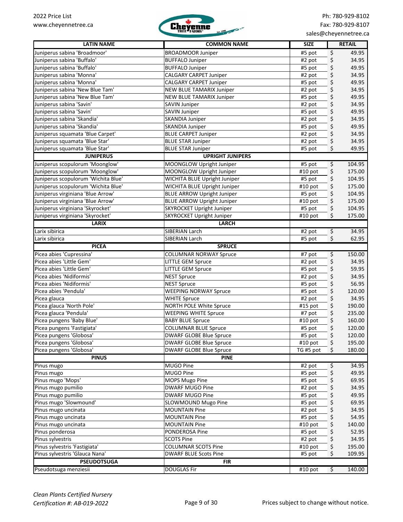

| <b>LATIN NAME</b>                   | <b>COMMON NAME</b>                | <b>SIZE</b>         | <b>RETAIL</b>                    |
|-------------------------------------|-----------------------------------|---------------------|----------------------------------|
| Juniperus sabina 'Broadmoor'        | <b>BROADMOOR Juniper</b>          | #5 pot              | \$<br>49.95                      |
| Juniperus sabina 'Buffalo'          | <b>BUFFALO Juniper</b>            | #2 pot              | \$<br>34.95                      |
| Juniperus sabina 'Buffalo'          | <b>BUFFALO Juniper</b>            | #5 pot              | \$<br>49.95                      |
| Juniperus sabina 'Monna'            | CALGARY CARPET Juniper            | #2 pot              | \$<br>34.95                      |
| Juniperus sabina 'Monna'            | CALGARY CARPET Juniper            | #5 pot              | \$<br>49.95                      |
| Juniperus sabina 'New Blue Tam'     | NEW BLUE TAMARIX Juniper          | #2 pot              | \$<br>34.95                      |
| Juniperus sabina 'New Blue Tam'     | NEW BLUE TAMARIX Juniper          | #5 pot              | \$<br>49.95                      |
| Juniperus sabina 'Savin'            | <b>SAVIN Juniper</b>              | #2 pot              | \$<br>34.95                      |
| Juniperus sabina 'Savin'            | SAVIN Juniper                     | #5 pot              | \$<br>49.95                      |
| Juniperus sabina 'Skandia'          | SKANDIA Juniper                   | #2 pot              | \$<br>34.95                      |
| Juniperus sabina 'Skandia'          | SKANDIA Juniper                   | #5 pot              | \$<br>49.95                      |
| Juniperus squamata 'Blue Carpet'    | <b>BLUE CARPET Juniper</b>        | #2 pot              | \$<br>34.95                      |
| Juniperus squamata 'Blue Star'      | <b>BLUE STAR Juniper</b>          | #2 pot              | \$<br>34.95                      |
| Juniperus squamata 'Blue Star'      | <b>BLUE STAR Juniper</b>          | #5 pot              | \$<br>49.95                      |
| <b>JUNIPERUS</b>                    | <b>UPRIGHT JUNIPERS</b>           |                     |                                  |
| Juniperus scopulorum 'Moonglow'     | MOONGLOW Upright Juniper          | #5 pot              | \$<br>104.95                     |
| Juniperus scopulorum 'Moonglow'     | MOONGLOW Upright Juniper          | #10 pot             | \$<br>175.00                     |
| Juniperus scopulorum 'Wichita Blue' | WICHITA BLUE Upright Juniper      | #5 pot              | \$<br>104.95                     |
| Juniperus scopulorum 'Wichita Blue' | WICHITA BLUE Upright Juniper      | #10 pot             | \$<br>175.00                     |
| Juniperus virginiana 'Blue Arrow'   | <b>BLUE ARROW Upright Juniper</b> | #5 pot              | \$<br>104.95                     |
| Juniperus virginiana 'Blue Arrow'   | <b>BLUE ARROW Upright Juniper</b> | #10 pot             | \$<br>175.00                     |
| Juniperus virginiana 'Skyrocket'    | <b>SKYROCKET Upright Juniper</b>  | #5 pot              | \$<br>104.95                     |
| Juniperus virginiana 'Skyrocket'    | SKYROCKET Upright Juniper         | #10 pot             | \$<br>175.00                     |
| <b>LARIX</b>                        | <b>LARCH</b>                      |                     |                                  |
| Larix sibirica                      | SIBERIAN Larch                    | $\overline{42}$ pot | \$<br>34.95                      |
| Larix sibirica                      | SIBERIAN Larch                    | #5 pot              | \$<br>62.95                      |
| <b>PICEA</b>                        | <b>SPRUCE</b>                     |                     |                                  |
| Picea abies 'Cupressina'            | <b>COLUMNAR NORWAY Spruce</b>     | #7 pot              | \$<br>150.00                     |
| Picea abies 'Little Gem'            | <b>LITTLE GEM Spruce</b>          | #2 pot              | \$<br>34.95                      |
| Picea abies 'Little Gem'            | <b>LITTLE GEM Spruce</b>          | #5 pot              | \$<br>59.95                      |
| Picea abies 'Nidiformis'            | <b>NEST Spruce</b>                | #2 pot              | \$<br>34.95                      |
| Picea abies 'Nidiformis'            | <b>NEST Spruce</b>                | #5 pot              | \$<br>56.95                      |
| Picea abies 'Pendula'               | <b>WEEPING NORWAY Spruce</b>      | #5 pot              | \$<br>120.00                     |
| Picea glauca                        | <b>WHITE Spruce</b>               | #2 pot              | \$<br>34.95                      |
| Picea glauca 'North Pole'           | NORTH POLE White Spruce           | #15 pot             | \$<br>190.00                     |
| Picea glauca 'Pendula'              | <b>WEEPING WHITE Spruce</b>       | #7 pot              | \$<br>235.00                     |
| Picea pungens 'Baby Blue'           | <b>BABY BLUE Spruce</b>           | #10 pot             | \$<br>160.00                     |
| Picea pungens 'Fastigiata'          | <b>COLUMNAR BLUE Spruce</b>       | #5 pot              | \$<br>120.00                     |
| Picea pungens 'Globosa'             | <b>DWARF GLOBE Blue Spruce</b>    | #5 pot              | \$<br>120.00                     |
| Picea pungens 'Globosa'             | <b>DWARF GLOBE Blue Spruce</b>    | #10 pot             | 195.00<br>\$                     |
| Picea pungens 'Globosa'             | <b>DWARF GLOBE Blue Spruce</b>    | TG #5 pot           | \$<br>180.00                     |
| <b>PINUS</b>                        | <b>PINE</b>                       |                     |                                  |
| Pinus mugo                          | MUGO Pine                         | #2 pot              | \$<br>34.95                      |
| Pinus mugo                          | MUGO Pine                         | #5 pot              | \$<br>49.95                      |
| Pinus mugo 'Mops'                   | MOPS Mugo Pine                    | #5 pot              | \$<br>69.95                      |
| Pinus mugo pumilio                  | DWARF MUGO Pine                   | #2 pot              | \$<br>34.95                      |
| Pinus mugo pumilio                  | <b>DWARF MUGO Pine</b>            | #5 pot              | \$<br>49.95                      |
| Pinus mugo 'Slowmound'              | SLOWMOUND Mugo Pine               | #5 pot              | \$<br>69.95                      |
| Pinus mugo uncinata                 | <b>MOUNTAIN Pine</b>              | #2 pot              | \$<br>34.95                      |
| Pinus mugo uncinata                 | <b>MOUNTAIN Pine</b>              | #5 pot              | \$<br>54.95                      |
| Pinus mugo uncinata                 | <b>MOUNTAIN Pine</b>              | #10 pot             | \$<br>140.00                     |
| Pinus ponderosa                     | PONDEROSA Pine                    | #5 pot              | \$<br>52.95                      |
| Pinus sylvestris                    | <b>SCOTS Pine</b>                 | #2 pot              | \$<br>34.95                      |
| Pinus sylvestris 'Fastigiata'       | <b>COLUMNAR SCOTS Pine</b>        | #10 pot             | \$<br>195.00                     |
| Pinus sylvestris 'Glauca Nana'      | <b>DWARF BLUE Scots Pine</b>      | #5 pot              | \$<br>109.95                     |
| <b>PSEUDOTSUGA</b>                  | <b>FIR</b>                        |                     |                                  |
| Pseudotsuga menziesii               | <b>DOUGLAS Fir</b>                | #10 pot             | $\overline{\varsigma}$<br>140.00 |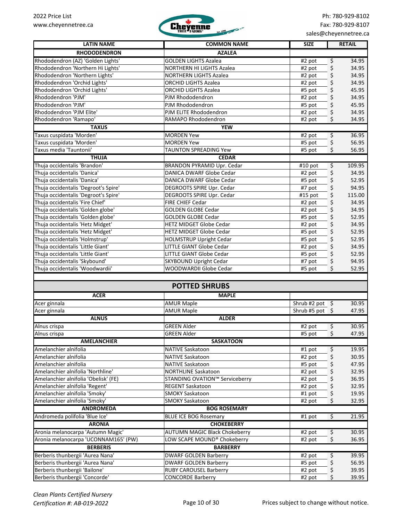

| <b>LATIN NAME</b>                    | <b>COMMON NAME</b>                       | <b>SIZE</b>               | <b>RETAIL</b>                         |
|--------------------------------------|------------------------------------------|---------------------------|---------------------------------------|
| <b>RHODODENDRON</b>                  | <b>AZALEA</b>                            |                           |                                       |
| Rhododendron (AZ) 'Golden Lights'    | <b>GOLDEN LIGHTS Azalea</b>              | #2 pot                    | \$<br>34.95                           |
| Rhododendron 'Northern Hi Lights'    | NORTHERN HI LIGHTS Azalea                | #2 pot                    | \$<br>34.95                           |
| Rhododendron 'Northern Lights'       | <b>NORTHERN LIGHTS Azalea</b>            | #2 pot                    | \$<br>34.95                           |
| Rhododendron 'Orchid Lights'         | <b>ORCHID LIGHTS Azalea</b>              | #2 pot                    | \$<br>34.95                           |
| Rhododendron 'Orchid Lights'         | <b>ORCHID LIGHTS Azalea</b>              | #5 pot                    | \$<br>45.95                           |
| Rhododendron 'PJM'                   | PJM Rhododendron                         | #2 pot                    | \$<br>34.95                           |
| Rhododendron 'PJM'                   | PJM Rhododendron                         | #5 pot                    | \$<br>45.95                           |
| Rhododendron 'PJM Elite'             | PJM ELITE Rhododendron                   | #2 pot                    | \$<br>34.95                           |
| Rhododendron 'Ramapo'                | RAMAPO Rhododendron                      | #2 pot                    | \$<br>34.95                           |
| <b>TAXUS</b>                         | <b>YEW</b>                               |                           |                                       |
| Taxus cuspidata 'Morden'             | <b>MORDEN Yew</b>                        | #2 pot                    | $\varsigma$<br>36.95                  |
| Taxus cuspidata 'Morden'             | <b>MORDEN Yew</b>                        | #5 pot                    | \$<br>56.95                           |
| Taxus media 'Tauntonii'              | <b>TAUNTON SPREADING Yew</b>             | #5 pot                    | \$<br>56.95                           |
| <b>THUJA</b>                         | <b>CEDAR</b>                             |                           |                                       |
| Thuja occidentalis 'Brandon'         | <b>BRANDON PYRAMID Upr. Cedar</b>        | #10 pot                   | \$<br>109.95                          |
| Thuja occidentalis 'Danica'          | DANICA DWARF Globe Cedar                 | #2 pot                    | \$<br>34.95                           |
| Thuja occidentalis 'Danica'          | DANICA DWARF Globe Cedar                 | #5 pot                    | \$<br>52.95                           |
| Thuja occidentalis 'Degroot's Spire' | DEGROOTS SPIRE Upr. Cedar                | #7 pot                    | \$<br>94.95                           |
| Thuja occidentalis 'Degroot's Spire' | DEGROOTS SPIRE Upr. Cedar                | #15 pot                   | \$<br>115.00                          |
| Thuja occidentalis 'Fire Chief'      | FIRE CHIEF Cedar                         | #2 pot                    | \$<br>34.95                           |
| Thuja occidentalis 'Golden globe'    | <b>GOLDEN GLOBE Cedar</b>                | #2 pot                    | \$<br>34.95                           |
| Thuja occidentalis 'Golden globe'    | <b>GOLDEN GLOBE Cedar</b>                | #5 pot                    | \$<br>52.95                           |
| Thuja occidentalis 'Hetz Midget'     | <b>HETZ MIDGET Globe Cedar</b>           | #2 pot                    | \$<br>34.95                           |
| Thuja occidentalis 'Hetz Midget'     | <b>HETZ MIDGET Globe Cedar</b>           | #5 pot                    | \$<br>52.95                           |
| Thuja occidentalis 'Holmstrup'       | HOLMSTRUP Upright Cedar                  | #5 pot                    | \$<br>52.95                           |
| Thuja occidentalis 'Little Giant'    | LITTLE GIANT Globe Cedar                 | #2 pot                    | \$<br>34.95                           |
| Thuja occidentalis 'Little Giant'    | LITTLE GIANT Globe Cedar                 | #5 pot                    | \$<br>52.95                           |
| Thuja occidentalis 'Skybound'        | <b>SKYBOUND Upright Cedar</b>            | #7 pot                    | \$<br>94.95                           |
| Thuja occidentalis 'Woodwardii'      | WOODWARDII Globe Cedar                   | #5 pot                    | \$<br>52.95                           |
|                                      |                                          |                           |                                       |
|                                      | <b>POTTED SHRUBS</b>                     |                           |                                       |
| <b>ACER</b>                          | <b>MAPLE</b>                             |                           |                                       |
| Acer ginnala                         | <b>AMUR Maple</b>                        | Shrub#2 pot $\frac{1}{2}$ | 30.95                                 |
| Acer ginnala                         | <b>AMUR Maple</b>                        | Shrub#5 pot $$$           | 47.95                                 |
| <b>ALNUS</b>                         | <b>ALDER</b>                             |                           |                                       |
|                                      |                                          |                           |                                       |
| Alnus crispa                         | <b>GREEN Alder</b><br><b>GREEN Alder</b> | #2 pot<br>$#5$ pot        | \$<br>30.95<br>$\frac{1}{2}$<br>47.95 |
| Alnus crispa<br><b>AMELANCHIER</b>   | <b>SASKATOON</b>                         |                           |                                       |
| Amelanchier alnifolia                | <b>NATIVE Saskatoon</b>                  | #1 pot                    | \$<br>19.95                           |
| Amelanchier alnifolia                | <b>NATIVE Saskatoon</b>                  | #2 pot                    | \$<br>30.95                           |
| Amelanchier alnifolia                | <b>NATIVE Saskatoon</b>                  | #5 pot                    | \$<br>47.95                           |
| Amelanchier alnifolia 'Northline'    | NORTHLINE Saskatoon                      | #2 pot                    | \$<br>32.95                           |
| Amelanchier alnifolia 'Obelisk' (FE) | STANDING OVATION™ Serviceberry           |                           | \$<br>36.95                           |
| Amelanchier alnifolia 'Regent'       | REGENT Saskatoon                         | #2 pot                    | 32.95                                 |
| Amelanchier alnifolia 'Smoky'        | <b>SMOKY Saskatoon</b>                   | #2 pot<br>#1 pot          | \$<br>19.95                           |
| Amelanchier alnifolia 'Smoky'        | <b>SMOKY Saskatoon</b>                   | #2 pot                    | \$<br>\$<br>32.95                     |
| <b>ANDROMEDA</b>                     | <b>BOG ROSEMARY</b>                      |                           |                                       |
| Andromeda polifolia 'Blue Ice'       | <b>BLUE ICE BOG Rosemary</b>             | #1 pot                    | \$<br>21.95                           |
| <b>ARONIA</b>                        | <b>CHOKEBERRY</b>                        |                           |                                       |
| Aronia melanocarpa 'Autumn Magic'    | <b>AUTUMN MAGIC Black Chokeberry</b>     | #2 pot                    | \$<br>30.95                           |
| Aronia melanocarpa 'UCONNAM165' (PW) | LOW SCAPE MOUND® Chokeberry              | #2 pot                    | \$<br>36.95                           |
| <b>BERBERIS</b>                      | <b>BARBERRY</b>                          |                           |                                       |
| Berberis thunbergii 'Aurea Nana'     | <b>DWARF GOLDEN Barberry</b>             | #2 pot                    | $\varsigma$<br>39.95                  |
| Berberis thunbergii 'Aurea Nana'     | <b>DWARF GOLDEN Barberry</b>             | #5 pot                    | \$<br>56.95                           |
| Berberis thunbergii 'Bailone'        | <b>RUBY CAROUSEL Barberry</b>            | #2 pot                    | \$<br>39.95                           |
| Berberis thunbergii 'Concorde'       | <b>CONCORDE Barberry</b>                 | #2 pot                    | \$<br>39.95                           |
|                                      |                                          |                           |                                       |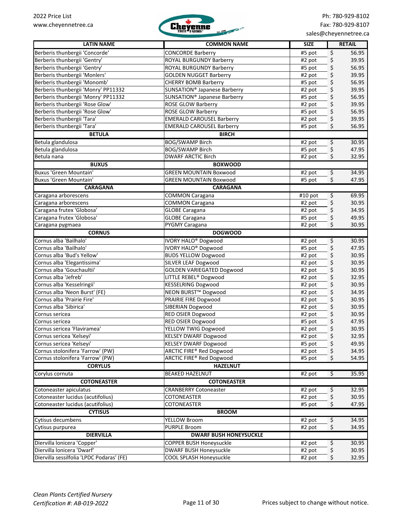

| <b>LATIN NAME</b>                         | <b>COMMON NAME</b>                       | <b>SIZE</b>        | <b>RETAIL</b>                          |
|-------------------------------------------|------------------------------------------|--------------------|----------------------------------------|
| Berberis thunbergii 'Concorde'            | <b>CONCORDE Barberry</b>                 | #5 pot             | \$<br>56.95                            |
| Berberis thunbergii 'Gentry'              | ROYAL BURGUNDY Barberry                  | #2 pot             | \$<br>39.95                            |
| Berberis thunbergii 'Gentry'              | ROYAL BURGUNDY Barberry                  | #5 pot             | \$<br>56.95                            |
| Berberis thunbergii 'Monlers'             | <b>GOLDEN NUGGET Barberry</b>            | #2 pot             | \$<br>39.95                            |
| Berberis thunbergii 'Monomb'              | <b>CHERRY BOMB Barberry</b>              | #5 pot             | \$<br>56.95                            |
| Berberis thunbergii 'Monry' PP11332       | SUNSATION <sup>®</sup> Japanese Barberry | #2 pot             | \$<br>39.95                            |
| Berberis thunbergii 'Monry' PP11332       | SUNSATION® Japanese Barberry             | #5 pot             | \$<br>56.95                            |
| Berberis thunbergii 'Rose Glow'           | ROSE GLOW Barberry                       | #2 pot             | \$<br>39.95                            |
| Berberis thunbergii 'Rose Glow'           | ROSE GLOW Barberry                       | #5 pot             | \$<br>56.95                            |
| Berberis thunbergii 'Tara'                | <b>EMERALD CAROUSEL Barberry</b>         | #2 pot             | \$<br>39.95                            |
| Berberis thunbergii 'Tara'                | <b>EMERALD CAROUSEL Barberry</b>         | #5 pot             | \$<br>56.95                            |
| <b>BETULA</b>                             | <b>BIRCH</b>                             |                    |                                        |
| Betula glandulosa                         | <b>BOG/SWAMP Birch</b>                   | #2 pot             | \$<br>30.95                            |
| Betula glandulosa                         | <b>BOG/SWAMP Birch</b>                   | #5 pot             | \$<br>47.95                            |
| Betula nana                               | <b>DWARF ARCTIC Birch</b>                | #2 pot             | \$<br>32.95                            |
| <b>BUXUS</b>                              | <b>BOXWOOD</b>                           |                    |                                        |
| <b>Buxus 'Green Mountain'</b>             | <b>GREEN MOUNTAIN Boxwood</b>            | $\frac{1}{42}$ pot | $\overline{\mathcal{S}}$<br>34.95      |
| <b>Buxus 'Green Mountain'</b>             | <b>GREEN MOUNTAIN Boxwood</b>            | #5 pot             | \$<br>47.95                            |
| <b>CARAGANA</b>                           | <b>CARAGANA</b>                          |                    |                                        |
| Caragana arborescens                      | <b>COMMON Caragana</b>                   | #10 pot            | \$<br>69.95                            |
| Caragana arborescens                      | <b>COMMON Caragana</b>                   | #2 pot             | \$<br>30.95                            |
| Caragana frutex 'Globosa'                 | <b>GLOBE Caragana</b>                    | #2 pot             | \$<br>34.95                            |
| Caragana frutex 'Globosa'                 | <b>GLOBE Caragana</b>                    | #5 pot             | \$<br>49.95                            |
| Caragana pygmaea                          | PYGMY Caragana                           | #2 pot             | \$<br>30.95                            |
| <b>CORNUS</b>                             | <b>DOGWOOD</b>                           |                    |                                        |
| Cornus alba 'Bailhalo'                    | <b>IVORY HALO<sup>®</sup> Dogwood</b>    | #2 pot             | $\overline{\mathcal{L}}$<br>30.95      |
| Cornus alba 'Bailhalo'                    | <b>IVORY HALO® Dogwood</b>               | #5 pot             | \$<br>47.95                            |
| Cornus alba 'Bud's Yellow'                | <b>BUDS YELLOW Dogwood</b>               | #2 pot             | \$<br>30.95                            |
| Cornus alba 'Elegantissima'               | SILVER LEAF Dogwood                      | #2 pot             | \$<br>30.95                            |
| Cornus alba 'Gouchaultii'                 | <b>GOLDEN VARIEGATED Dogwood</b>         | #2 pot             | \$<br>30.95                            |
| Cornus alba 'Jefreb'                      | LITTLE REBEL <sup>®</sup> Dogwood        | #2 pot             | \$<br>32.95                            |
| Cornus alba 'Kesselringii'                | <b>KESSELRING Dogwood</b>                | #2 pot             | \$<br>30.95                            |
| Cornus alba 'Neon Burst' (FE)             | NEON BURST™ Dogwood                      | #2 pot             | \$<br>34.95                            |
| Cornus alba 'Prairie Fire'                | PRAIRIE FIRE Dogwood                     | #2 pot             | \$<br>30.95                            |
| Cornus alba 'Sibirica'                    | SIBERIAN Dogwood                         | #2 pot             | \$<br>30.95                            |
| Cornus sericea                            | <b>RED OSIER Dogwood</b>                 | #2 pot             | \$<br>30.95                            |
| Cornus sericea                            | RED OSIER Dogwood                        | #5 pot             | \$<br>47.95                            |
| Cornus sericea 'Flaviramea'               | YELLOW TWIG Dogwood                      | #2 pot             | \$<br>30.95                            |
| Cornus sericea 'Kelseyi'                  | KELSEY DWARF Dogwood                     | #2 pot             | \$<br>32.95                            |
| Cornus sericea 'Kelseyi'                  | KELSEY DWARF Dogwood                     | #5 pot             | \$<br>49.95                            |
| Cornus stolonifera 'Farrow' (PW)          | ARCTIC FIRE® Red Dogwood                 | #2 pot             | \$<br>34.95                            |
| Cornus stolonifera 'Farrow' (PW)          | ARCTIC FIRE® Red Dogwood                 | #5 pot             | \$<br>54.95                            |
| <b>CORYLUS</b>                            | <b>HAZELNUT</b>                          |                    |                                        |
| Corylus cornuta                           | <b>BEAKED HAZELNUT</b>                   | #2 pot             | $\overline{\mathcal{S}}$<br>35.95      |
| <b>COTONEASTER</b>                        | <b>COTONEASTER</b>                       |                    |                                        |
| Cotoneaster apiculatus                    | <b>CRANBERRY Cotoneaster</b>             | #2 pot             | 32.95                                  |
| Cotoneaster lucidus (acutifolius)         | COTONEASTER                              | #2 pot             | \$<br>\$<br>30.95                      |
| Cotoneaster lucidus (acutifolius)         | COTONEASTER                              | #5 pot             | \$<br>47.95                            |
| <b>CYTISUS</b>                            | <b>BROOM</b>                             |                    |                                        |
| Cytisus decumbens                         | <b>YELLOW Broom</b>                      |                    | 34.95                                  |
|                                           | <b>PURPLE Broom</b>                      | #2 pot             | $\overline{\mathbf{r}}$<br>\$<br>34.95 |
| Cytisus purpurea<br><b>DIERVILLA</b>      | <b>DWARF BUSH HONEYSUCKLE</b>            | #2 pot             |                                        |
|                                           |                                          |                    |                                        |
| Diervilla lonicera 'Copper'               | COPPER BUSH Honeysuckle                  | #2 pot             | \$<br>30.95                            |
| Diervilla lonicera 'Dwarf'                | <b>DWARF BUSH Honeysuckle</b>            | #2 pot             | \$<br>30.95                            |
| Diervilla sessilfolia 'LPDC Podaras' (FE) | COOL SPLASH Honeysuckle                  | #2 pot             | \$<br>32.95                            |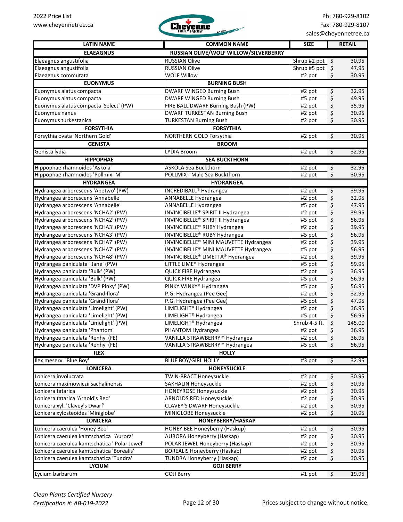

| <b>LATIN NAME</b>                             | <b>COMMON NAME</b>                    | <b>SIZE</b>          |                         | <b>RETAIL</b> |
|-----------------------------------------------|---------------------------------------|----------------------|-------------------------|---------------|
| <b>ELAEAGNUS</b>                              | RUSSIAN OLIVE/WOLF WILLOW/SILVERBERRY |                      |                         |               |
| Elaeagnus angustifolia                        | <b>RUSSIAN Olive</b>                  | Shrub #2 pot $\oint$ |                         | 30.95         |
| Elaeagnus angustifolia                        | <b>RUSSIAN Olive</b>                  | Shrub #5 pot         | \$                      | 47.95         |
| Elaeagnus commutata                           | <b>WOLF Willow</b>                    | #2 pot               | \$                      | 30.95         |
| <b>EUONYMUS</b>                               | <b>BURNING BUSH</b>                   |                      |                         |               |
| Euonymus alatus compacta                      | DWARF WINGED Burning Bush             | #2 pot               | \$                      | 32.95         |
| Euonymus alatus compacta                      | DWARF WINGED Burning Bush             | #5 pot               | \$                      | 49.95         |
| Euonymus alatus compacta 'Select' (PW)        | FIRE BALL DWARF Burning Bush (PW)     | #2 pot               | \$                      | 35.95         |
| Euonymus nanus                                | <b>DWARF TURKESTAN Burning Bush</b>   | #2 pot               | \$                      | 30.95         |
| Euonymus turkestanica                         | <b>TURKESTAN Burning Bush</b>         | #2 pot               | \$                      | 30.95         |
| <b>FORSYTHIA</b>                              | <b>FORSYTHIA</b>                      |                      |                         |               |
| Forsythia ovata 'Northern Gold'               | NORTHERN GOLD Forsythia               | #2 pot               | $\overline{\varsigma}$  | 30.95         |
| <b>GENISTA</b>                                | <b>BROOM</b>                          |                      |                         |               |
| Genista lydia                                 | LYDIA Broom                           | #2 pot               | \$                      | 32.95         |
| <b>HIPPOPHAE</b>                              | <b>SEA BUCKTHORN</b>                  |                      |                         |               |
| Hippophae rhamnoides 'Askola'                 | <b>ASKOLA Sea Buckthorn</b>           |                      |                         | 32.95         |
| Hippophae rhamnoides 'Pollmix-M'              |                                       | #2 pot               | \$                      |               |
|                                               | POLLMIX - Male Sea Buckthorn          | #2 pot               | \$                      | 30.95         |
| <b>HYDRANGEA</b>                              | <b>HYDRANGEA</b>                      |                      |                         |               |
| Hydrangea arborescens 'Abetwo' (PW)           | INCREDIBALL <sup>®</sup> Hydrangea    | #2 pot               | \$                      | 39.95         |
| Hydrangea arborescens 'Annabelle'             | ANNABELLE Hydrangea                   | #2 pot               | \$                      | 32.95         |
| Hydrangea arborescens 'Annabelle'             | <b>ANNABELLE Hydrangea</b>            | #5 pot               | \$                      | 47.95         |
| Hydrangea arborescens 'NCHA2' (PW)            | INVINCIBELLE® SPIRIT II Hydrangea     | #2 pot               | \$                      | 39.95         |
| Hydrangea arborescens 'NCHA2' (PW)            | INVINCIBELLE® SPIRIT II Hydrangea     | #5 pot               | \$                      | 56.95         |
| Hydrangea arborescens 'NCHA3' (PW)            | INVINCIBELLE® RUBY Hydrangea          | #2 pot               | \$                      | 39.95         |
| Hydrangea arborescens 'NCHA3' (PW)            | INVINCIBELLE® RUBY Hydrangea          | #5 pot               | \$                      | 56.95         |
| Hydrangea arborescens 'NCHA7' (PW)            | INVINCIBELLE® MINI MAUVETTE Hydrangea | #2 pot               | \$                      | 39.95         |
| Hydrangea arborescens 'NCHA7' (PW)            | INVINCIBELLE® MINI MAUVETTE Hydrangea | #5 pot               | \$                      | 56.95         |
| Hydrangea arborescens 'NCHA8' (PW)            | INVINCIBELLE® LIMETTA® Hydrangea      | #2 pot               | \$                      | 39.95         |
| Hydrangea paniculata 'Jane' (PW)              | LITTLE LIME <sup>®</sup> Hydrangea    | #5 pot               | \$                      | 59.95         |
| Hydrangea paniculata 'Bulk' (PW)              | QUICK FIRE Hydrangea                  | #2 pot               | \$                      | 36.95         |
| Hydrangea paniculata 'Bulk' (PW)              | QUICK FIRE Hydrangea                  | #5 pot               | \$                      | 56.95         |
| Hydrangea paniculata 'DVP Pinky' (PW)         | PINKY WINKY® Hydrangea                | #5 pot               | \$                      | 56.95         |
| Hydrangea paniculata 'Grandiflora'            | P.G. Hydrangea (Pee Gee)              | #2 pot               | \$                      | 32.95         |
| Hydrangea paniculata 'Grandiflora'            | P.G. Hydrangea (Pee Gee)              | #5 pot               | \$                      | 47.95         |
| Hydrangea paniculata 'Limelight' (PW)         | LIMELIGHT <sup>®</sup> Hydrangea      | #2 pot               | \$                      | 36.95         |
| Hydrangea paniculata 'Limelight' (PW)         | LIMELIGHT <sup>®</sup> Hydrangea      | #5 pot               | \$                      | 56.95         |
| Hydrangea paniculata 'Limelight' (PW)         | LIMELIGHT <sup>®</sup> Hydrangea      | Shrub 4-5 ft.        | \$                      | 145.00        |
| Hydrangea paniculata 'Phantom'                | PHANTOM Hydrangea                     | #2 pot               | \$                      | 36.95         |
| Hydrangea paniculata 'Renhy' (FE)             | VANILLA STRAWBERRY™ Hydrangea         | #2 pot               | \$                      | 36.95         |
| Hydrangea paniculata 'Renhy' (FE)             | VANILLA STRAWBERRY™ Hydrangea         | #5 pot               | \$                      | 56.95         |
| <b>ILEX</b>                                   | <b>HOLLY</b>                          |                      |                         |               |
| Ilex meserv. 'Blue Boy'                       | <b>BLUE BOY/GIRL HOLLY</b>            |                      | $\overline{\mathbf{v}}$ |               |
|                                               | <b>HONEYSUCKLE</b>                    | #3 pot               |                         | 32.95         |
| <b>LONICERA</b>                               |                                       |                      |                         |               |
| Lonicera involucrata                          | <b>TWIN-BRACT Honeysuckle</b>         | #2 pot               | \$                      | 30.95         |
| Lonicera maximowiczii sachalinensis           | SAKHALIN Honeysuckle                  | #2 pot               | \$                      | 30.95         |
| Lonicera tatarica                             | HONEYROSE Honeysuckle                 | #2 pot               | \$                      | 30.95         |
| Lonicera tatarica 'Arnold's Red'              | <b>ARNOLDS RED Honeysuckle</b>        | #2 pot               | \$                      | 30.95         |
| Lonicera xyl. 'Clavey's Dwarf'                | <b>CLAVEY'S DWARF Honeysuckle</b>     | #2 pot               | \$                      | 30.95         |
| Lonicera xylosteoides 'Miniglobe'             | MINIGLOBE Honeysuckle                 | #2 pot               | \$                      | 30.95         |
| <b>LONICERA</b>                               | HONEYBERRY/HASKAP                     |                      |                         |               |
| Lonicera caerulea 'Honey Bee'                 | HONEY BEE Honeyberry (Haskup)         | #2 pot               | \$                      | 30.95         |
| Lonicera caerulea kamtschatica 'Aurora'       | <b>AURORA Honeyberry (Haskap)</b>     | #2 pot               | \$                      | 30.95         |
| Lonicera caerulea kamtschatica ' Polar Jewel' | POLAR JEWEL Honeyberry (Haskap)       | #2 pot               | \$                      | 30.95         |
| Lonicera caerulea kamtschatica 'Borealis'     | <b>BOREALIS Honeyberry (Haskap)</b>   | #2 pot               | \$                      | 30.95         |
| Lonicera caerulea kamtschatica 'Tundra'       | <b>TUNDRA Honeyberry (Haskap)</b>     | #2 pot               | \$                      | 30.95         |
| <b>LYCIUM</b>                                 | <b>GOJI BERRY</b>                     |                      |                         |               |
| Lycium barbarum                               | <b>GOJI Berry</b>                     | #1 pot               | $\overline{\mathbf{v}}$ | 19.95         |
|                                               |                                       |                      |                         |               |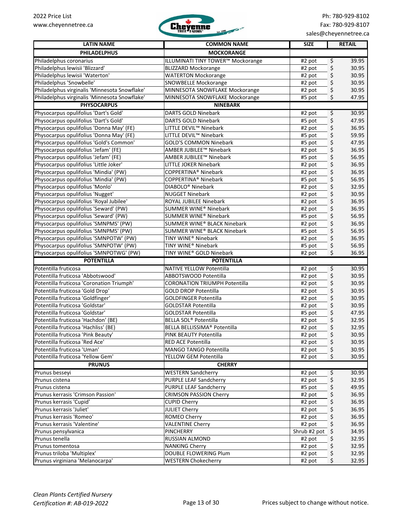

| <b>LATIN NAME</b>                                                           | <b>COMMON NAME</b>                                         | <b>SIZE</b>  | <b>RETAIL</b>        |
|-----------------------------------------------------------------------------|------------------------------------------------------------|--------------|----------------------|
| <b>PHILADELPHUS</b>                                                         | <b>MOCKORANGE</b>                                          |              |                      |
| Philadelphus coronarius                                                     | <b>ILLUMINATI TINY TOWER™ Mockorange</b>                   | #2 pot       | \$<br>39.95          |
| Philadelphus lewisii 'Blizzard'                                             | <b>BLIZZARD Mockorange</b>                                 | #2 pot       | \$<br>30.95          |
| Philadelphus lewisii 'Waterton'                                             | <b>WATERTON Mockorange</b>                                 | #2 pot       | \$<br>30.95          |
| Philadelphus 'Snowbelle'                                                    | SNOWBELLE Mockorange                                       | #2 pot       | \$<br>30.95          |
| Philadelphus virginalis 'Minnesota Snowflake'                               | MINNESOTA SNOWFLAKE Mockorange                             | #2 pot       | \$<br>30.95          |
| Philadelphus virginalis 'Minnesota Snowflake'                               | MINNESOTA SNOWFLAKE Mockorange                             | #5 pot       | \$<br>47.95          |
| <b>PHYSOCARPUS</b>                                                          | <b>NINEBARK</b>                                            |              |                      |
| Physocarpus opulifolius 'Dart's Gold'                                       | <b>DARTS GOLD Ninebark</b>                                 | #2 pot       | \$<br>30.95          |
| Physocarpus opulifolius 'Dart's Gold'                                       | <b>DARTS GOLD Ninebark</b>                                 | #5 pot       | \$<br>47.95          |
| Physocarpus opulifolius 'Donna May' (FE)                                    | LITTLE DEVIL <sup>™</sup> Ninebark                         | #2 pot       | \$<br>36.95          |
| Physocarpus opulifolius 'Donna May' (FE)                                    | LITTLE DEVIL <sup>™</sup> Ninebark                         | #5 pot       | \$<br>59.95          |
| Physocarpus opulifolius 'Gold's Common'                                     | <b>GOLD'S COMMON Ninebark</b>                              | #5 pot       | \$<br>47.95          |
| Physocarpus opulifolius 'Jefam' (FE)                                        | AMBER JUBILEE™ Ninebark                                    | #2 pot       | \$<br>36.95          |
| Physocarpus opulifolius 'Jefam' (FE)                                        | AMBER JUBILEE™ Ninebark                                    | #5 pot       | \$<br>56.95          |
| Physocarpus opulifolius 'Little Joker'                                      | <b>LITTLE JOKER Ninebark</b>                               | #2 pot       | \$<br>36.95          |
| Physocarpus opulifolius 'Mindia' (PW)                                       | COPPERTINA <sup>®</sup> Ninebark                           | #2 pot       | \$<br>36.95          |
| Physocarpus opulifolius 'Mindia' (PW)                                       | COPPERTINA <sup>®</sup> Ninebark                           | #5 pot       | \$<br>56.95          |
| Physocarpus opulifolius 'Monlo'                                             | DIABOLO <sup>®</sup> Ninebark                              | #2 pot       | \$<br>32.95          |
| Physocarpus opulifolius 'Nugget'                                            | <b>NUGGET Ninebark</b>                                     | #2 pot       | \$<br>30.95          |
| Physocarpus opulifolius 'Royal Jubilee'                                     | ROYAL JUBILEE Ninebark                                     | #2 pot       | \$<br>36.95          |
| Physocarpus opulifolius 'Seward' (PW)                                       | SUMMER WINE® Ninebark                                      | #2 pot       | \$<br>36.95          |
| Physocarpus opulifolius 'Seward' (PW)                                       | SUMMER WINE® Ninebark                                      |              | 56.95                |
| Physocarpus opulifolius 'SMNPMS' (PW)                                       |                                                            | #5 pot       | \$                   |
| Physocarpus opulifolius 'SMNPMS' (PW)                                       | SUMMER WINE® BLACK Ninebark<br>SUMMER WINE® BLACK Ninebark | #2 pot       | \$<br>36.95<br>56.95 |
|                                                                             |                                                            | #5 pot       | \$                   |
| Physocarpus opulifolius 'SMNPOTW' (PW)                                      | TINY WINE® Ninebark                                        | #2 pot       | \$<br>36.95          |
| Physocarpus opulifolius 'SMNPOTW' (PW)                                      | TINY WINE® Ninebark<br>TINY WINE® GOLD Ninebark            | #5 pot       | \$<br>56.95          |
| Physocarpus opulifolius 'SMNPOTWG' (PW)<br><b>POTENTILLA</b>                | <b>POTENTILLA</b>                                          | #2 pot       | \$<br>36.95          |
| Potentilla fruticosa                                                        | <b>NATIVE YELLOW Potentilla</b>                            |              | \$<br>30.95          |
| Potentilla fruticosa 'Abbotswood'                                           | ABBOTSWOOD Potentilla                                      | #2 pot       | 30.95                |
| Potentilla fruticosa 'Coronation Triumph'                                   | <b>CORONATION TRIUMPH Potentilla</b>                       | #2 pot       | \$<br>30.95          |
| Potentilla fruticosa 'Gold Drop'                                            | <b>GOLD DROP Potentilla</b>                                | #2 pot       | \$<br>30.95          |
|                                                                             | <b>GOLDFINGER Potentilla</b>                               | #2 pot       | \$                   |
| Potentilla fruticosa 'Goldfinger'<br>Potentilla fruticosa 'Goldstar'        |                                                            | #2 pot       | \$<br>30.95          |
| Potentilla fruticosa 'Goldstar'                                             | <b>GOLDSTAR Potentilla</b><br><b>GOLDSTAR Potentilla</b>   | #2 pot       | \$<br>30.95<br>47.95 |
|                                                                             |                                                            | #5 pot       | \$                   |
| Potentilla fruticosa 'Hachdon' (BE)<br>Potentilla fruticosa 'Hachliss' (BE) | BELLA SOL® Potentilla                                      | #2 pot       | \$<br>32.95          |
|                                                                             | BELLA BELLISSIMA <sup>®</sup> Potentilla                   | #2 pot       | \$<br>32.95          |
| Potentilla fruticosa 'Pink Beauty'                                          | PINK BEAUTY Potentilla                                     | #2 pot       | \$<br>30.95          |
| Potentilla fruticosa 'Red Ace'                                              | RED ACE Potentilla                                         | #2 pot       | \$<br>30.95          |
| Potentilla fruticosa 'Uman'<br>Potentilla fruticosa 'Yellow Gem'            | MANGO TANGO Potentilla                                     | #2 pot       | \$<br>30.95          |
|                                                                             | YELLOW GEM Potentilla                                      | #2 pot       | \$<br>30.95          |
| <b>PRUNUS</b><br>Prunus besseyi                                             | <b>CHERRY</b><br><b>WESTERN Sandcherry</b>                 |              | 30.95                |
|                                                                             | <b>PURPLE LEAF Sandcherry</b>                              | #2 pot       | \$<br>32.95          |
| Prunus cistena                                                              |                                                            | #2 pot       | \$                   |
| Prunus cistena                                                              | PURPLE LEAF Sandcherry                                     | #5 pot       | \$<br>49.95          |
| Prunus kerrasis 'Crimson Passion'                                           | <b>CRIMSON PASSION Cherry</b>                              | #2 pot       | \$<br>36.95          |
| Prunus kerrasis 'Cupid'                                                     | <b>CUPID Cherry</b>                                        | #2 pot       | \$<br>36.95          |
| Prunus kerrasis 'Juliet'                                                    | <b>JULIET Cherry</b>                                       | #2 pot       | \$<br>36.95          |
| Prunus kerrasis 'Romeo'                                                     | ROMEO Cherry                                               | #2 pot       | \$<br>36.95          |
| Prunus kerrasis 'Valentine'                                                 | <b>VALENTINE Cherry</b>                                    | #2 pot       | \$<br>36.95          |
| Prunus pensylvanica                                                         | <b>PINCHERRY</b>                                           | Shrub #2 pot | \$<br>34.95          |
| Prunus tenella                                                              | RUSSIAN ALMOND                                             | #2 pot       | \$<br>32.95          |
| Prunus tomentosa                                                            | <b>NANKING Cherry</b>                                      | #2 pot       | \$<br>32.95          |
| Prunus triloba 'Multiplex'                                                  | DOUBLE FLOWERING Plum                                      | #2 pot       | \$<br>32.95          |
| Prunus virginiana 'Melanocarpa'                                             | <b>WESTERN Chokecherry</b>                                 | #2 pot       | \$<br>32.95          |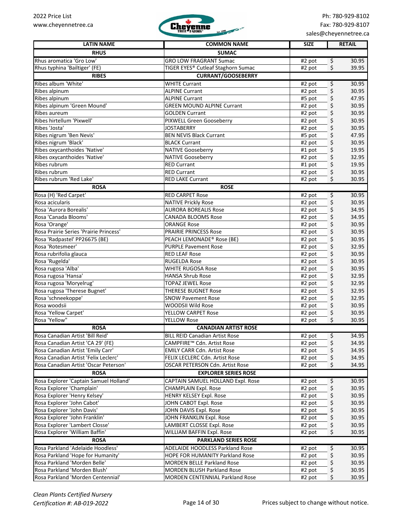

| <b>LATIN NAME</b>                      | <b>COMMON NAME</b>                    | <b>SIZE</b> | <b>RETAIL</b> |
|----------------------------------------|---------------------------------------|-------------|---------------|
| <b>RHUS</b>                            | <b>SUMAC</b>                          |             |               |
| Rhus aromatica 'Gro Low'               | <b>GRO LOW FRAGRANT Sumac</b>         | #2 pot      | \$<br>30.95   |
| Rhus typhina 'Bailtiger' (FE)          | TIGER EYES® Cutleaf Staghorn Sumac    | #2 pot      | \$<br>39.95   |
| <b>RIBES</b>                           | <b>CURRANT/GOOSEBERRY</b>             |             |               |
| Ribes album 'White'                    | <b>WHITE Currant</b>                  | #2 pot      | \$<br>30.95   |
| Ribes alpinum                          | <b>ALPINE Currant</b>                 | #2 pot      | \$<br>30.95   |
| Ribes alpinum                          | <b>ALPINE Currant</b>                 | #5 pot      | \$<br>47.95   |
| Ribes alpinum 'Green Mound'            | <b>GREEN MOUND ALPINE Currant</b>     | #2 pot      | \$<br>30.95   |
| Ribes aureum                           | <b>GOLDEN Currant</b>                 | #2 pot      | \$<br>30.95   |
| Ribes hirtellum 'Pixwell'              | PIXWELL Green Gooseberry              | #2 pot      | \$<br>30.95   |
| Ribes 'Josta'                          | <b>JOSTABERRY</b>                     | #2 pot      | \$<br>30.95   |
| Ribes nigrum 'Ben Nevis'               | <b>BEN NEVIS Black Currant</b>        | #5 pot      | \$<br>47.95   |
| Ribes nigrum 'Black'                   | <b>BLACK Currant</b>                  | #2 pot      | \$<br>30.95   |
| Ribes oxycanthoides 'Native'           | NATIVE Gooseberry                     | #1 pot      | \$<br>19.95   |
| Ribes oxycanthoides 'Native'           | <b>NATIVE Gooseberry</b>              | #2 pot      | \$<br>32.95   |
| Ribes rubrum                           | <b>RED Currant</b>                    | #1 pot      | \$<br>19.95   |
| Ribes rubrum                           | <b>RED Currant</b>                    | #2 pot      | \$<br>30.95   |
| Ribes rubrum 'Red Lake'                | <b>RED LAKE Currant</b>               | #2 pot      | \$<br>30.95   |
| <b>ROSA</b>                            | <b>ROSE</b>                           |             |               |
| Rosa (H) 'Red Carpet'                  | <b>RED CARPET Rose</b>                | #2 pot      | 30.95<br>\$   |
| Rosa acicularis                        | <b>NATIVE Prickly Rose</b>            | #2 pot      | \$<br>30.95   |
| Rosa 'Aurora Borealis'                 | <b>AURORA BOREALIS Rose</b>           | #2 pot      | \$<br>34.95   |
| Rosa 'Canada Blooms'                   | <b>CANADA BLOOMS Rose</b>             | #2 pot      | \$<br>34.95   |
| Rosa 'Orange'                          | <b>ORANGE Rose</b>                    | #2 pot      | \$<br>30.95   |
| Rosa Prairie Series 'Prairie Princess' | <b>PRAIRIE PRINCESS Rose</b>          | #2 pot      | \$<br>30.95   |
| Rosa 'Radpastel' PP26675 (BE)          | PEACH LEMONADE® Rose (BE)             | #2 pot      | \$<br>30.95   |
| Rosa 'Rotesmeer'                       | <b>PURPLE Pavement Rose</b>           | #2 pot      | \$<br>32.95   |
| Rosa rubrifolia glauca                 | <b>RED LEAF Rose</b>                  | #2 pot      | \$<br>30.95   |
| Rosa 'Rugelda'                         | <b>RUGELDA Rose</b>                   | #2 pot      | \$<br>30.95   |
| Rosa rugosa 'Alba'                     | <b>WHITE RUGOSA Rose</b>              | #2 pot      | \$<br>30.95   |
| Rosa rugosa 'Hansa'                    | <b>HANSA Shrub Rose</b>               | #2 pot      | \$<br>32.95   |
| Rosa rugosa 'Moryelrug'                | <b>TOPAZ JEWEL Rose</b>               | #2 pot      | \$<br>32.95   |
| Rosa rugosa 'Therese Bugnet'           | <b>THERESE BUGNET Rose</b>            | #2 pot      | \$<br>32.95   |
| Rosa 'schneekoppe'                     | <b>SNOW Pavement Rose</b>             | #2 pot      | \$<br>32.95   |
| Rosa woodsii                           | WOODSII Wild Rose                     | #2 pot      | \$<br>30.95   |
| Rosa 'Yellow Carpet'                   | YELLOW CARPET Rose                    | #2 pot      | \$<br>30.95   |
| Rosa 'Yellow"                          | <b>YELLOW Rose</b>                    | #2 pot      | \$<br>30.95   |
| <b>ROSA</b>                            | <b>CANADIAN ARTIST ROSE</b>           |             |               |
| Rosa Canadian Artist 'Bill Reid'       | <b>BILL REID Canadian Artist Rose</b> | #2 pot      | \$<br>34.95   |
| Rosa Canadian Artist 'CA 29' (FE)      | CAMPFIRE™ Cdn. Artist Rose            | #2 pot      | \$<br>34.95   |
| Rosa Canadian Artist 'Emily Carr'      | <b>EMILY CARR Cdn. Artist Rose</b>    | #2 pot      | \$<br>34.95   |
| Rosa Canadian Artist 'Felix Leclerc'   | FELIX LECLERC Cdn. Artist Rose        | #2 pot      | \$<br>34.95   |
| Rosa Canadian Artist 'Oscar Peterson'  | OSCAR PETERSON Cdn. Artist Rose       | #2 pot      | \$<br>34.95   |
| <b>ROSA</b>                            | <b>EXPLORER SERIES ROSE</b>           |             |               |
| Rosa Explorer 'Captain Samuel Holland' | CAPTAIN SAMUEL HOLLAND Expl. Rose     | #2 pot      | \$<br>30.95   |
| Rosa Explorer 'Champlain'              | <b>CHAMPLAIN Expl. Rose</b>           | #2 pot      | \$<br>30.95   |
| Rosa Explorer 'Henry Kelsey'           | <b>HENRY KELSEY Expl. Rose</b>        | #2 pot      | \$<br>30.95   |
| Rosa Explorer 'John Cabot'             | JOHN CABOT Expl. Rose                 | #2 pot      | \$<br>30.95   |
| Rosa Explorer 'John Davis'             | JOHN DAVIS Expl. Rose                 | #2 pot      | \$<br>30.95   |
| Rosa Explorer 'John Franklin'          | JOHN FRANKLIN Expl. Rose              | #2 pot      | \$<br>30.95   |
| Rosa Explorer 'Lambert Closse'         | LAMBERT CLOSSE Expl. Rose             | #2 pot      | \$<br>30.95   |
| Rosa Explorer 'William Baffin'         | WILLIAM BAFFIN Expl. Rose             | #2 pot      | \$<br>30.95   |
| <b>ROSA</b>                            | <b>PARKLAND SERIES ROSE</b>           |             |               |
| Rosa Parkland 'Adelaide Hoodless'      | ADELAIDE HOODLESS Parkland Rose       | #2 pot      | \$<br>30.95   |
| Rosa Parkland 'Hope for Humanity'      | HOPE FOR HUMANITY Parkland Rose       | #2 pot      | \$<br>30.95   |
| Rosa Parkland 'Morden Belle'           | <b>MORDEN BELLE Parkland Rose</b>     | #2 pot      | \$<br>30.95   |
| Rosa Parkland 'Morden Blush'           | MORDEN BLUSH Parkland Rose            | #2 pot      | \$<br>30.95   |
| Rosa Parkland 'Morden Centennial'      | MORDEN CENTENNIAL Parkland Rose       | #2 pot      | \$<br>30.95   |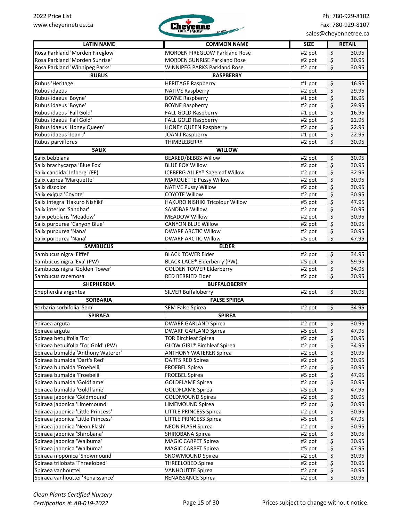

| <b>LATIN NAME</b>                   | <b>COMMON NAME</b>                                  | <b>SIZE</b>         | <b>RETAIL</b>              |
|-------------------------------------|-----------------------------------------------------|---------------------|----------------------------|
| Rosa Parkland 'Morden Fireglow'     | <b>MORDEN FIREGLOW Parkland Rose</b>                | #2 pot              | \$<br>30.95                |
| Rosa Parkland 'Morden Sunrise'      | <b>MORDEN SUNRISE Parkland Rose</b>                 | #2 pot              | \$<br>30.95                |
| Rosa Parkland 'Winnipeg Parks'      | <b>WINNIPEG PARKS Parkland Rose</b>                 | #2 pot              | \$<br>30.95                |
| <b>RUBUS</b>                        | <b>RASPBERRY</b>                                    |                     |                            |
| Rubus 'Heritage'                    | <b>HERITAGE Raspberry</b>                           | #1 pot              | \$<br>16.95                |
| Rubus idaeus                        | <b>NATIVE Raspberry</b>                             | #2 pot              | \$<br>29.95                |
| Rubus idaeus 'Boyne'                | <b>BOYNE Raspberry</b>                              | #1 pot              | \$<br>16.95                |
| Rubus idaeus 'Boyne'                | <b>BOYNE Raspberry</b>                              | #2 pot              | \$<br>29.95                |
| Rubus idaeus 'Fall Gold'            | <b>FALL GOLD Raspberry</b>                          | #1 pot              | \$<br>16.95                |
| Rubus idaeus 'Fall Gold'            | <b>FALL GOLD Raspberry</b>                          | #2 pot              | \$<br>22.95                |
| Rubus idaeus 'Honey Queen'          | <b>HONEY QUEEN Raspberry</b>                        | #2 pot              | \$<br>22.95                |
| Rubus idaeus 'Joan J'               | JOAN J Raspberry                                    | #1 pot              | \$<br>22.95                |
| Rubus parviflorus                   | THIMBLEBERRY                                        | #2 pot              | \$<br>30.95                |
| <b>SALIX</b>                        | <b>WILLOW</b>                                       |                     |                            |
| Salix bebbiana                      | <b>BEAKED/BEBBS Willow</b>                          | #2 pot              | \$<br>30.95                |
| Salix brachycarpa 'Blue Fox'        | <b>BLUE FOX Willow</b>                              | #2 pot              | \$<br>30.95                |
| Salix candida 'Jefberg' (FE)        | <b>ICEBERG ALLEY® Sageleaf Willow</b>               | #2 pot              | \$<br>32.95                |
| Salix caprea 'Marquette'            | <b>MARQUETTE Pussy Willow</b>                       | #2 pot              | \$<br>30.95                |
| Salix discolor                      | <b>NATIVE Pussy Willow</b>                          | #2 pot              | \$<br>30.95                |
| Salix exigua 'Coyote'               | <b>COYOTE Willow</b>                                | #2 pot              | \$<br>30.95                |
| Salix integra 'Hakuro Nishiki'      | HAKURO NISHIKI Tricolour Willow                     | #5 pot              | \$<br>47.95                |
| Salix interior 'Sandbar'            | <b>SANDBAR Willow</b>                               | #2 pot              | \$<br>30.95                |
| Salix petiolaris 'Meadow'           | <b>MEADOW Willow</b>                                | #2 pot              | \$<br>30.95                |
| Salix purpurea 'Canyon Blue'        | <b>CANYON BLUE Willow</b>                           | #2 pot              | \$<br>30.95                |
| Salix purpurea 'Nana'               | <b>DWARF ARCTIC Willow</b>                          | #2 pot              | \$<br>30.95                |
| Salix purpurea 'Nana'               | <b>DWARF ARCTIC Willow</b>                          | #5 pot              | \$<br>47.95                |
| <b>SAMBUCUS</b>                     | <b>ELDER</b>                                        |                     |                            |
| Sambucus nigra 'Eiffel'             | <b>BLACK TOWER Elder</b>                            |                     | 34.95                      |
| Sambucus nigra 'Eva' (PW)           |                                                     | #2 pot              | \$                         |
| Sambucus nigra 'Golden Tower'       | <b>BLACK LACE® Elderberry (PW)</b>                  | #5 pot              | \$<br>59.95                |
| Sambucus racemosa                   | <b>GOLDEN TOWER Elderberry</b><br>RED BERRIED Elder | #2 pot              | \$<br>34.95<br>\$<br>30.95 |
|                                     |                                                     | #2 pot              |                            |
| <b>SHEPHERDIA</b>                   | <b>BUFFALOBERRY</b>                                 |                     |                            |
| Shepherdia argentea                 | <b>SILVER Buffaloberry</b>                          | #2 pot              | \$<br>30.95                |
| <b>SORBARIA</b>                     | <b>FALSE SPIREA</b>                                 |                     |                            |
| Sorbaria sorbifolia 'Sem'           | <b>SEM False Spirea</b>                             | $\overline{42}$ pot | $\overline{\xi}$<br>34.95  |
| <b>SPIRAEA</b>                      | <b>SPIREA</b>                                       |                     |                            |
| Spiraea arguta                      | <b>DWARF GARLAND Spirea</b>                         | #2 pot              | \$<br>30.95                |
| Spiraea arguta                      | <b>DWARF GARLAND Spirea</b>                         | #5 pot              | \$<br>47.95                |
| Spiraea betulifolia 'Tor'           | <b>TOR Birchleaf Spirea</b>                         | #2 pot              | \$<br>30.95                |
| Spiraea betulifolia 'Tor Gold' (PW) | GLOW GIRL® Birchleaf Spirea                         | #2 pot              | 34.95<br>\$                |
| Spiraea bumalda 'Anthony Waterer'   | <b>ANTHONY WATERER Spirea</b>                       | #2 pot              | \$<br>30.95                |
| Spiraea bumalda 'Dart's Red'        | DARTS RED Spirea                                    | #2 pot              | \$<br>30.95                |
| Spiraea bumalda 'Froebelii'         | <b>FROEBEL Spirea</b>                               | #2 pot              | \$<br>30.95                |
| Spiraea bumalda 'Froebelii'         | <b>FROEBEL Spirea</b>                               | #5 pot              | \$<br>47.95                |
| Spiraea bumalda 'Goldflame'         | <b>GOLDFLAME Spirea</b>                             | #2 pot              | \$<br>30.95                |
| Spiraea bumalda 'Goldflame'         | <b>GOLDFLAME Spirea</b>                             | #5 pot              | \$<br>47.95                |
| Spiraea japonica 'Goldmound'        | <b>GOLDMOUND Spirea</b>                             | #2 pot              | \$<br>30.95                |
| Spiraea japonica 'Limemound'        | LIMEMOUND Spirea                                    | #2 pot              | \$<br>30.95                |
| Spiraea japonica 'Little Princess'  | <b>LITTLE PRINCESS Spirea</b>                       | #2 pot              | \$<br>30.95                |
| Spiraea japonica 'Little Princess'  | <b>LITTLE PRINCESS Spirea</b>                       | #5 pot              | \$<br>47.95                |
| Spiraea japonica 'Neon Flash'       | <b>NEON FLASH Spirea</b>                            | #2 pot              | \$<br>30.95                |
| Spiraea japonica 'Shirobana'        | SHIROBANA Spirea                                    | #2 pot              | \$<br>30.95                |
| Spiraea japonica 'Walbuma'          | <b>MAGIC CARPET Spirea</b>                          | #2 pot              | \$<br>30.95                |
| Spiraea japonica 'Walbuma'          | <b>MAGIC CARPET Spirea</b>                          | #5 pot              | \$<br>47.95                |
| Spiraea nipponica 'Snowmound'       | SNOWMOUND Spirea                                    | #2 pot              | \$<br>30.95                |
| Spiraea trilobata 'Threelobed'      | THREELOBED Spirea                                   | #2 pot              | \$<br>30.95                |
| Spiraea vanhouttei                  | <b>VANHOUTTE Spirea</b>                             | #2 pot              | \$<br>30.95                |
| Spiraea vanhouttei 'Renaissance'    | RENAISSANCE Spirea                                  | #2 pot              | \$<br>30.95                |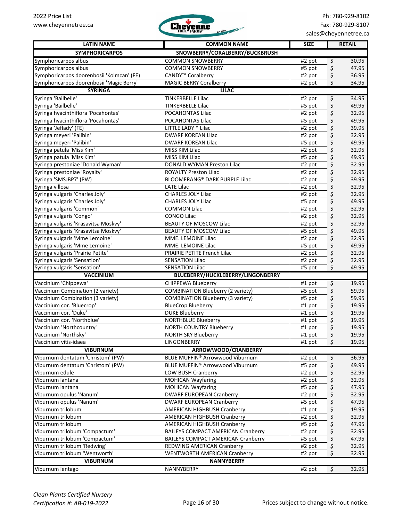

| <b>LATIN NAME</b>                                                   | <b>COMMON NAME</b>                        | <b>SIZE</b> | <b>RETAIL</b>             |
|---------------------------------------------------------------------|-------------------------------------------|-------------|---------------------------|
| <b>SYMPHORICARPOS</b>                                               | SNOWBERRY/CORALBERRY/BUCKBRUSH            |             |                           |
| Symphoricarpos albus                                                | <b>COMMON SNOWBERRY</b>                   | #2 pot      | \$<br>30.95               |
| Symphoricarpos albus                                                | <b>COMMON SNOWBERRY</b>                   | #5 pot      | \$<br>47.95               |
| Symphoricarpos doorenbosii 'Kolmcan' (FE)                           | CANDY <sup>™</sup> Coralberry             | #2 pot      | \$<br>36.95               |
| Symphoricarpos doorenbosii 'Magic Berry'                            | <b>MAGIC BERRY Coralberry</b>             | #2 pot      | \$<br>34.95               |
| <b>SYRINGA</b>                                                      | <b>LILAC</b>                              |             |                           |
| Syringa 'Bailbelle'                                                 | <b>TINKERBELLE Lilac</b>                  | #2 pot      | \$<br>34.95               |
| Syringa 'Bailbelle'                                                 | <b>TINKERBELLE Lilac</b>                  | #5 pot      | \$<br>49.95               |
| Syringa hyacinthiflora 'Pocahontas'                                 | POCAHONTAS Lilac                          | #2 pot      | \$<br>32.95               |
| Syringa hyacinthiflora 'Pocahontas'                                 | POCAHONTAS Lilac                          | #5 pot      | \$<br>49.95               |
| Syringa 'Jeflady' (FE)                                              | LITTLE LADY <sup>™</sup> Lilac            | #2 pot      | \$<br>39.95               |
| Syringa meyeri 'Palibin'                                            | <b>DWARF KOREAN Lilac</b>                 | #2 pot      | \$<br>32.95               |
| Syringa meyeri 'Palibin'                                            | <b>DWARF KOREAN Lilac</b>                 | #5 pot      | \$<br>49.95               |
| Syringa patula 'Miss Kim'                                           | MISS KIM Lilac                            | #2 pot      | \$<br>32.95               |
| Syringa patula 'Miss Kim'                                           | MISS KIM Lilac                            | #5 pot      | \$<br>49.95               |
| Syringa prestoniae 'Donald Wyman'                                   | DONALD WYMAN Preston Lilac                | #2 pot      | \$<br>32.95               |
| Syringa prestoniae 'Royalty'                                        | ROYALTY Preston Lilac                     | #2 pot      | \$<br>32.95               |
| Syringa 'SMSJBP7' (PW)                                              | <b>BLOOMERANG® DARK PURPLE Lilac</b>      | #2 pot      | \$<br>39.95               |
| Syringa villosa                                                     | <b>LATE Lilac</b>                         | #2 pot      | \$<br>32.95               |
| Syringa vulgaris 'Charles Joly'                                     | CHARLES JOLY Lilac                        | #2 pot      | \$<br>32.95               |
| Syringa vulgaris 'Charles Joly'                                     | <b>CHARLES JOLY Lilac</b>                 | #5 pot      | \$<br>49.95               |
| Syringa vulgaris 'Common'                                           | <b>COMMON Lilac</b>                       | #2 pot      | \$<br>32.95               |
| Syringa vulgaris 'Congo'                                            | <b>CONGO Lilac</b>                        | #2 pot      | \$<br>32.95               |
| Syringa vulgaris 'Krasavitsa Moskvy'                                | <b>BEAUTY OF MOSCOW Lilac</b>             | #2 pot      | \$<br>32.95               |
| Syringa vulgaris 'Krasavitsa Moskvy'                                | <b>BEAUTY OF MOSCOW Lilac</b>             | #5 pot      | \$<br>49.95               |
| Syringa vulgaris 'Mme Lemoine'                                      | MME. LEMOINE Lilac                        | #2 pot      | \$<br>32.95               |
|                                                                     | MME. LEMOINE Lilac                        |             | 49.95                     |
| Syringa vulgaris 'Mme Lemoine'<br>Syringa vulgaris 'Prairie Petite' | PRAIRIE PETITE French Lilac               | #5 pot      | \$<br>32.95               |
| Syringa vulgaris 'Sensation'                                        | <b>SENSATION Lilac</b>                    | #2 pot      | \$<br>\$<br>32.95         |
| Syringa vulgaris 'Sensation'                                        | <b>SENSATION Lilac</b>                    | #2 pot      | \$                        |
|                                                                     |                                           | #5 pot      | 49.95                     |
| <b>VACCINIUM</b>                                                    | BLUEBERRY/HUCKLEBERRY/LINGONBERRY         |             |                           |
| Vaccinium 'Chippewa'                                                | <b>CHIPPEWA Blueberry</b>                 | #1 pot      | \$<br>19.95               |
| Vaccinium Combination (2 variety)                                   | <b>COMBINATION Blueberry (2 variety)</b>  | #5 pot      | \$<br>59.95               |
| Vaccinium Combination (3 variety)                                   | <b>COMBINATION Blueberry (3 variety)</b>  | #5 pot      | 59.95<br>\$               |
| Vaccinium cor. 'Bluecrop'                                           | <b>BlueCrop Blueberry</b>                 | #1 pot      | \$<br>19.95               |
| Vaccinium cor. 'Duke'                                               | <b>DUKE Blueberry</b>                     | #1 pot      | \$<br>19.95               |
| Vaccinium cor. 'Northblue'                                          | <b>NORTHBLUE Blueberry</b>                | #1 pot      | \$<br>19.95               |
| Vaccinium 'Northcountry'                                            | <b>NORTH COUNTRY Blueberry</b>            | #1 pot      | \$<br>19.95               |
| Vaccinium 'Northsky'                                                | <b>NORTH SKY Blueberry</b>                | #1 pot      | \$<br>19.95               |
| Vaccinium vitis-idaea                                               | LINGONBERRY                               | #1 pot      | \$<br>19.95               |
| <b>VIBURNUM</b>                                                     | ARROWWOOD/CRANBERRY                       |             |                           |
| Viburnum dentatum 'Christom' (PW)                                   | BLUE MUFFIN® Arrowwood Viburnum           | #2 pot      | \$<br>36.95               |
| Viburnum dentatum 'Christom' (PW)                                   | BLUE MUFFIN® Arrowwood Viburnum           | #5 pot      | \$<br>49.95               |
| Viburnum edule                                                      | LOW BUSH Cranberry                        | #2 pot      | \$<br>32.95               |
| Viburnum lantana                                                    | <b>MOHICAN Wayfaring</b>                  | #2 pot      | \$<br>32.95               |
| Viburnum lantana                                                    | <b>MOHICAN Wayfaring</b>                  | #5 pot      | \$<br>47.95               |
| Viburnum opulus 'Nanum'                                             | <b>DWARF EUROPEAN Cranberry</b>           | #2 pot      | \$<br>32.95               |
| Viburnum opulus 'Nanum'                                             | <b>DWARF EUROPEAN Cranberry</b>           | #5 pot      | \$<br>47.95               |
| Viburnum trilobum                                                   | <b>AMERICAN HIGHBUSH Cranberry</b>        | #1 pot      | \$<br>19.95               |
| Viburnum trilobum                                                   | AMERICAN HIGHBUSH Cranberry               | #2 pot      | \$<br>32.95               |
| Viburnum trilobum                                                   | AMERICAN HIGHBUSH Cranberry               | #5 pot      | \$<br>47.95               |
| Viburnum trilobum 'Compactum'                                       | <b>BAILEYS COMPACT AMERICAN Cranberry</b> | #2 pot      | \$<br>32.95               |
| Viburnum trilobum 'Compactum'                                       | <b>BAILEYS COMPACT AMERICAN Cranberry</b> | #5 pot      | \$<br>47.95               |
| Viburnum trilobum 'Redwing'                                         | REDWING AMERICAN Cranberry                | #2 pot      | \$<br>32.95               |
| Viburnum trilobum 'Wentworth'                                       | WENTWORTH AMERICAN Cranberry              | #2 pot      | \$<br>32.95               |
| <b>VIBURNUM</b>                                                     | <b>NANNYBERRY</b>                         |             |                           |
| Viburnum lentago                                                    | NANNYBERRY                                | #2 pot      | $\overline{\xi}$<br>32.95 |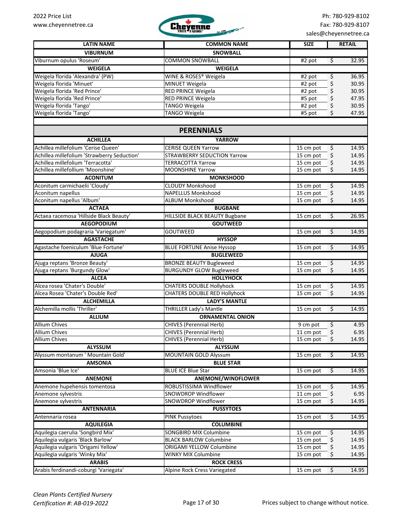

| <b>LATIN NAME</b>                                                      | <b>COMMON NAME</b>                                        | <b>SIZE</b>            |                  | <b>RETAIL</b>  |
|------------------------------------------------------------------------|-----------------------------------------------------------|------------------------|------------------|----------------|
| <b>VIBURNUM</b>                                                        | <b>SNOWBALL</b>                                           |                        |                  |                |
| Viburnum opulus 'Roseum'                                               | <b>COMMON SNOWBALL</b>                                    | #2 pot                 | $\varsigma$      | 32.95          |
| <b>WEIGELA</b>                                                         | <b>WEIGELA</b>                                            |                        |                  |                |
| Weigela florida 'Alexandra' (PW)                                       | WINE & ROSES® Weigela                                     | #2 pot                 | \$               | 36.95          |
| Weigela florida 'Minuet'                                               | <b>MINUET Weigela</b>                                     | #2 pot                 | \$               | 30.95          |
| Weigela florida 'Red Prince'                                           | RED PRINCE Weigela                                        | #2 pot                 | \$               | 30.95          |
| Weigela florida 'Red Prince'                                           | RED PRINCE Weigela                                        | #5 pot                 | \$               | 47.95          |
| Weigela florida 'Tango'                                                | <b>TANGO Weigela</b>                                      | #2 pot                 | \$               | 30.95          |
| Weigela florida 'Tango'                                                | <b>TANGO Weigela</b>                                      | #5 pot                 | \$               | 47.95          |
|                                                                        |                                                           |                        |                  |                |
|                                                                        | <b>PERENNIALS</b>                                         |                        |                  |                |
| <b>ACHILLEA</b>                                                        | <b>YARROW</b>                                             |                        |                  |                |
| Achillea millefolium 'Cerise Queen'                                    | <b>CERISE QUEEN Yarrow</b>                                | 15 cm pot              | \$               | 14.95          |
| Achillea millefolium 'Strawberry Seduction'                            | <b>STRAWBERRY SEDUCTION Yarrow</b>                        | 15 cm pot              | \$               | 14.95          |
| Achillea millefolium 'Terracotta'                                      | <b>TERRACOTTA Yarrow</b>                                  | 15 cm pot              | \$               | 14.95          |
| Achillea millefollium 'Moonshine'                                      | <b>MOONSHINE Yarrow</b>                                   | 15 cm pot              | \$               | 14.95          |
| <b>ACONITUM</b>                                                        | <b>MONKSHOOD</b>                                          |                        |                  |                |
| Aconitum carmichaelii 'Cloudy'                                         | <b>CLOUDY Monkshood</b>                                   | 15 cm pot              | \$               | 14.95          |
| Aconitum napellus                                                      | <b>NAPELLUS Monkshood</b>                                 | 15 cm pot              | \$               | 14.95          |
| Aconitum napellus 'Album'                                              | <b>ALBUM Monkshood</b>                                    | 15 cm pot              | \$               | 14.95          |
| <b>ACTAEA</b>                                                          | <b>BUGBANE</b>                                            |                        |                  |                |
| Actaea racemosa 'Hillside Black Beauty'                                | HILLSIDE BLACK BEAUTY Bugbane                             | 15 cm pot              | $\varsigma$      | 26.95          |
| <b>AEGOPODIUM</b>                                                      | <b>GOUTWEED</b>                                           |                        |                  |                |
| Aegopodium podagraria 'Variegatum'                                     | GOUTWEED                                                  | 15 cm pot              | $\overline{\xi}$ | 14.95          |
| <b>AGASTACHE</b>                                                       | <b>HYSSOP</b>                                             |                        |                  |                |
| Agastache foeniculum 'Blue Fortune'                                    | <b>BLUE FORTUNE Anise Hyssop</b>                          | 15 cm pot              | $\overline{\xi}$ | 14.95          |
| <b>AJUGA</b>                                                           | <b>BUGLEWEED</b>                                          |                        |                  |                |
| Ajuga reptans 'Bronze Beauty'                                          | <b>BRONZE BEAUTY Bugleweed</b>                            | 15 cm pot              | $\varsigma$      | 14.95          |
| Ajuga reptans 'Burgundy Glow'                                          | <b>BURGUNDY GLOW Bugleweed</b>                            | 15 cm pot              | \$               | 14.95          |
| <b>ALCEA</b>                                                           | <b>HOLLYHOCK</b>                                          |                        |                  |                |
| Alcea rosea 'Chater's Double'                                          | <b>CHATERS DOUBLE Hollyhock</b>                           | 15 cm pot              | \$               | 14.95          |
| Alcea Rosea 'Chater's Double Red'                                      | <b>CHATERS DOUBLE RED Hollyhock</b>                       | 15 cm pot              | \$               | 14.95          |
| <b>ALCHEMILLA</b>                                                      | <b>LADY'S MANTLE</b>                                      |                        |                  |                |
| Alchemilla mollis 'Thriller'                                           | <b>THRILLER Lady's Mantle</b>                             | 15 cm pot              | \$               | 14.95          |
| <b>ALLIUM</b>                                                          | <b>ORNAMENTAL ONION</b>                                   |                        |                  |                |
| <b>Allium Chives</b>                                                   | <b>CHIVES (Perennial Herb)</b>                            | 9 cm pot               | \$               | 4.95           |
| <b>Allium Chives</b>                                                   | <b>CHIVES (Perennial Herb)</b>                            | $11$ cm pot            |                  | 6.95           |
| <b>Allium Chives</b>                                                   | <b>CHIVES (Perennial Herb)</b>                            | 15 cm pot              | \$               | 14.95          |
| <b>ALYSSUM</b>                                                         | <b>ALYSSUM</b>                                            |                        |                  |                |
| Alyssum montanum ' Mountain Gold'                                      | <b>MOUNTAIN GOLD Alyssum</b>                              | 15 cm pot              | \$               | 14.95          |
| <b>AMSONIA</b>                                                         | <b>BLUE STAR</b>                                          |                        |                  |                |
| Amsonia 'Blue Ice'                                                     | <b>BLUE ICE Blue Star</b>                                 | 15 cm pot              | \$               | 14.95          |
| <b>ANEMONE</b>                                                         | ANEMONE/WINDFLOWER                                        |                        |                  |                |
| Anemone hupehensis tomentosa                                           | ROBUSTISSIMA Windflower                                   | 15 cm pot              | \$               | 14.95          |
| Anemone sylvestris                                                     | SNOWDROP Windflower<br>SNOWDROP Windflower                | 11 cm pot              | \$               | 6.95           |
| Anemone sylvestris                                                     |                                                           | 15 cm pot              | \$               | 14.95          |
| <b>ANTENNARIA</b><br>Antennaria rosea                                  | <b>PUSSYTOES</b><br><b>PINK Pussytoes</b>                 |                        | $\varsigma$      | 14.95          |
|                                                                        |                                                           | 15 cm pot              |                  |                |
| <b>AQUILEGIA</b>                                                       | <b>COLUMBINE</b>                                          |                        |                  |                |
| Aquilegia caerulia 'Songbird Mix'<br>Aquilegia vulgaris 'Black Barlow' | SONGBIRD MIX Columbine                                    | 15 cm pot              | \$               | 14.95          |
| Aquilegia vulgaris 'Origami Yellow'                                    | <b>BLACK BARLOW Columbine</b><br>ORIGAMI YELLOW Columbine | 15 cm pot<br>15 cm pot | \$               | 14.95<br>14.95 |
| Aquilegia vulgaris 'Winky Mix'                                         | WINKY MIX Columbine                                       | 15 cm pot              | \$<br>\$         | 14.95          |
| <b>ARABIS</b>                                                          | <b>ROCK CRESS</b>                                         |                        |                  |                |
| Arabis ferdinandi-coburgi 'Variegata'                                  | Alpine Rock Cress Variegated                              | 15 cm pot              | $\mathfrak{S}$   | 14.95          |
|                                                                        |                                                           |                        |                  |                |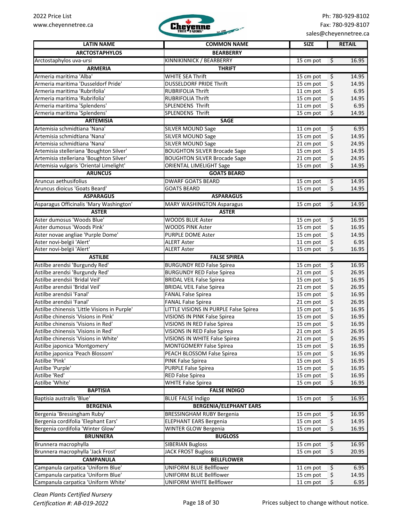

| <b>LATIN NAME</b>                            | <b>COMMON NAME</b>                    | <b>SIZE</b> | <b>RETAIL</b>                     |
|----------------------------------------------|---------------------------------------|-------------|-----------------------------------|
| <b>ARCTOSTAPHYLOS</b>                        | <b>BEARBERRY</b>                      |             |                                   |
| Arctostaphylos uva-ursi                      | KINNIKINNICK / BEARBERRY              | 15 cm pot   | $\overline{\mathcal{S}}$<br>16.95 |
| <b>ARMERIA</b>                               | <b>THRIFT</b>                         |             |                                   |
| Armeria maritima 'Alba'                      | <b>WHITE SEA Thrift</b>               | 15 cm pot   | 14.95<br>\$                       |
| Armeria maritima 'Dusseldorf Pride'          | <b>DUSSELDORF PRIDE Thrift</b>        | 15 cm pot   | \$<br>14.95                       |
| Armeria maritima 'Rubrifolia'                | <b>RUBRIFOLIA Thrift</b>              | 11 cm pot   | \$<br>6.95                        |
| Armeria maritima 'Rubrifolia'                | RUBRIFOLIA Thrift                     | 15 cm pot   | \$<br>14.95                       |
| Armeria maritima 'Splendens'                 | <b>SPLENDENS Thrift</b>               | 11 cm pot   | \$<br>6.95                        |
| Armeria maritima 'Splendens'                 | SPLENDENS Thrift                      | 15 cm pot   | \$<br>14.95                       |
| <b>ARTEMISIA</b>                             | <b>SAGE</b>                           |             |                                   |
| Artemisia schmidtiana 'Nana'                 | <b>SILVER MOUND Sage</b>              | 11 cm pot   | \$<br>6.95                        |
| Artemisia schmidtiana 'Nana'                 | <b>SILVER MOUND Sage</b>              | 15 cm pot   | \$<br>14.95                       |
| Artemisia schmidtiana 'Nana'                 | <b>SILVER MOUND Sage</b>              | 21 cm pot   | \$<br>24.95                       |
| Artemisia stelleriana 'Boughton Silver'      | <b>BOUGHTON SILVER Brocade Sage</b>   | 15 cm pot   | \$<br>14.95                       |
| Artemisia stelleriana 'Boughton Silver'      | <b>BOUGHTON SILVER Brocade Sage</b>   | 21 cm pot   | \$<br>24.95                       |
| Artemisia vulgaris 'Oriental Limelight'      | ORIENTAL LIMELIGHT Sage               | 15 cm pot   | \$<br>14.95                       |
| <b>ARUNCUS</b>                               | <b>GOATS BEARD</b>                    |             |                                   |
| Aruncus aethusifolius                        | <b>DWARF GOATS BEARD</b>              | 15 cm pot   | \$<br>14.95                       |
| Aruncus dioicus 'Goats Beard'                | <b>GOATS BEARD</b>                    | 15 cm pot   | \$<br>14.95                       |
| <b>ASPARAGUS</b>                             | <b>ASPARAGUS</b>                      |             |                                   |
| Asparagus Officinalis 'Mary Washington'      | <b>MARY WASHINGTON Asparagus</b>      | 15 cm pot   | \$<br>14.95                       |
| <b>ASTER</b>                                 | <b>ASTER</b>                          |             |                                   |
| Aster dumosus 'Woods Blue'                   | <b>WOODS BLUE Aster</b>               | 15 cm pot   | \$<br>16.95                       |
| Aster dumosus 'Woods Pink'                   | <b>WOODS PINK Aster</b>               | 15 cm pot   | \$<br>16.95                       |
| Aster novae angliae 'Purple Dome'            | <b>PURPLE DOME Aster</b>              | 15 cm pot   | \$<br>14.95                       |
| Aster novi-belgii 'Alert'                    | <b>ALERT Aster</b>                    | 11 cm pot   | \$<br>6.95                        |
| Aster novi-belgii 'Alert'                    | <b>ALERT Aster</b>                    | 15 cm pot   | \$<br>16.95                       |
| <b>ASTILBE</b>                               | <b>FALSE SPIREA</b>                   |             |                                   |
| Astilbe arendsi 'Burgundy Red'               | <b>BURGUNDY RED False Spirea</b>      | 15 cm pot   | 16.95<br>\$                       |
| Astilbe arendsi 'Burgundy Red'               | <b>BURGUNDY RED False Spirea</b>      | 21 cm pot   | 26.95<br>\$                       |
| Astilbe arendsii 'Bridal Veil'               | <b>BRIDAL VEIL False Spirea</b>       | 15 cm pot   | \$<br>16.95                       |
| Astilbe arendsii 'Bridal Veil'               | <b>BRIDAL VEIL False Spirea</b>       | 21 cm pot   | \$<br>26.95                       |
| Astilbe arendsii 'Fanal'                     | <b>FANAL False Spirea</b>             | 15 cm pot   | \$<br>16.95                       |
| Astilbe arendsii 'Fanal'                     | <b>FANAL False Spirea</b>             | 21 cm pot   | \$<br>26.95                       |
| Astilbe chinensis 'Little Visions in Purple' | LITTLE VISIONS IN PURPLE False Spirea | 15 cm pot   | \$<br>16.95                       |
| Astilbe chinensis 'Visions in Pink'          | VISIONS IN PINK False Spirea          | 15 cm pot   | \$<br>16.95                       |
| Astilbe chinensis 'Visions in Red'           | VISIONS IN RED False Spirea           | 15 cm pot   | \$<br>16.95                       |
| Astilbe chinensis 'Visions in Red'           | VISIONS IN RED False Spirea           | 21 cm pot   | \$<br>26.95                       |
| Astilbe chinensis 'Visions in White'         | VISIONS IN WHITE False Spirea         | 21 cm pot   | \$<br>26.95                       |
| Astilbe japonica 'Montgomery'                | <b>MONTGOMERY False Spirea</b>        | 15 cm pot   | \$<br>16.95                       |
| Astilbe japonica 'Peach Blossom'             | PEACH BLOSSOM False Spirea            | 15 cm pot   | \$<br>16.95                       |
| Astilbe 'Pink'                               | PINK False Spirea                     | 15 cm pot   | \$<br>16.95                       |
| Astilbe 'Purple'                             | <b>PURPLE False Spirea</b>            | 15 cm pot   | \$<br>16.95                       |
| Astilbe 'Red'                                | <b>RED False Spirea</b>               | 15 cm pot   | 16.95<br>\$                       |
| Astilbe 'White'                              | <b>WHITE False Spirea</b>             | 15 cm pot   | 16.95<br>\$                       |
| <b>BAPTISIA</b>                              | <b>FALSE INDIGO</b>                   |             |                                   |
| Baptisia australis 'Blue'                    | <b>BLUE FALSE Indigo</b>              | 15 cm pot   | $\varsigma$<br>16.95              |
| <b>BERGENIA</b>                              | <b>BERGENIA/ELEPHANT EARS</b>         |             |                                   |
| Bergenia 'Bressingham Ruby'                  | <b>BRESSINGHAM RUBY Bergenia</b>      | 15 cm pot   | 16.95<br>\$                       |
| Bergenia cordifolia 'Elephant Ears'          | <b>ELEPHANT EARS Bergenia</b>         | 15 cm pot   | \$<br>14.95                       |
| Bergenia cordifolia 'Winter Glow'            | WINTER GLOW Bergenia                  | 15 cm pot   | \$<br>16.95                       |
| <b>BRUNNERA</b>                              | <b>BUGLOSS</b>                        |             |                                   |
| Brunnera macrophylla                         | <b>SIBERIAN Bugloss</b>               | 15 cm pot   | \$<br>16.95                       |
| Brunnera macrophylla 'Jack Frost'            | <b>JACK FROST Bugloss</b>             | 15 cm pot   | \$<br>20.95                       |
| <b>CAMPANULA</b>                             | <b>BELLFLOWER</b>                     |             |                                   |
| Campanula carpatica 'Uniform Blue'           | UNIFORM BLUE Bellflower               | 11 cm pot   | \$<br>6.95                        |
| Campanula carpatica 'Uniform Blue'           | UNIFORM BLUE Bellflower               | 15 cm pot   | \$<br>14.95                       |
| Campanula carpatica 'Uniform White'          | UNIFORM WHITE Bellflower              | 11 cm pot   | \$<br>6.95                        |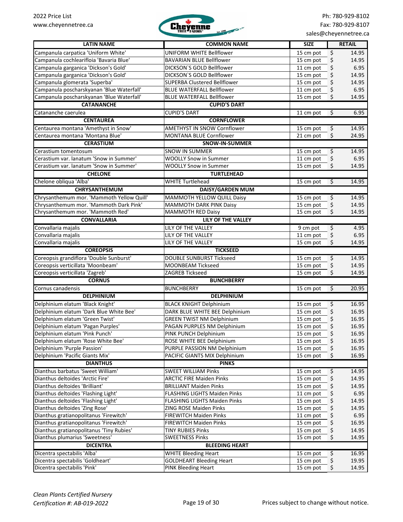

| <b>LATIN NAME</b>                         | <b>COMMON NAME</b>                                                 | <b>SIZE</b>                                 | <b>RETAIL</b>  |
|-------------------------------------------|--------------------------------------------------------------------|---------------------------------------------|----------------|
| Campanula carpatica 'Uniform White'       | <b>UNIFORM WHITE Bellflower</b>                                    | $\boldsymbol{\dot{\varsigma}}$<br>15 cm pot | 14.95          |
| Campanula cochlearifloia 'Bavaria Blue'   | <b>BAVARIAN BLUE Bellflower</b>                                    | \$<br>15 cm pot                             | 14.95          |
| Campanula garganica 'Dickson's Gold'      | DICKSON'S GOLD Bellflower                                          | \$<br>11 cm pot                             | 6.95           |
| Campanula garganica 'Dickson's Gold'      | DICKSON'S GOLD Bellflower                                          | \$<br>15 cm pot                             | 14.95          |
| Campanula glomerata 'Superba'             | SUPERBA Clustered Bellflower                                       | \$<br>15 cm pot                             | 14.95          |
| Campanula poscharskyanan 'Blue Waterfall' | <b>BLUE WATERFALL Bellflower</b>                                   | \$<br>11 cm pot                             | 6.95           |
| Campanula poscharskyanan 'Blue Waterfall' | <b>BLUE WATERFALL Bellflower</b>                                   | \$<br>15 cm pot                             | 14.95          |
| <b>CATANANCHE</b>                         | <b>CUPID'S DART</b>                                                |                                             |                |
| Catananche caerulea                       | <b>CUPID'S DART</b>                                                | 11 cm pot<br>$\ddot{\varsigma}$             | 6.95           |
| <b>CENTAUREA</b>                          | <b>CORNFLOWER</b>                                                  |                                             |                |
| Centaurea montana 'Amethyst in Snow'      | <b>AMETHYST IN SNOW Cornflower</b>                                 | $\varsigma$<br>15 cm pot                    | 14.95          |
| Centaurea montana 'Montana Blue'          | MONTANA BLUE Cornflower                                            | \$<br>21 cm pot                             | 24.95          |
| <b>CERASTIUM</b>                          | SNOW-IN-SUMMER                                                     |                                             |                |
| Cerastium tomentosum                      | <b>SNOW IN SUMMER</b>                                              | \$<br>15 cm pot                             | 14.95          |
| Cerastium var. lanatum 'Snow in Summer'   | <b>WOOLLY Snow in Summer</b>                                       | 11 cm pot<br>\$                             | 6.95           |
| Cerastium var. lanatum 'Snow in Summer'   | <b>WOOLLY Snow in Summer</b>                                       | 15 cm pot<br>\$                             | 14.95          |
| <b>CHELONE</b>                            | <b>TURTLEHEAD</b>                                                  |                                             |                |
| Chelone obliqua 'Alba'                    | <b>WHITE Turtlehead</b>                                            | $\varsigma$<br>15 cm pot                    | 14.95          |
| CHRYSANTHEMUM                             | <b>DAISY/GARDEN MUM</b>                                            |                                             |                |
| Chrysanthemum mor. 'Mammoth Yellow Quill' | MAMMOTH YELLOW QUILL Daisy                                         | \$<br>15 cm pot                             | 14.95          |
| Chrysanthemum mor. 'Mammoth Dark Pink'    | MAMMOTH DARK PINK Daisy                                            | \$<br>15 cm pot                             | 14.95          |
| Chrysanthemum mor. 'Mammoth Red'          | <b>MAMMOTH RED Daisy</b>                                           | \$<br>15 cm pot                             | 14.95          |
| <b>CONVALLARIA</b>                        | <b>LILY OF THE VALLEY</b>                                          |                                             |                |
| Convallaria majalis                       | <b>LILY OF THE VALLEY</b>                                          | $\overline{\xi}$<br>$\overline{9}$ cm pot   | 4.95           |
| Convallaria majalis                       | LILY OF THE VALLEY                                                 | \$<br>11 cm pot                             | 6.95           |
| Convallaria majalis                       | LILY OF THE VALLEY                                                 | \$<br>15 cm pot                             | 14.95          |
| <b>COREOPSIS</b>                          | <b>TICKSEED</b>                                                    |                                             |                |
| Coreopsis grandiflora 'Double Sunburst'   | <b>DOUBLE SUNBURST Tickseed</b>                                    | \$<br>15 cm pot                             | 14.95          |
| Coreopsis verticillata 'Moonbeam'         | <b>MOONBEAM Tickseed</b>                                           | 15 cm pot<br>\$                             | 14.95          |
| Coreopsis verticillata 'Zagreb'           | ZAGREB Tickseed                                                    | \$<br>15 cm pot                             | 14.95          |
| <b>CORNUS</b>                             | <b>BUNCHBERRY</b>                                                  |                                             |                |
| Cornus canadensis                         | <b>BUNCHBERRY</b>                                                  | $\overline{\mathcal{S}}$<br>15 cm pot       | 20.95          |
| <b>DELPHINIUM</b>                         | <b>DELPHINIUM</b>                                                  |                                             |                |
| Delphinium elatum 'Black Knight'          | <b>BLACK KNIGHT Delphinium</b>                                     |                                             |                |
| Delphinium elatum 'Dark Blue White Bee'   |                                                                    | \$<br>15 cm pot                             | 16.95<br>16.95 |
| Delphinium elatum 'Green Twist'           | DARK BLUE WHITE BEE Delphinium<br><b>GREEN TWIST NM Delphinium</b> | \$<br>15 cm pot<br>\$<br>15 cm pot          | 16.95          |
| Delphinium elatum 'Pagan Purples'         | PAGAN PURPLES NM Delphinium                                        | \$<br>15 cm pot                             | 16.95          |
| Delphinium elatum 'Pink Punch'            | PINK PUNCH Delphinium                                              | \$<br>15 cm pot                             | 16.95          |
| Delphinium elatum 'Rose White Bee'        | ROSE WHITE BEE Delphinium                                          | \$<br>15 cm pot                             | 16.95          |
| Delphinium 'Purple Passion'               | PURPLE PASSION NM Delphinium                                       | \$<br>15 cm pot                             | 16.95          |
| Delphinium 'Pacific Giants Mix'           | PACIFIC GIANTS MIX Delphinium                                      | 15 cm pot<br>\$                             | 16.95          |
| <b>DIANTHUS</b>                           | <b>PINKS</b>                                                       |                                             |                |
| Dianthus barbatus 'Sweet William'         |                                                                    |                                             |                |
| Dianthus deltoides 'Arctic Fire'          | <b>SWEET WILLIAM Pinks</b><br><b>ARCTIC FIRE Maiden Pinks</b>      | \$<br>15 cm pot                             | 14.95<br>14.95 |
| Dianthus deltoides 'Brilliant'            | <b>BRILLIANT Maiden Pinks</b>                                      | \$<br>15 cm pot<br>\$<br>15 cm pot          | 14.95          |
| Dianthus deltoides 'Flashing Light'       | FLASHING LIGHTS Maiden Pinks                                       | \$<br>11 cm pot                             | 6.95           |
| Dianthus deltoides 'Flashing Light'       | FLASHING LIGHTS Maiden Pinks                                       | 15 cm pot                                   | 14.95          |
| Dianthus deltoides 'Zing Rose'            | ZING ROSE Maiden Pinks                                             | \$<br>15 cm pot                             | 14.95          |
| Dianthus gratianopolitanus 'Firewitch'    | <b>FIREWITCH Maiden Pinks</b>                                      | \$<br>\$<br>11 cm pot                       | 6.95           |
| Dianthus gratianopolitanus 'Firewitch'    | FIREWITCH Maiden Pinks                                             | \$<br>15 cm pot                             | 16.95          |
| Dianthus gratianopolitanus 'Tiny Rubies'  | <b>TINY RUBIES Pinks</b>                                           | \$<br>15 cm pot                             | 14.95          |
| Dianthus plumarius 'Sweetness'            | <b>SWEETNESS Pinks</b>                                             | \$<br>15 cm pot                             | 14.95          |
| <b>DICENTRA</b>                           | <b>BLEEDING HEART</b>                                              |                                             |                |
| Dicentra spectabilis 'Alba'               | <b>WHITE Bleeding Heart</b>                                        | $\overline{\mathcal{L}}$                    | 16.95          |
| Dicentra spectabilis 'Goldheart'          | <b>GOLDHEART Bleeding Heart</b>                                    | 15 cm pot<br>\$<br>15 cm pot                | 19.95          |
| Dicentra spectabilis 'Pink'               | PINK Bleeding Heart                                                | \$<br>15 cm pot                             | 14.95          |
|                                           |                                                                    |                                             |                |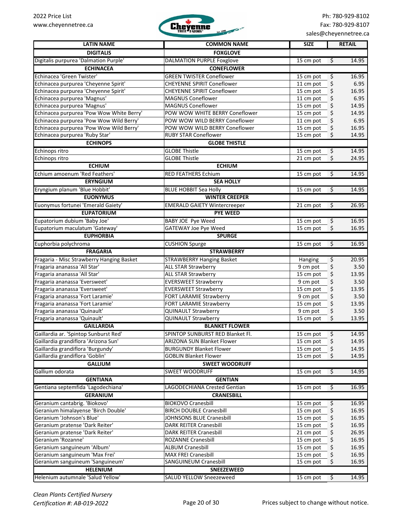

| <b>LATIN NAME</b>                         | <b>COMMON NAME</b>                  | <b>SIZE</b> | <b>RETAIL</b>                   |
|-------------------------------------------|-------------------------------------|-------------|---------------------------------|
| <b>DIGITALIS</b>                          | <b>FOXGLOVE</b>                     |             |                                 |
| Digitalis purpurea 'Dalmation Purple'     | <b>DALMATION PURPLE Foxglove</b>    | 15 cm pot   | 14.95<br>\$                     |
| <b>ECHINACEA</b>                          | <b>CONEFLOWER</b>                   |             |                                 |
| Echinacea 'Green Twister'                 | <b>GREEN TWISTER Coneflower</b>     | 15 cm pot   | \$<br>16.95                     |
| Echinacea purpurea 'Cheyenne Spirit'      | <b>CHEYENNE SPIRIT Coneflower</b>   | 11 cm pot   | \$<br>6.95                      |
| Echinacea purpurea 'Cheyenne Spirit'      | <b>CHEYENNE SPIRIT Coneflower</b>   | 15 cm pot   | \$<br>16.95                     |
| Echinacea purpurea 'Magnus'               | MAGNUS Coneflower                   | 11 cm pot   | \$<br>6.95                      |
| Echinacea purpurea 'Magnus'               | <b>MAGNUS Coneflower</b>            | 15 cm pot   | \$<br>14.95                     |
| Echinacea purpurea 'Pow Wow White Berry'  | POW WOW WHITE BERRY Coneflower      | 15 cm pot   | \$<br>14.95                     |
| Echinacea purpurea 'Pow Wow Wild Berry'   | POW WOW WILD BERRY Coneflower       | 11 cm pot   | \$<br>6.95                      |
| Echinacea purpurea 'Pow Wow Wild Berry'   | POW WOW WILD BERRY Coneflower       | 15 cm pot   | \$<br>16.95                     |
| Echinacea purpurea 'Ruby Star'            | <b>RUBY STAR Coneflower</b>         | 15 cm pot   | \$<br>14.95                     |
| <b>ECHINOPS</b>                           | <b>GLOBE THISTLE</b>                |             |                                 |
| Echinops ritro                            | <b>GLOBE Thistle</b>                | 15 cm pot   | \$<br>14.95                     |
| Echinops ritro                            | <b>GLOBE Thistle</b>                | 21 cm pot   | \$<br>24.95                     |
| <b>ECHIUM</b>                             | <b>ECHIUM</b>                       |             |                                 |
| Echium amoenum 'Red Feathers'             | <b>RED FEATHERS Echium</b>          | 15 cm pot   | $\overline{\varsigma}$<br>14.95 |
| <b>ERYNGIUM</b>                           | <b>SEA HOLLY</b>                    |             |                                 |
| Eryngium planum 'Blue Hobbit'             | <b>BLUE HOBBIT Sea Holly</b>        | 15 cm pot   | $\overline{\varsigma}$<br>14.95 |
| <b>EUONYMUS</b>                           | <b>WINTER CREEPER</b>               |             |                                 |
| Euonymus fortunei 'Emerald Gaiety'        | <b>EMERALD GAIETY Wintercreeper</b> | 21 cm pot   | $\overline{\xi}$<br>26.95       |
| <b>EUPATORIUM</b>                         | <b>PYE WEED</b>                     |             |                                 |
| Eupatorium dubium 'Baby Joe'              | <b>BABY JOE Pye Weed</b>            | 15 cm pot   | $\overline{\xi}$<br>16.95       |
| Eupatorium maculatum 'Gateway'            | <b>GATEWAY Joe Pye Weed</b>         | $15$ cm pot | \$<br>16.95                     |
| <b>EUPHORBIA</b>                          | <b>SPURGE</b>                       |             |                                 |
| Euphorbia polychroma                      | <b>CUSHION Spurge</b>               | 15 cm pot   | $\overline{\varsigma}$<br>16.95 |
| <b>FRAGARIA</b>                           | <b>STRAWBERRY</b>                   |             |                                 |
| Fragaria - Misc Strawberry Hanging Basket | <b>STRAWBERRY Hanging Basket</b>    | Hanging     | \$<br>20.95                     |
| Fragaria ananassa 'All Star'              | <b>ALL STAR Strawberry</b>          | 9 cm pot    | \$<br>3.50                      |
| Fragaria ananassa 'All Star'              | <b>ALL STAR Strawberry</b>          | 15 cm pot   | \$<br>13.95                     |
| Fragaria ananassa 'Eversweet'             | <b>EVERSWEET Strawberry</b>         | 9 cm pot    | \$<br>3.50                      |
| Fragaria ananassa 'Eversweet'             | <b>EVERSWEET Strawberry</b>         | 15 cm pot   | \$<br>13.95                     |
| Fragaria ananassa 'Fort Laramie'          | <b>FORT LARAMIE Strawberry</b>      | 9 cm pot    | \$<br>3.50                      |
| Fragaria ananassa 'Fort Laramie'          | <b>FORT LARAMIE Strawberry</b>      | 15 cm pot   | \$<br>13.95                     |
| Fragaria ananassa 'Quinault'              | <b>QUINAULT Strawberry</b>          | 9 cm pot    | \$<br>3.50                      |
| Fragaria ananassa 'Quinault'              | <b>QUINAULT Strawberry</b>          | 15 cm pot   | \$<br>13.95                     |
| <b>GAILLARDIA</b>                         | <b>BLANKET FLOWER</b>               |             |                                 |
| Gaillardia ar. 'Spintop Sunburst Red'     | SPINTOP SUNBURST RED Blanket Fl.    | 15 cm pot   | Ş<br>14.95                      |
| Gaillardia grandiflora 'Arizona Sun'      | <b>ARIZONA SUN Blanket Flower</b>   | 15 cm pot   | \$<br>14.95                     |
| Gaillardia grandiflora 'Burgundy'         | <b>BURGUNDY Blanket Flower</b>      | 15 cm pot   | \$<br>14.95                     |
| Gaillardia grandiflora 'Goblin'           | <b>GOBLIN Blanket Flower</b>        | 15 cm pot   | \$<br>14.95                     |
| <b>GALLIUM</b>                            | <b>SWEET WOODRUFF</b>               |             |                                 |
| Gallium odorata                           | <b>SWEET WOODRUFF</b>               | 15 cm pot   | 14.95<br>\$                     |
| <b>GENTIANA</b>                           | <b>GENTIAN</b>                      |             |                                 |
| Gentiana septemfida 'Lagodechiana'        | LAGODECHIANA Crested Gentian        | 15 cm pot   | $\ddot{\mathsf{S}}$<br>16.95    |
| <b>GERANIUM</b>                           | <b>CRANESBILL</b>                   |             |                                 |
| Geranium cantabrig. 'Biokovo'             | <b>BIOKOVO Cranesbill</b>           | 15 cm pot   | $\varsigma$<br>16.95            |
| Geranium himalayense 'Birch Double'       | <b>BIRCH DOUBLE Cranesbill</b>      | 15 cm pot   | \$<br>16.95                     |
| Geranium 'Johnson's Blue'                 | JOHNSONS BLUE Cranesbill            | 15 cm pot   | \$<br>16.95                     |
| Geranium pratense 'Dark Reiter'           | <b>DARK REITER Cranesbill</b>       | 15 cm pot   | \$<br>16.95                     |
| Geranium pratense 'Dark Reiter'           | <b>DARK REITER Cranesbill</b>       | 21 cm pot   | \$<br>26.95                     |
| Geranium 'Rozanne'                        | ROZANNE Cranesbill                  | 15 cm pot   | \$<br>16.95                     |
| Geranium sanguineum 'Album'               | <b>ALBUM Cranesbill</b>             | 15 cm pot   | \$<br>16.95                     |
| Geranium sanguineum 'Max Frei'            | <b>MAX FREI Cranesbill</b>          | 15 cm pot   | \$<br>16.95                     |
| Geranium sanguineum 'Sanguineum'          | <b>SANGUINEUM Cranesbill</b>        | 15 cm pot   | \$<br>16.95                     |
| <b>HELENIUM</b>                           | <b>SNEEZEWEED</b>                   |             |                                 |
| Helenium autumnale 'Salud Yellow'         | <b>SALUD YELLOW Sneezeweed</b>      | 15 cm pot   | $\sqrt{5}$<br>14.95             |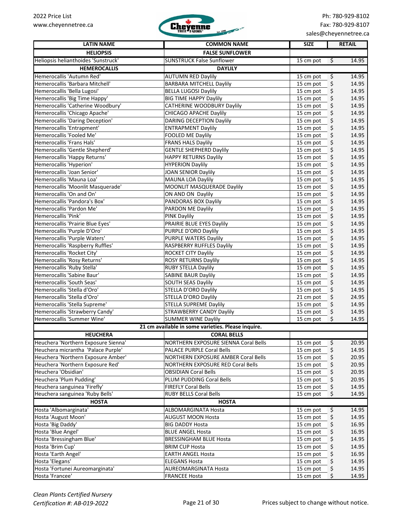

sales@cheyennetree.ca

| <b>LATIN NAME</b>                   | <b>COMMON NAME</b>                                 | <b>SIZE</b> |             | <b>RETAIL</b> |
|-------------------------------------|----------------------------------------------------|-------------|-------------|---------------|
| <b>HELIOPSIS</b>                    | <b>FALSE SUNFLOWER</b>                             |             |             |               |
| Heliopsis helianthoides 'Sunstruck' | <b>SUNSTRUCK False Sunflower</b>                   | 15 cm pot   | \$          | 14.95         |
| <b>HEMEROCALLIS</b>                 | <b>DAYLILY</b>                                     |             |             |               |
| Hemerocallis 'Autumn Red'           | <b>AUTUMN RED Daylily</b>                          | 15 cm pot   | \$          | 14.95         |
| Hemerocallis 'Barbara Mitchell'     | <b>BARBARA MITCHELL Daylily</b>                    | 15 cm pot   | \$          | 14.95         |
| Hemerocallis 'Bella Lugosi'         | <b>BELLA LUGOSI Daylily</b>                        | 15 cm pot   | \$          | 14.95         |
| Hemerocallis 'Big Time Happy'       | <b>BIG TIME HAPPY Daylily</b>                      | 15 cm pot   | \$          | 14.95         |
| Hemerocallis 'Catherine Woodbury'   | CATHERINE WOODBURY Daylily                         | 15 cm pot   | \$          | 14.95         |
| Hemerocallis 'Chicago Apache'       | CHICAGO APACHE Daylily                             | 15 cm pot   | \$          | 14.95         |
| Hemerocallis 'Daring Deception'     | <b>DARING DECEPTION Daylily</b>                    | 15 cm pot   | \$          | 14.95         |
| Hemerocallis 'Entrapment'           | <b>ENTRAPMENT Daylily</b>                          | 15 cm pot   | \$          | 14.95         |
| Hemerocallis 'Fooled Me'            | FOOLED ME Daylily                                  | 15 cm pot   | \$          | 14.95         |
| Hemerocallis 'Frans Hals'           | <b>FRANS HALS Daylily</b>                          | 15 cm pot   | \$          | 14.95         |
| Hemerocallis 'Gentle Shepherd'      | <b>GENTLE SHEPHERD Daylily</b>                     | 15 cm pot   | \$          | 14.95         |
| Hemerocallis 'Happy Returns'        | <b>HAPPY RETURNS Daylily</b>                       | 15 cm pot   | \$          | 14.95         |
| Hemerocallis 'Hyperion'             | <b>HYPERION Daylily</b>                            | 15 cm pot   | \$          | 14.95         |
| Hemerocallis 'Joan Senior'          | JOAN SENIOR Daylily                                | 15 cm pot   | \$          | 14.95         |
| Hemerocallis 'Mauna Loa'            | MAUNA LOA Daylily                                  | 15 cm pot   | \$          | 14.95         |
| Hemerocallis 'Moonlit Masquerade'   | MOONLIT MASQUERADE Daylily                         | 15 cm pot   | \$          | 14.95         |
| Hemerocallis 'On and On'            | ON AND ON Daylily                                  | 15 cm pot   | \$          | 14.95         |
| Hemerocallis 'Pandora's Box'        | PANDORAS BOX Daylily                               | 15 cm pot   | \$          | 14.95         |
| Hemerocallis 'Pardon Me'            | PARDON ME Daylily                                  | 15 cm pot   | \$          | 14.95         |
| Hemerocallis 'Pink'                 | <b>PINK Daylily</b>                                | 15 cm pot   | \$          | 14.95         |
| Hemerocallis 'Prairie Blue Eyes'    | PRAIRIE BLUE EYES Daylily                          | 15 cm pot   | \$          | 14.95         |
| Hemerocallis 'Purple D'Oro'         | PURPLE D'ORO Daylily                               | 15 cm pot   | \$          | 14.95         |
| Hemerocallis 'Purple Waters'        | PURPLE WATERS Daylily                              | 15 cm pot   | \$          | 14.95         |
| Hemerocallis 'Raspberry Ruffles'    | RASPBERRY RUFFLES Daylily                          | 15 cm pot   | \$          | 14.95         |
| Hemerocallis 'Rocket City'          | ROCKET CITY Daylily                                | 15 cm pot   | \$          | 14.95         |
| Hemerocallis 'Rosy Returns'         | ROSY RETURNS Daylily                               | 15 cm pot   | \$          | 14.95         |
| Hemerocallis 'Ruby Stella'          | <b>RUBY STELLA Daylily</b>                         | 15 cm pot   | \$          | 14.95         |
| Hemerocallis 'Sabine Baur'          | <b>SABINE BAUR Daylily</b>                         | 15 cm pot   | \$          | 14.95         |
| Hemerocallis 'South Seas'           | <b>SOUTH SEAS Daylily</b>                          | 15 cm pot   | \$          | 14.95         |
| Hemerocallis 'Stella d'Oro'         | STELLA D'ORO Daylily                               | 15 cm pot   | \$          | 14.95         |
| Hemerocallis 'Stella d'Oro'         | STELLA D'ORO Daylily                               | 21 cm pot   | \$          | 24.95         |
| Hemerocallis 'Stella Supreme'       | <b>STELLA SUPREME Daylily</b>                      | 15 cm pot   | \$          | 14.95         |
| Hemerocallis 'Strawberry Candy'     | <b>STRAWBERRY CANDY Daylily</b>                    | 15 cm pot   | \$          | 14.95         |
| Hemerocallis 'Summer Wine'          | <b>SUMMER WINE Daylily</b>                         | 15 cm pot   | \$          | 14.95         |
|                                     | 21 cm available in some varieties. Please inquire. |             |             |               |
| <b>HEUCHERA</b>                     | <b>CORAL BELLS</b>                                 |             |             |               |
| Heuchera 'Northern Exposure Sienna' | NORTHERN EXPOSURE SIENNA Coral Bells               | 15 cm pot   | $\varsigma$ | 20.95         |
| Heuchera micrantha 'Palace Purple'  | PALACE PURPLE Coral Bells                          | 15 cm pot   | \$          | 14.95         |
| Heuchera 'Northern Exposure Amber'  | NORTHERN EXPOSURE AMBER Coral Bells                | 15 cm pot   | \$          | 20.95         |
| Heuchera 'Northern Exposure Red'    | NORTHERN EXPOSURE RED Coral Bells                  | 15 cm pot   | \$          | 20.95         |
| Heuchera 'Obsidian'                 | <b>OBSIDIAN Coral Bells</b>                        | 15 cm pot   | \$          | 20.95         |
| Heuchera 'Plum Pudding'             | PLUM PUDDING Coral Bells                           | 15 cm pot   | \$          | 20.95         |
| Heuchera sanguinea 'Firefly'        | <b>FIREFLY Coral Bells</b>                         | 15 cm pot   | \$          | 14.95         |
| Heuchera sanguinea 'Ruby Bells'     | <b>RUBY BELLS Coral Bells</b>                      | 15 cm pot   | \$          | 14.95         |
| <b>HOSTA</b>                        | <b>HOSTA</b>                                       |             |             |               |
| Hosta 'Albomarginata'               | ALBOMARGINATA Hosta                                | 15 cm pot   | \$          | 14.95         |
| Hosta 'August Moon'                 | AUGUST MOON Hosta                                  | 15 cm pot   | \$          | 14.95         |
| Hosta 'Big Daddy'                   | <b>BIG DADDY Hosta</b>                             | 15 cm pot   | \$          | 16.95         |
| Hosta 'Blue Angel'                  | <b>BLUE ANGEL Hosta</b>                            | 15 cm pot   | \$          | 16.95         |
| Hosta 'Bressingham Blue'            | <b>BRESSINGHAM BLUE Hosta</b>                      | 15 cm pot   | \$          | 14.95         |
| Hosta 'Brim Cup'                    | <b>BRIM CUP Hosta</b>                              | 15 cm pot   | \$          | 14.95         |
| Hosta 'Earth Angel'                 | <b>EARTH ANGEL Hosta</b>                           | 15 cm pot   | \$          | 16.95         |
| Hosta 'Elegans'                     | <b>ELEGANS Hosta</b>                               | 15 cm pot   | \$          | 14.95         |
| Hosta 'Fortunei Aureomarginata'     | <b>AUREOMARGINATA Hosta</b>                        | 15 cm pot   | \$          | 14.95         |
| Hosta 'Francee'                     | <b>FRANCEE Hosta</b>                               | 15 cm pot   | \$          | 14.95         |
|                                     |                                                    |             |             |               |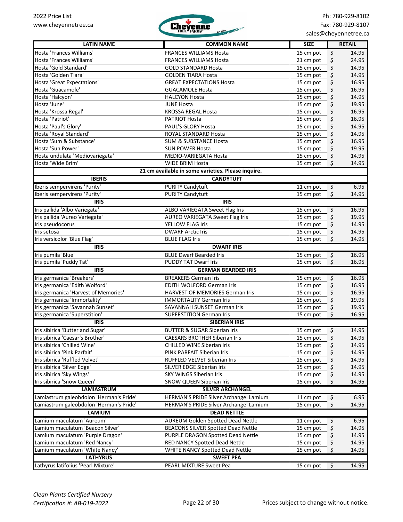

| <b>LATIN NAME</b>                                              | <b>COMMON NAME</b>                                               | <b>SIZE</b>                 | <b>RETAIL</b>     |
|----------------------------------------------------------------|------------------------------------------------------------------|-----------------------------|-------------------|
|                                                                |                                                                  |                             |                   |
| Hosta 'Frances Williams'                                       | <b>FRANCES WILLIAMS Hosta</b>                                    | 15 cm pot                   | \$<br>14.95       |
| Hosta 'Frances Williams'                                       | <b>FRANCES WILLIAMS Hosta</b>                                    | 21 cm pot                   | \$<br>24.95       |
| Hosta 'Gold Standard'                                          | <b>GOLD STANDARD Hosta</b>                                       | 15 cm pot                   | \$<br>14.95       |
| Hosta 'Golden Tiara'                                           | <b>GOLDEN TIARA Hosta</b>                                        | 15 cm pot                   | \$<br>14.95       |
| <b>Hosta 'Great Expectations'</b>                              | <b>GREAT EXPECTATIONS Hosta</b>                                  | 15 cm pot                   | \$<br>16.95       |
| Hosta 'Guacamole'                                              | <b>GUACAMOLE Hosta</b>                                           | 15 cm pot                   | \$<br>16.95       |
| Hosta 'Halcyon'                                                | <b>HALCYON Hosta</b>                                             | 15 cm pot                   | \$<br>14.95       |
| Hosta 'June'                                                   | <b>JUNE Hosta</b>                                                | 15 cm pot                   | 19.95<br>\$       |
| Hosta 'Krossa Regal'                                           | <b>KROSSA REGAL Hosta</b>                                        | 15 cm pot                   | \$<br>16.95       |
| Hosta 'Patriot'                                                | <b>PATRIOT Hosta</b>                                             | 15 cm pot                   | \$<br>16.95       |
| Hosta 'Paul's Glory'                                           | PAUL'S GLORY Hosta                                               | 15 cm pot                   | \$<br>14.95       |
| Hosta 'Royal Standard'                                         | ROYAL STANDARD Hosta                                             | 15 cm pot                   | \$<br>14.95       |
| Hosta 'Sum & Substance'                                        | <b>SUM &amp; SUBSTANCE Hosta</b>                                 | 15 cm pot                   | \$<br>16.95       |
| Hosta 'Sun Power'                                              | <b>SUN POWER Hosta</b>                                           | 15 cm pot                   | \$<br>19.95       |
| Hosta undulata 'Mediovariegata'                                | MEDIO-VARIEGATA Hosta                                            | 15 cm pot                   | 14.95<br>\$       |
| Hosta 'Wide Brim'                                              | <b>WIDE BRIM Hosta</b>                                           | 15 cm pot                   | \$<br>14.95       |
|                                                                | 21 cm available in some varieties. Please inquire.               |                             |                   |
| <b>IBERIS</b>                                                  | <b>CANDYTUFT</b>                                                 |                             |                   |
| Iberis sempervirens 'Purity'                                   | <b>PURITY Candytuft</b>                                          | 11 cm pot                   | \$<br>6.95        |
| Iberis sempervirens 'Purity'                                   | PURITY Candytuft                                                 | 15 cm pot                   | \$<br>14.95       |
| <b>IRIS</b>                                                    | <b>IRIS</b>                                                      |                             |                   |
| Iris pallida 'Albo Variegata'                                  | <b>ALBO VARIEGATA Sweet Flag Iris</b>                            | 15 cm pot                   | \$<br>16.95       |
| Iris pallida 'Aureo Variegata'                                 | <b>AUREO VARIEGATA Sweet Flag Iris</b>                           | 15 cm pot                   | \$<br>19.95       |
| Iris pseudocorus                                               | YELLOW FLAG Iris                                                 | 15 cm pot                   | \$<br>14.95       |
| Iris setosa                                                    | <b>DWARF Arctic Iris</b>                                         | 15 cm pot                   | \$<br>14.95       |
| Iris versicolor 'Blue Flag'                                    | <b>BLUE FLAG Iris</b>                                            | 15 cm pot                   | \$<br>14.95       |
| <b>IRIS</b>                                                    | <b>DWARF IRIS</b>                                                |                             |                   |
| Iris pumila 'Blue'                                             | <b>BLUE Dwarf Bearded Iris</b>                                   | 15 cm pot                   | \$<br>16.95       |
| Iris pumila 'Puddy Tat'                                        | <b>PUDDY TAT Dwarf Iris</b>                                      | 15 cm pot                   | \$<br>16.95       |
| <b>IRIS</b>                                                    | <b>GERMAN BEARDED IRIS</b>                                       |                             |                   |
| Iris germanica 'Breakers'                                      | <b>BREAKERS German Iris</b>                                      | 15 cm pot                   | \$<br>16.95       |
| Iris germanica 'Edith Wolford'                                 | EDITH WOLFORD German Iris                                        | 15 cm pot                   | \$<br>16.95       |
| Iris germanica 'Harvest of Memories'                           | <b>HARVEST OF MEMORIES German Iris</b>                           | 15 cm pot                   | \$<br>16.95       |
| Iris germanica 'Immortality'                                   | <b>IMMORTALITY German Iris</b>                                   | 15 cm pot                   | \$<br>19.95       |
| Iris germanica 'Savannah Sunset'                               | <b>SAVANNAH SUNSET German Iris</b>                               | 15 cm pot                   | \$<br>19.95       |
| Iris germanica 'Superstition'                                  | <b>SUPERSTITION German Iris</b>                                  | 15 cm pot                   | \$<br>16.95       |
| <b>IRIS</b>                                                    | <b>SIBERIAN IRIS</b>                                             |                             |                   |
| Iris sibirica 'Butter and Sugar'                               | <b>BUTTER &amp; SUGAR Siberian Iris</b>                          | 15 cm pot                   | \$<br>14.95       |
| Iris sibirica 'Caesar's Brother'                               | <b>CAESARS BROTHER Siberian Iris</b>                             | 15 cm pot                   | \$<br>14.95       |
| Iris sibirica 'Chilled Wine'                                   | <b>CHILLED WINE Siberian Iris</b>                                | 15 cm pot                   | \$<br>14.95       |
| Iris sibirica 'Pink Parfait'                                   | PINK PARFAIT Siberian Iris                                       | 15 cm pot                   | \$<br>14.95       |
| Iris sibirica 'Ruffled Velvet'                                 | RUFFLED VELVET Siberian Iris                                     | 15 cm pot                   | \$<br>14.95       |
| Iris sibirica 'Silver Edge'                                    | SILVER EDGE Siberian Iris                                        | 15 cm pot                   | \$<br>14.95       |
| Iris sibirica 'Sky Wings'                                      | <b>SKY WINGS Siberian Iris</b>                                   | 15 cm pot                   | \$<br>14.95       |
| Iris sibirica 'Snow Queen'                                     | SNOW QUEEN Siberian Iris                                         | 15 cm pot                   | \$<br>14.95       |
| <b>LAMIASTRUM</b>                                              | <b>SILVER ARCHANGEL</b>                                          |                             |                   |
| Lamiastrum galeobdolon 'Herman's Pride'                        | HERMAN'S PRIDE Silver Archangel Lamium                           | 11 cm pot                   | \$<br>6.95        |
| Lamiastrum galeobdolon 'Herman's Pride'                        | HERMAN'S PRIDE Silver Archangel Lamium                           | 15 cm pot                   | \$<br>14.95       |
| <b>LAMIUM</b>                                                  | <b>DEAD NETTLE</b>                                               |                             |                   |
| Lamium maculatum 'Aureum'                                      | <b>AUREUM Golden Spotted Dead Nettle</b>                         | 11 cm pot                   | \$<br>6.95        |
| Lamium maculatum 'Beacon Silver'                               | BEACONS SILVER Spotted Dead Nettle                               | 15 cm pot                   | \$<br>14.95       |
| Lamium maculatum 'Purple Dragon'                               | PURPLE DRAGON Spotted Dead Nettle                                | 15 cm pot                   | \$<br>14.95       |
|                                                                |                                                                  |                             |                   |
| Lamium maculatum 'Red Nancy'<br>Lamium maculatum 'White Nancy' | RED NANCY Spotted Dead Nettle<br>WHITE NANCY Spotted Dead Nettle | 15 cm pot                   | \$<br>14.95<br>\$ |
|                                                                |                                                                  | 15 cm pot                   | 14.95             |
| <b>LATHYRUS</b>                                                | <b>SWEET PEA</b>                                                 |                             |                   |
| Lathyrus latifolius 'Pearl Mixture'                            | PEARL MIXTURE Sweet Pea                                          | 15 cm pot<br>$\ddot{\zeta}$ | 14.95             |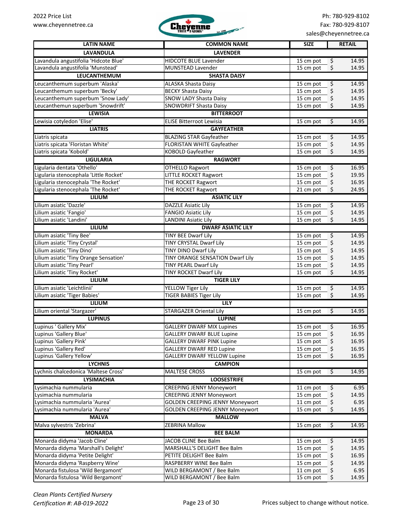

| <b>LATIN NAME</b>                      | <b>COMMON NAME</b>                     | <b>SIZE</b>                   | <b>RETAIL</b> |
|----------------------------------------|----------------------------------------|-------------------------------|---------------|
|                                        |                                        |                               |               |
| <b>LAVANDULA</b>                       | <b>LAVENDER</b>                        |                               |               |
| Lavandula angustifolia 'Hidcote Blue'  | <b>HIDCOTE BLUE Lavender</b>           | \$<br>15 cm pot               | 14.95         |
| Lavandula angustifolia 'Munstead'      | MUNSTEAD Lavender                      | \$<br>15 cm pot               | 14.95         |
| <b>LEUCANTHEMUM</b>                    | <b>SHASTA DAISY</b>                    |                               |               |
| Leucanthemum superbum 'Alaska'         | <b>ALASKA Shasta Daisy</b>             | \$<br>15 cm pot               | 14.95         |
| Leucanthemum superbum 'Becky'          | <b>BECKY Shasta Daisy</b>              | \$<br>15 cm pot               | 14.95         |
| Leucanthemum superbum 'Snow Lady'      | <b>SNOW LADY Shasta Daisy</b>          | \$<br>15 cm pot               | 14.95         |
| Leucanthemun superbum 'Snowdrift'      | <b>SNOWDRIFT Shasta Daisy</b>          | \$<br>15 cm pot               | 14.95         |
| <b>LEWISIA</b>                         | <b>BITTERROOT</b>                      |                               |               |
| Lewisia cotyledon 'Elise'              | <b>ELISE Bitterroot Lewisia</b>        | 15 cm pot<br>$\varsigma$      | 14.95         |
| <b>LIATRIS</b>                         | <b>GAYFEATHER</b>                      |                               |               |
| Liatris spicata                        | <b>BLAZING STAR Gayfeather</b>         | $\varsigma$<br>15 cm pot      | 14.95         |
| Liatris spicata 'Floristan White'      | FLORISTAN WHITE Gayfeather             | \$<br>15 cm pot               | 14.95         |
| Liatris spicata 'Kobold'               | <b>KOBOLD Gayfeather</b>               | 15 cm pot<br>\$               | 14.95         |
| <b>LIGULARIA</b>                       | <b>RAGWORT</b>                         |                               |               |
| Ligularia dentata 'Othello'            | <b>OTHELLO Ragwort</b>                 | \$<br>15 cm pot               | 16.95         |
| Ligularia stenocephala 'Little Rocket' | <b>LITTLE ROCKET Ragwort</b>           | \$<br>15 cm pot               | 19.95         |
| Ligularia stenocephala 'The Rocket'    | THE ROCKET Ragwort                     | \$<br>15 cm pot               | 16.95         |
| Ligularia stenocephala 'The Rocket'    | THE ROCKET Ragwort                     | \$<br>21 cm pot               | 24.95         |
| <b>LILIUM</b>                          | <b>ASIATIC LILY</b>                    |                               |               |
| Lilium asiatic 'Dazzle'                | <b>DAZZLE Asiatic Lily</b>             | $\overline{\xi}$<br>15 cm pot | 14.95         |
| Lilium asiatic 'Fangio'                | <b>FANGIO Asiatic Lily</b>             | \$<br>15 cm pot               | 14.95         |
| Lilium asiatic 'Landini'               | <b>LANDINI Asiatic Lily</b>            | \$<br>15 cm pot               | 14.95         |
| <b>LILIUM</b>                          | <b>DWARF ASIATIC LILY</b>              |                               |               |
| Lilium asiatic 'Tiny Bee'              | <b>TINY BEE Dwarf Lily</b>             | 15 cm pot<br>\$               | 14.95         |
| Lilium asiatic 'Tiny Crystal'          | TINY CRYSTAL Dwarf Lily                | \$<br>15 cm pot               | 14.95         |
| Lilium asiatic 'Tiny Dino'             | TINY DINO Dwarf Lily                   | \$<br>15 cm pot               | 14.95         |
| Lilium asiatic 'Tiny Orange Sensation' | TINY ORANGE SENSATION Dwarf Lily       | \$<br>15 cm pot               | 14.95         |
| Lilium asiatic 'Tiny Pearl'            | <b>TINY PEARL Dwarf Lily</b>           | \$<br>15 cm pot               | 14.95         |
| Lilium asiatic 'Tiny Rocket'           | TINY ROCKET Dwarf Lily                 | \$<br>15 cm pot               | 14.95         |
| <b>LILIUM</b>                          | <b>TIGER LILY</b>                      |                               |               |
| Lilium asiatic 'Leichtlinii'           | YELLOW Tiger Lily                      | $\varsigma$<br>15 cm pot      | 14.95         |
| Lilium asiatic 'Tiger Babies'          | <b>TIGER BABIES Tiger Lily</b>         | \$<br>15 cm pot               | 14.95         |
| LILIUM                                 | <b>LILY</b>                            |                               |               |
| Lilium oriental 'Stargazer'            | <b>STARGAZER Oriental Lily</b>         | $\varsigma$<br>15 cm pot      | 14.95         |
| <b>LUPINUS</b>                         | <b>LUPINE</b>                          |                               |               |
| Lupinus ' Gallery Mix'                 | <b>GALLERY DWARF MIX Lupines</b>       | \$<br>15 cm pot               | 16.95         |
| Lupinus 'Gallery Blue'                 | GALLERY DWARF BLUE Lupine              | 15 cm pot<br>Ş                | 16.95         |
| Lupinus 'Gallery Pink'                 | <b>GALLERY DWARF PINK Lupine</b>       | \$<br>15 cm pot               | 16.95         |
| Lupinus 'Gallery Red'                  | <b>GALLERY DWARF RED Lupine</b>        | 15 cm pot<br>\$               | 16.95         |
| Lupinus 'Gallery Yellow'               | <b>GALLERY DWARF YELLOW Lupine</b>     | \$<br>15 cm pot               | 16.95         |
| <b>LYCHNIS</b>                         | <b>CAMPION</b>                         |                               |               |
| Lychnis chalcedonica 'Maltese Cross'   | <b>MALTESE CROSS</b>                   | $\varsigma$<br>15 cm pot      | 14.95         |
| <b>LYSIMACHIA</b>                      |                                        |                               |               |
|                                        | <b>LOOSESTRIFE</b>                     |                               |               |
| Lysimachia nummularia                  | <b>CREEPING JENNY Moneywort</b>        | \$<br>11 cm pot               | 6.95          |
| Lysimachia nummularia                  | <b>CREEPING JENNY Moneywort</b>        | \$<br>15 cm pot               | 14.95         |
| Lysimachia nummularia 'Aurea'          | <b>GOLDEN CREEPING JENNY Moneywort</b> | \$<br>11 cm pot               | 6.95          |
| Lysimachia nummularia 'Aurea'          | <b>GOLDEN CREEPING JENNY Moneywort</b> | \$<br>15 cm pot               | 14.95         |
| <b>MALVA</b>                           | <b>MALLOW</b>                          |                               |               |
| Malva sylvestris 'Zebrina'             | <b>ZEBRINA Mallow</b>                  | $\varsigma$<br>15 cm pot      | 14.95         |
| <b>MONARDA</b>                         | <b>BEE BALM</b>                        |                               |               |
| Monarda didyma 'Jacob Cline'           | JACOB CLINE Bee Balm                   | \$<br>15 cm pot               | 14.95         |
| Monarda didyma 'Marshall's Delight'    | MARSHALL'S DELIGHT Bee Balm            | \$<br>15 cm pot               | 14.95         |
| Monarda didyma 'Petite Delight'        | PETITE DELIGHT Bee Balm                | \$<br>15 cm pot               | 16.95         |
| Monarda didyma 'Raspberry Wine'        | RASPBERRY WINE Bee Balm                | \$<br>15 cm pot               | 14.95         |
| Monarda fistulosa 'Wild Bergamont'     | WILD BERGAMONT / Bee Balm              | \$<br>11 cm pot               | 6.95          |
| Monarda fistulosa 'Wild Bergamont'     | WILD BERGAMONT / Bee Balm              | \$<br>15 cm pot               | 14.95         |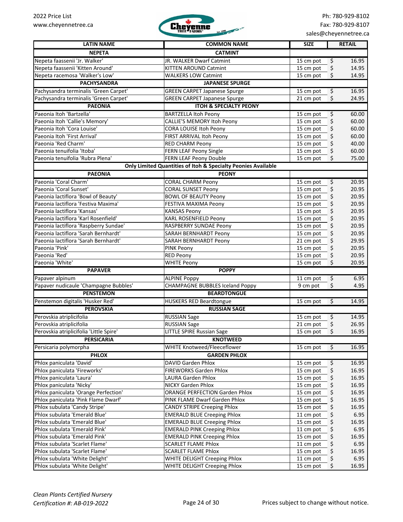

| <b>LATIN NAME</b>                       | <b>COMMON NAME</b>                                            | <b>SIZE</b> | <b>RETAIL</b>               |
|-----------------------------------------|---------------------------------------------------------------|-------------|-----------------------------|
| <b>NEPETA</b>                           | <b>CATMINT</b>                                                |             |                             |
| Nepeta faassenii 'Jr. Walker'           | JR. WALKER Dwarf Catmint                                      | 15 cm pot   | \$<br>16.95                 |
| Nepeta faassenii 'Kitten Around'        | <b>KITTEN AROUND Catmint</b>                                  | 15 cm pot   | \$<br>14.95                 |
| Nepeta racemosa 'Walker's Low'          | <b>WALKERS LOW Catmint</b>                                    | 15 cm pot   | \$<br>14.95                 |
| <b>PACHYSANDRA</b>                      | <b>JAPANESE SPURGE</b>                                        |             |                             |
| Pachysandra terminalis 'Green Carpet'   | <b>GREEN CARPET Japanese Spurge</b>                           | $15$ cm pot | \$<br>16.95                 |
| Pachysandra terminalis 'Green Carpet'   | <b>GREEN CARPET Japanese Spurge</b>                           | 21 cm pot   | \$<br>24.95                 |
| <b>PAEONIA</b>                          | <b>ITOH &amp; SPECIALTY PEONY</b>                             |             |                             |
| Paeonia Itoh 'Bartzella'                | <b>BARTZELLA Itoh Peony</b>                                   | 15 cm pot   | \$<br>60.00                 |
| Paeonia Itoh 'Callie's Memory'          | CALLIE'S MEMORY Itoh Peony                                    | 15 cm pot   | \$<br>60.00                 |
| Paeonia Itoh 'Cora Louise'              | CORA LOUISE Itoh Peony                                        | 15 cm pot   | \$<br>60.00                 |
| Paeonia Itoh 'First Arrival'            | FIRST ARRIVAL Itoh Peony                                      | 15 cm pot   | \$<br>60.00                 |
| Paeonia 'Red Charm'                     | <b>RED CHARM Peony</b>                                        | 15 cm pot   | \$<br>40.00                 |
| Paeonia tenuifolia 'Itoba'              | FERN LEAF Peony Single                                        | 15 cm pot   | \$<br>60.00                 |
| Paeonia tenuifolia 'Rubra Plena'        | FERN LEAF Peony Double                                        | 15 cm pot   | Ś.<br>75.00                 |
|                                         | Only Limited Quantities of Itoh & Specialty Peonies Available |             |                             |
| <b>PAEONIA</b>                          | <b>PEONY</b>                                                  |             |                             |
| Paeonia 'Coral Charm'                   | <b>CORAL CHARM Peony</b>                                      | 15 cm pot   | $\overline{\xi}$<br>20.95   |
| Paeonia 'Coral Sunset'                  | <b>CORAL SUNSET Peony</b>                                     | 15 cm pot   | \$<br>20.95                 |
| Paeonia lactiflora 'Bowl of Beauty'     | <b>BOWL OF BEAUTY Peony</b>                                   | 15 cm pot   | \$<br>20.95                 |
| Paeonia lactiflora 'Festiva Maxima'     | FESTIVA MAXIMA Peony                                          | 15 cm pot   | \$<br>20.95                 |
| Paeonia lactiflora 'Kansas'             | <b>KANSAS Peony</b>                                           | 15 cm pot   | 20.95<br>\$                 |
| Paeonia lactiflora 'Karl Rosenfield'    | KARL ROSENFIELD Peony                                         | 15 cm pot   | \$<br>20.95                 |
| Paeonia lactiflora 'Raspberry Sundae'   | RASPBERRY SUNDAE Peony                                        | 15 cm pot   | \$<br>20.95                 |
| Paeonia lactiflora 'Sarah Bernhardt'    | SARAH BERNHARDT Peony                                         | 15 cm pot   | \$<br>20.95                 |
| Paeonia lactiflora 'Sarah Bernhardt'    | SARAH BERNHARDT Peony                                         | 21 cm pot   | \$<br>29.95                 |
| Paeonia 'Pink'                          | PINK Peony                                                    | 15 cm pot   | \$<br>20.95                 |
| Paeonia 'Red'                           | <b>RED Peony</b>                                              | 15 cm pot   | \$<br>20.95                 |
| Paeonia 'White'                         | <b>WHITE Peony</b>                                            | 15 cm pot   | \$<br>20.95                 |
| <b>PAPAVER</b>                          | <b>POPPY</b>                                                  |             |                             |
| Papaver alpinum                         | <b>ALPINE Poppy</b>                                           | 11 cm pot   | \$<br>6.95                  |
| Papaver nudicaule 'Champagne Bubbles'   | <b>CHAMPAGNE BUBBLES Iceland Poppy</b>                        | 9 cm pot    | \$<br>4.95                  |
| <b>PENSTEMON</b>                        | <b>BEARDTONGUE</b>                                            |             |                             |
| Penstemon digitalis 'Husker Red'        | <b>HUSKERS RED Beardtongue</b>                                | 15 cm pot   | Ś.<br>14.95                 |
| <b>PEROVSKIA</b>                        | <b>RUSSIAN SAGE</b>                                           |             |                             |
| Perovskia atriplicifolia                | <b>RUSSIAN Sage</b>                                           | 15 cm pot   | \$<br>14.95                 |
| Perovskia atriplicifolia                | <b>RUSSIAN Sage</b>                                           | 21 cm pot   | \$<br>26.95                 |
| Perovskia atriplicifolia 'Little Spire' | LITTLE SPIRE Russian Sage                                     | 15 cm pot   | $\mathsf{\dot{S}}$<br>16.95 |
| <b>PERSICARIA</b>                       | <b>KNOTWEED</b>                                               |             |                             |
| Persicaria polymorpha                   | WHITE Knotweed/Fleeceflower                                   | 15 cm pot   | $\overline{\xi}$<br>16.95   |
| <b>PHLOX</b>                            | <b>GARDEN PHLOX</b>                                           |             |                             |
| Phlox paniculata 'David'                | DAVID Garden Phlox                                            | 15 cm pot   | \$<br>16.95                 |
| Phlox paniculata 'Fireworks'            | FIREWORKS Garden Phlox                                        | 15 cm pot   | \$<br>16.95                 |
| Phlox paniculata 'Laura'                | LAURA Garden Phlox                                            | 15 cm pot   | \$<br>16.95                 |
| Phlox paniculata 'Nicky'                | NICKY Garden Phlox                                            | 15 cm pot   | \$<br>16.95                 |
| Phlox paniculata 'Orange Perfection'    | ORANGE PERFECTION Garden Phlox                                | 15 cm pot   | \$<br>16.95                 |
| Phlox paniculata 'Pink Flame Dwarf'     | PINK FLAME Dwarf Garden Phlox                                 | 15 cm pot   | \$<br>16.95                 |
| Phlox subulata 'Candy Stripe'           | <b>CANDY STRIPE Creeping Phlox</b>                            | 15 cm pot   | \$<br>16.95                 |
| Phlox subulata 'Emerald Blue'           | <b>EMERALD BLUE Creeping Phlox</b>                            | 11 cm pot   | \$<br>6.95                  |
| Phlox subulata 'Emerald Blue'           | <b>EMERALD BLUE Creeping Phlox</b>                            | 15 cm pot   | \$<br>16.95                 |
| Phlox subulata 'Emerald Pink'           | <b>EMERALD PINK Creeping Phlox</b>                            | 11 cm pot   | \$<br>6.95                  |
| Phlox subulata 'Emerald Pink'           | <b>EMERALD PINK Creeping Phlox</b>                            | 15 cm pot   | \$<br>16.95                 |
| Phlox subulata 'Scarlet Flame'          | <b>SCARLET FLAME Phlox</b>                                    | 11 cm pot   | \$<br>6.95                  |
| Phlox subulata 'Scarlet Flame'          | <b>SCARLET FLAME Phlox</b>                                    | 15 cm pot   | \$<br>16.95                 |
| Phlox subulata 'White Delight'          | WHITE DELIGHT Creeping Phlox                                  | 11 cm pot   | \$<br>6.95                  |
| Phlox subulata 'White Delight'          | WHITE DELIGHT Creeping Phlox                                  | 15 cm pot   | \$<br>16.95                 |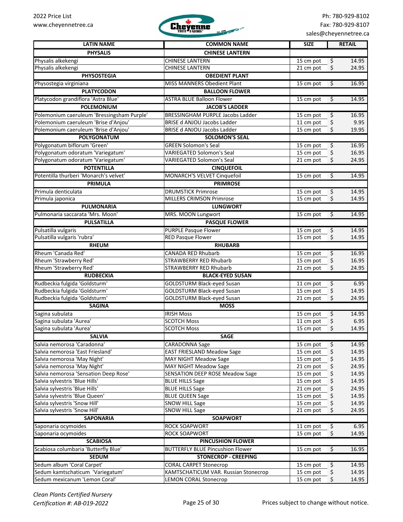

| <b>LATIN NAME</b>                                              | <b>COMMON NAME</b>                                                     | <b>SIZE</b>            |             | <b>RETAIL</b>  |
|----------------------------------------------------------------|------------------------------------------------------------------------|------------------------|-------------|----------------|
| <b>PHYSALIS</b>                                                | <b>CHINESE LANTERN</b>                                                 |                        |             |                |
| Physalis alkekengi                                             | <b>CHINESE LANTERN</b>                                                 | 15 cm pot              | \$          | 14.95          |
| Physalis alkekengi                                             | <b>CHINESE LANTERN</b>                                                 | $21$ cm pot            | \$          | 24.95          |
| <b>PHYSOSTEGIA</b>                                             | <b>OBEDIENT PLANT</b>                                                  |                        |             |                |
| Physostegia virginiana                                         | MISS MANNERS Obedient Plant                                            | 15 cm pot              | $\varsigma$ | 16.95          |
| <b>PLATYCODON</b>                                              | <b>BALLOON FLOWER</b>                                                  |                        |             |                |
| Platycodon grandiflora 'Astra Blue'                            | <b>ASTRA BLUE Balloon Flower</b>                                       | 15 cm pot              | \$          | 14.95          |
| <b>POLEMONIUM</b>                                              | <b>JACOB'S LADDER</b>                                                  |                        |             |                |
| Polemonium caeruleum 'Bressingsham Purple'                     | BRESSINGHAM PURPLE Jacobs Ladder                                       | 15 cm pot              | $\varsigma$ | 16.95          |
| Polemonium caeruleum 'Brise d'Anjou'                           | <b>BRISE d ANJOU Jacobs Ladder</b>                                     | 11 cm pot              | \$          | 9.95           |
| Polemonium caeruleum 'Brise d'Anjou'                           | <b>BRISE d ANJOU Jacobs Ladder</b>                                     | 15 cm pot              | \$          | 19.95          |
| <b>POLYGONATUM</b>                                             | <b>SOLOMON'S SEAL</b>                                                  |                        |             |                |
| Polygonatum biflorum 'Green'                                   | <b>GREEN Solomon's Seal</b>                                            | 15 cm pot              | \$          | 16.95          |
| Polygonatum odoratum 'Variegatum'                              | <b>VARIEGATED Solomon's Seal</b>                                       | 15 cm pot              | \$          | 16.95          |
| Polygonatum odoratum 'Variegatum'                              | <b>VARIEGATED Solomon's Seal</b>                                       | 21 cm pot              | \$          | 24.95          |
| <b>POTENTILLA</b>                                              | <b>CINQUEFOIL</b>                                                      |                        |             |                |
| Potentilla thurberi 'Monarch's velvet'                         | MONARCH'S VELVET Cinquefoil                                            | 15 cm pot              | \$          | 14.95          |
| <b>PRIMULA</b>                                                 | <b>PRIMROSE</b>                                                        |                        |             |                |
| Primula denticulata                                            | <b>DRUMSTICK Primrose</b>                                              |                        |             | 14.95          |
| Primula japonica                                               | <b>MILLERS CRIMSON Primrose</b>                                        | 15 cm pot<br>15 cm pot | \$<br>\$    | 14.95          |
| PULMONARIA                                                     | <b>LUNGWORT</b>                                                        |                        |             |                |
| Pulmonaria saccarata 'Mrs. Moon'                               | MRS. MOON Lungwort                                                     | 15 cm pot              | \$          | 14.95          |
| <b>PULSATILLA</b>                                              | <b>PASQUE FLOWER</b>                                                   |                        |             |                |
|                                                                |                                                                        |                        |             |                |
| Pulsatilla vulgaris<br>Pulsatilla vulgaris 'rubra'             | <b>PURPLE Pasque Flower</b><br><b>RED Pasque Flower</b>                | 15 cm pot<br>15 cm pot | \$<br>\$    | 14.95          |
| <b>RHEUM</b>                                                   | <b>RHUBARB</b>                                                         |                        |             | 14.95          |
|                                                                |                                                                        |                        |             |                |
| Rheum 'Canada Red'                                             | <b>CANADA RED Rhubarb</b>                                              | 15 cm pot              | \$          | 16.95          |
| Rheum 'Strawberry Red'<br>Rheum 'Strawberry Red'               | <b>STRAWBERRY RED Rhubarb</b><br><b>STRAWBERRY RED Rhubarb</b>         | 15 cm pot<br>21 cm pot | \$<br>\$    | 16.95<br>24.95 |
| <b>RUDBECKIA</b>                                               | <b>BLACK-EYED SUSAN</b>                                                |                        |             |                |
|                                                                |                                                                        |                        |             |                |
| Rudbeckia fulgida 'Goldsturm'                                  | <b>GOLDSTURM Black-eyed Susan</b>                                      | 11 cm pot              | \$          | 6.95           |
| Rudbeckia fulgida 'Goldsturm'<br>Rudbeckia fulgida 'Goldsturm' | <b>GOLDSTURM Black-eyed Susan</b><br><b>GOLDSTURM Black-eyed Susan</b> | 15 cm pot<br>21 cm pot | \$<br>\$    | 14.95<br>24.95 |
| <b>SAGINA</b>                                                  | <b>MOSS</b>                                                            |                        |             |                |
| Sagina subulata                                                | <b>IRISH Moss</b>                                                      |                        |             |                |
| Sagina subulata 'Aurea'                                        | <b>SCOTCH Moss</b>                                                     | 15 cm pot<br>11 cm pot | \$<br>\$    | 14.95<br>6.95  |
| Sagina subulata 'Aurea'                                        | <b>SCOTCH Moss</b>                                                     | 15 cm pot              | \$          | 14.95          |
| <b>SALVIA</b>                                                  | <b>SAGE</b>                                                            |                        |             |                |
| Salvia nemorosa 'Caradonna'                                    | <b>CARADONNA Sage</b>                                                  | 15 cm pot              | $\varsigma$ | 14.95          |
| Salvia nemorosa 'East Friesland'                               | <b>EAST FRIESLAND Meadow Sage</b>                                      | 15 cm pot              | \$          | 14.95          |
| Salvia nemorosa 'May Night'                                    | <b>MAY NIGHT Meadow Sage</b>                                           | 15 cm pot              | \$          | 14.95          |
| Salvia nemorosa 'May Night'                                    | <b>MAY NIGHT Meadow Sage</b>                                           | 21 cm pot              | \$          | 24.95          |
| Salvia nemorosa 'Sensation Deep Rose'                          | <b>SENSATION DEEP ROSE Meadow Sage</b>                                 | 15 cm pot              | \$          | 14.95          |
| Salvia sylvestris 'Blue Hills'                                 | <b>BLUE HILLS Sage</b>                                                 | 15 cm pot              | \$          | 14.95          |
| Salvia sylvestris 'Blue Hills'                                 | <b>BLUE HILLS Sage</b>                                                 | 21 cm pot              | \$          | 24.95          |
| Salvia sylvestris 'Blue Queen'                                 | <b>BLUE QUEEN Sage</b>                                                 | 15 cm pot              | \$          | 14.95          |
| Salvia sylvestris 'Snow Hill'                                  | <b>SNOW HILL Sage</b>                                                  | 15 cm pot              | \$          | 14.95          |
| Salvia sylvestris 'Snow Hill'                                  | <b>SNOW HILL Sage</b>                                                  | 21 cm pot              | \$          | 24.95          |
| <b>SAPONARIA</b>                                               | <b>SOAPWORT</b>                                                        |                        |             |                |
| Saponaria ocymoides                                            | <b>ROCK SOAPWORT</b>                                                   | 11 cm pot              | \$          | 6.95           |
| Saponaria ocymoides                                            | <b>ROCK SOAPWORT</b>                                                   | 15 cm pot              | \$          | 14.95          |
| <b>SCABIOSA</b>                                                | <b>PINCUSHION FLOWER</b>                                               |                        |             |                |
| Scabiosa columbaria 'Butterfly Blue'                           | <b>BUTTERFLY BLUE Pincushion Flower</b>                                | 15 cm pot              | \$          | 16.95          |
| <b>SEDUM</b>                                                   | <b>STONECROP - CREEPING</b>                                            |                        |             |                |
| Sedum album 'Coral Carpet'                                     | <b>CORAL CARPET Stonecrop</b>                                          | 15 cm pot              | \$          | 14.95          |
| Sedum kamtschaticum 'Variegatum'                               | KAMTSCHATICUM VAR. Russian Stonecrop                                   | 15 cm pot              | \$          | 14.95          |
| Sedum mexicanum 'Lemon Coral'                                  | <b>LEMON CORAL Stonecrop</b>                                           | 15 cm pot              | \$          | 14.95          |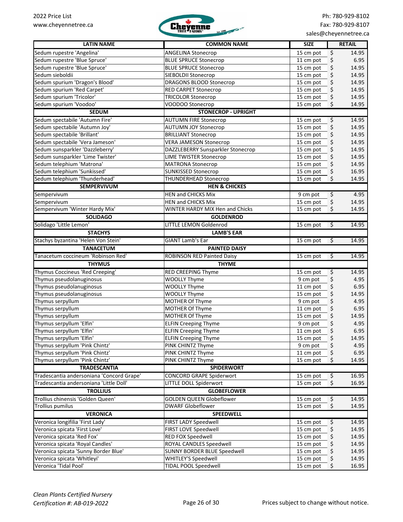

| <b>LATIN NAME</b>                                                | <b>COMMON NAME</b>                                        | <b>SIZE</b>                          | <b>RETAIL</b>                   |
|------------------------------------------------------------------|-----------------------------------------------------------|--------------------------------------|---------------------------------|
| Sedum rupestre 'Angelina'                                        | <b>ANGELINA Stonecrop</b>                                 | 15 cm pot                            | \$<br>14.95                     |
| Sedum rupestre 'Blue Spruce'                                     | <b>BLUE SPRUCE Stonecrop</b>                              | 11 cm pot                            | \$<br>6.95                      |
| Sedum rupestre 'Blue Spruce'                                     | <b>BLUE SPRUCE Stonecrop</b>                              | 15 cm pot                            | \$<br>14.95                     |
| Sedum sieboldii                                                  | SIEBOLDII Stonecrop                                       | 15 cm pot                            | \$<br>14.95                     |
| Sedum spurium 'Dragon's Blood'                                   | DRAGONS BLOOD Stonecrop                                   | 15 cm pot                            | \$<br>14.95                     |
| Sedum spurium 'Red Carpet'                                       | RED CARPET Stonecrop                                      | 15 cm pot                            | \$<br>14.95                     |
| Sedum spurium 'Tricolor'                                         | <b>TRICOLOR Stonecrop</b>                                 | 15 cm pot                            | \$<br>14.95                     |
| Sedum spurium 'Voodoo'                                           | VOODOO Stonecrop                                          | 15 cm pot                            | \$<br>14.95                     |
| <b>SEDUM</b>                                                     | <b>STONECROP - UPRIGHT</b>                                |                                      |                                 |
| Sedum spectabile 'Autumn Fire'                                   | <b>AUTUMN FIRE Stonecrop</b>                              | 15 cm pot                            | \$<br>14.95                     |
| Sedum spectabile 'Autumn Joy'                                    | <b>AUTUMN JOY Stonecrop</b>                               | 15 cm pot                            | \$<br>14.95                     |
| Sedum spectabile 'Brillant'                                      | <b>BRILLIANT Stonecrop</b>                                | 15 cm pot                            | \$<br>14.95                     |
| Sedum spectabile 'Vera Jameson'                                  | <b>VERA JAMESON Stonecrop</b>                             | 15 cm pot                            | \$<br>14.95                     |
| Sedum sunsparkler 'Dazzleberry'                                  | DAZZLEBERRY Sunsparkler Stonecrop                         | 15 cm pot                            | \$<br>14.95                     |
| Sedum sunsparkler 'Lime Twister'                                 | <b>LIME TWISTER Stonecrop</b>                             | 15 cm pot                            | \$<br>14.95                     |
| Sedum telephium 'Matrona'                                        | <b>MATRONA Stonecrop</b>                                  | 15 cm pot                            | \$<br>14.95                     |
| Sedum telephium 'Sunkissed'                                      | <b>SUNKISSED Stonecrop</b>                                | 15 cm pot                            | \$<br>16.95                     |
| Sedum telephium 'Thunderhead'                                    | THUNDERHEAD Stonecrop                                     | 15 cm pot                            | \$<br>14.95                     |
| <b>SEMPERVIVUM</b>                                               | <b>HEN &amp; CHICKES</b>                                  |                                      |                                 |
| Sempervivum                                                      | HEN and CHICKS Mix                                        | 9 cm pot                             | $\overline{\mathbf{r}}$<br>4.95 |
| Sempervivum                                                      | HEN and CHICKS Mix                                        | 15 cm pot                            | \$<br>14.95                     |
| Sempervivum 'Winter Hardy Mix'                                   | WINTER HARDY MIX Hen and Chicks                           | 15 cm pot                            | \$<br>14.95                     |
| <b>SOLIDAGO</b>                                                  | <b>GOLDENROD</b>                                          |                                      |                                 |
| Solidago 'Little Lemon'                                          | <b>LITTLE LEMON Goldenrod</b>                             | $\overline{\mathbf{v}}$              | 14.95                           |
| <b>STACHYS</b>                                                   | <b>LAMB'S EAR</b>                                         | 15 cm pot                            |                                 |
|                                                                  |                                                           |                                      |                                 |
| Stachys byzantina 'Helen Von Stein'                              | <b>GIANT Lamb's Ear</b>                                   | 15 cm pot<br>$\overline{\mathbf{v}}$ | 14.95                           |
| <b>TANACETUM</b>                                                 | <b>PAINTED DAISY</b>                                      |                                      |                                 |
| Tanacetum coccineum 'Robinson Red'                               | <b>ROBINSON RED Painted Daisy</b>                         | \$<br>15 cm pot                      | 14.95                           |
| <b>THYMUS</b>                                                    | <b>THYME</b>                                              |                                      |                                 |
| Thymus Coccineus 'Red Creeping'                                  | RED CREEPING Thyme                                        | 15 cm pot                            | 14.95<br>\$                     |
| Thymus pseudolanuginosus                                         | <b>WOOLLY Thyme</b>                                       | 9 cm pot                             | \$<br>4.95                      |
| Thymus pseudolanuginosus                                         | <b>WOOLLY Thyme</b>                                       | 11 cm pot                            | \$<br>6.95                      |
| Thymus pseudolanuginosus                                         | <b>WOOLLY Thyme</b>                                       | 15 cm pot                            | \$<br>14.95                     |
| Thymus serpyllum                                                 | MOTHER Of Thyme                                           | 9 cm pot                             | \$<br>4.95                      |
| Thymus serpyllum                                                 | MOTHER Of Thyme                                           | 11 cm pot                            | \$<br>6.95                      |
| Thymus serpyllum                                                 | MOTHER Of Thyme<br><b>ELFIN Creeping Thyme</b>            | 15 cm pot                            | \$<br>14.95                     |
| Thymus serpyllum 'Elfin'<br>Thymus serpyllum 'Elfin'             |                                                           | 9 cm pot<br>11 cm pot                | \$<br>4.95<br>6.95              |
|                                                                  | <b>ELFIN Creeping Thyme</b>                               |                                      | \$                              |
| Thymus serpyllum 'Elfin'                                         | <b>ELFIN Creeping Thyme</b>                               | 15 cm pot                            | \$<br>14.95                     |
| Thymus serpyllum 'Pink Chintz'<br>Thymus serpyllum 'Pink Chintz' | PINK CHINTZ Thyme                                         | 9 cm pot                             | \$<br>4.95                      |
| Thymus serpyllum 'Pink Chintz'                                   | PINK CHINTZ Thyme<br>PINK CHINTZ Thyme                    | 11 cm pot<br>15 cm pot               | \$<br>6.95<br>\$                |
| <b>TRADESCANTIA</b>                                              | <b>SPIDERWORT</b>                                         |                                      | 14.95                           |
| Tradescantia andersoniana 'Concord Grape'                        |                                                           |                                      | $\overline{\varsigma}$          |
| Tradescantia andersoniana 'Little Doll'                          | <b>CONCORD GRAPE Spiderwort</b><br>LITTLE DOLL Spiderwort | 15 cm pot<br>15 cm pot               | 16.95<br>\$<br>16.95            |
|                                                                  |                                                           |                                      |                                 |
| <b>TROLLIUS</b>                                                  | <b>GLOBEFLOWER</b>                                        |                                      |                                 |
| Trollius chinensis 'Golden Queen'                                | <b>GOLDEN QUEEN Globeflower</b>                           | 15 cm pot                            | $\varsigma$<br>14.95            |
| <b>Trollius pumilus</b>                                          | <b>DWARF Globeflower</b>                                  | 15 cm pot                            | \$<br>14.95                     |
| <b>VERONICA</b>                                                  | <b>SPEEDWELL</b>                                          |                                      |                                 |
| Veronica longifilia 'First Lady'                                 | FIRST LADY Speedwell                                      | 15 cm pot                            | 14.95<br>\$                     |
| Veronica spicata 'First Love'                                    | FIRST LOVE Speedwell                                      | 15 cm pot                            | \$<br>14.95                     |
| Veronica spicata 'Red Fox'                                       | RED FOX Speedwell                                         | 15 cm pot                            | \$<br>14.95                     |
| Veronica spicata 'Royal Candles'                                 | ROYAL CANDLES Speedwell                                   | 15 cm pot                            | \$<br>14.95                     |
| Veronica spicata 'Sunny Border Blue'                             | SUNNY BORDER BLUE Speedwell                               | 15 cm pot                            | \$<br>14.95                     |
| Veronica spicata 'Whitleyi'                                      | <b>WHITLEY'S Speedwell</b>                                | 15 cm pot                            | \$<br>14.95                     |
| Veronica 'Tidal Pool'                                            | TIDAL POOL Speedwell                                      | 15 cm pot                            | \$<br>16.95                     |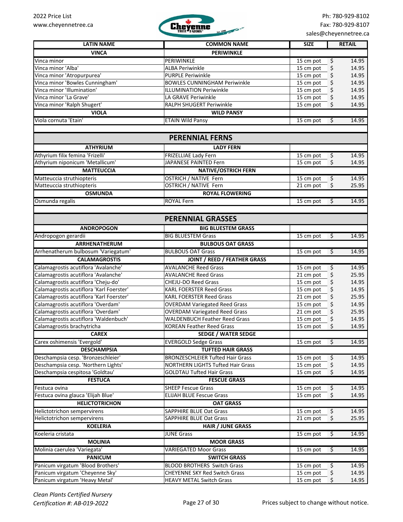

Ph: 780-929-8102 Fax: 780-929-8107 sales@cheyennetree.ca

| <b>LATIN NAME</b>                        | <b>COMMON NAME</b>                       | <b>SIZE</b>            | <b>RETAIL</b>                    |
|------------------------------------------|------------------------------------------|------------------------|----------------------------------|
| <b>VINCA</b>                             | <b>PERIWINKLE</b>                        |                        |                                  |
| Vinca minor                              | PERIWINKLE                               |                        | 14.95                            |
| Vinca minor 'Alba'                       | <b>ALBA Periwinkle</b>                   | 15 cm pot              | \$<br>14.95                      |
| Vinca minor 'Atropurpurea'               | <b>PURPLE Periwinkle</b>                 | 15 cm pot<br>15 cm pot | \$<br>\$<br>14.95                |
| Vinca minor 'Bowles Cunningham'          | <b>BOWLES CUNNINGHAM Periwinkle</b>      | 15 cm pot              | \$<br>14.95                      |
| Vinca minor 'Illumination'               | <b>ILLUMINATION Periwinkle</b>           | 15 cm pot              | \$<br>14.95                      |
| Vinca minor 'La Grave'                   | LA GRAVE Periwinkle                      | 15 cm pot              | \$<br>14.95                      |
| Vinca minor 'Ralph Shugert'              | RALPH SHUGERT Periwinkle                 | 15 cm pot              | \$<br>14.95                      |
| <b>VIOLA</b>                             | <b>WILD PANSY</b>                        |                        |                                  |
| Viola cornuta 'Etain'                    | <b>ETAIN Wild Pansy</b>                  | 15 cm pot              | \$<br>14.95                      |
|                                          |                                          |                        |                                  |
|                                          | <b>PERENNIAL FERNS</b>                   |                        |                                  |
| <b>ATHYRIUM</b>                          | <b>LADY FERN</b>                         |                        |                                  |
| Athyrium filix femina 'Frizelli'         | FRIZELLIAE Lady Fern                     | 15 cm pot              | \$<br>14.95                      |
| Athyrium niponicum 'Metallicum'          | JAPANESE PAINTED Fern                    | 15 cm pot              | \$<br>14.95                      |
| <b>MATTEUCCIA</b>                        | <b>NATIVE/OSTRICH FERN</b>               |                        |                                  |
| Matteuccia struthiopteris                | <b>OSTRICH / NATIVE Fern</b>             | 15 cm pot              | \$<br>14.95                      |
| Matteuccia struthiopteris                | <b>OSTRICH / NATIVE Fern</b>             | 21 cm pot              | \$<br>25.95                      |
| <b>OSMUNDA</b>                           | <b>ROYAL FLOWERING</b>                   |                        |                                  |
| Osmunda regalis                          | <b>ROYAL Fern</b>                        | 15 cm pot              | $\ddot{\mathsf{S}}$<br>14.95     |
|                                          |                                          |                        |                                  |
|                                          | <b>PERENNIAL GRASSES</b>                 |                        |                                  |
| <b>ANDROPOGON</b>                        | <b>BIG BLUESTEM GRASS</b>                |                        |                                  |
| Andropogon gerardii                      | <b>BIG BLUESTEM Grass</b>                | 15 cm pot              | $\varsigma$<br>14.95             |
| ARRHENATHERUM                            | <b>BULBOUS OAT GRASS</b>                 |                        |                                  |
| Arrhenatherum bulbosum 'Variegatum'      | <b>BULBOUS OAT Grass</b>                 | 15 cm pot              | \$<br>14.95                      |
| <b>CALAMAGROSTIS</b>                     | <b>JOINT / REED / FEATHER GRASS</b>      |                        |                                  |
| Calamagrostis acutiflora 'Avalanche'     | <b>AVALANCHE Reed Grass</b>              | 15 cm pot              | \$<br>14.95                      |
| Calamagrostis acutiflora 'Avalanche'     | <b>AVALANCHE Reed Grass</b>              | 21 cm pot              | \$<br>25.95                      |
| Calamagrostis acutiflora 'Cheju-do'      | <b>CHEJU-DO Reed Grass</b>               | 15 cm pot              | \$<br>14.95                      |
| Calamagrostis acutiflora 'Karl Foerster' | <b>KARL FOERSTER Reed Grass</b>          | 15 cm pot              | \$<br>14.95                      |
| Calamagrostis acutiflora 'Karl Foerster' | <b>KARL FOERSTER Reed Grass</b>          | 21 cm pot              | \$<br>25.95                      |
| Calamagrostis acutiflora 'Overdam'       | <b>OVERDAM Variegated Reed Grass</b>     | 15 cm pot              | \$<br>14.95                      |
| Calamagrostis acutiflora 'Overdam'       | <b>OVERDAM Variegated Reed Grass</b>     | 21 cm pot              | \$<br>25.95                      |
| Calamagrostis acutiflora 'Waldenbuch'    | <b>WALDENBUCH Feather Reed Grass</b>     | 15 cm pot              | \$<br>14.95                      |
| Calamagrostis brachytricha               | <b>KOREAN Feather Reed Grass</b>         | 15 cm pot              | \$<br>14.95                      |
| <b>CAREX</b>                             | <b>SEDGE / WATER SEDGE</b>               |                        |                                  |
| Carex oshimensis 'Evergold'              | <b>EVERGOLD Sedge Grass</b>              | 15 cm pot              | \$<br>14.95                      |
| <b>DESCHAMPSIA</b>                       | <b>TUFTED HAIR GRASS</b>                 |                        |                                  |
| Deschampsia cesp. 'Bronzeschleier'       | <b>BRONZESCHLEIER Tufted Hair Grass</b>  | 15 cm pot              | 14.95<br>\$                      |
| Deschampsia cesp. 'Northern Lights'      | <b>NORTHERN LIGHTS Tufted Hair Grass</b> | 15 cm pot              | \$<br>14.95                      |
| Deschampsia cespitosa 'Goldtau'          | <b>GOLDTAU Tufted Hair Grass</b>         | 15 cm pot              | 14.95<br>\$                      |
| <b>FESTUCA</b>                           | <b>FESCUE GRASS</b>                      |                        |                                  |
| Festuca ovina                            | <b>SHEEP Fescue Grass</b>                | 15 cm pot              | \$<br>14.95                      |
| Festuca ovina glauca 'Elijah Blue'       | <b>ELIJAH BLUE Fescue Grass</b>          | 15 cm pot              | \$<br>14.95                      |
| <b>HELICTOTRICHON</b>                    | <b>OAT GRASS</b>                         |                        |                                  |
| Helictotrichon sempervirens              | SAPPHIRE BLUE Oat Grass                  | 15 cm pot              | $\varsigma$<br>14.95             |
| Helictotrichon sempervirens              | SAPPHIRE BLUE Oat Grass                  | 21 cm pot              | \$<br>25.95                      |
| <b>KOELERIA</b>                          | <b>HAIR / JUNE GRASS</b>                 |                        |                                  |
| Koeleria cristata                        | <b>JUNE Grass</b>                        | 15 cm pot              | $\overline{\mathbf{v}}$<br>14.95 |
| <b>MOLINIA</b>                           | <b>MOOR GRASS</b>                        |                        |                                  |
| Molinia caerulea 'Variegata'             | <b>VARIEGATED Moor Grass</b>             | 15 cm pot              | $\ddot{\varsigma}$<br>14.95      |
| <b>PANICUM</b>                           | <b>SWITCH GRASS</b>                      |                        |                                  |
| Panicum virgatum 'Blood Brothers'        | BLOOD BROTHERS Switch Grass              | 15 cm pot              | 14.95<br>\$                      |
| Panicum virgatum 'Cheyenne Sky'          | <b>CHEYENNE SKY Red Switch Grass</b>     | 15 cm pot              | \$<br>14.95                      |
| Panicum virgatum 'Heavy Metal'           | <b>HEAVY METAL Switch Grass</b>          | 15 cm pot              | \$<br>14.95                      |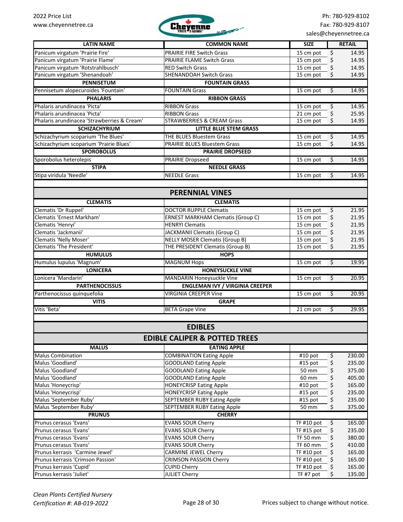

|                                             |                                          |                         |                  | 38.2          |
|---------------------------------------------|------------------------------------------|-------------------------|------------------|---------------|
| <b>LATIN NAME</b>                           | <b>COMMON NAME</b>                       | <b>SIZE</b>             |                  | <b>RETAIL</b> |
| Panicum virgatum 'Prairie Fire'             | <b>PRAIRIE FIRE Switch Grass</b>         | 15 cm pot               | \$               | 14.95         |
| Panicum virgatum 'Prairie Flame'            | <b>PRAIRIE FLAME Switch Grass</b>        | 15 cm pot               | \$               | 14.95         |
| Panicum virgatum 'Rotstrahlbusch'           | <b>RED Switch Grass</b>                  | 15 cm pot               | \$               | 14.95         |
| Panicum virgatum 'Shenandoah'               | SHENANDOAH Switch Grass                  | 15 cm pot               | \$               | 14.95         |
| <b>PENNISETUM</b>                           | <b>FOUNTAIN GRASS</b>                    |                         |                  |               |
| Pennisetum alopecuroides 'Fountain'         | <b>FOUNTAIN Grass</b>                    | 15 cm pot               | \$               | 14.95         |
| <b>PHALARIS</b>                             | <b>RIBBON GRASS</b>                      |                         |                  |               |
| Phalaris arundinacea 'Picta'                | <b>RIBBON Grass</b>                      | 15 cm pot               | \$               | 14.95         |
| Phalaris arundinacea 'Picta'                | <b>RIBBON Grass</b>                      | $\overline{2}$ 1 cm pot | \$               | 25.95         |
| Phalaris arundinacea 'Strawberries & Cream' | <b>STRAWBERRIES &amp; CREAM Grass</b>    | $15 \text{ cm}$ pot     | \$               | 14.95         |
| <b>SCHIZACHYRIUM</b>                        | <b>LITTLE BLUE STEM GRASS</b>            |                         |                  |               |
| Schizachyrium scoparium 'The Blues'         | THE BLUES Bluestem Grass                 | 15 cm pot               | \$               | 14.95         |
| Schizachyrium scoparium 'Prairie Blues'     | PRAIRIE BLUES Bluestem Grass             | 15 cm pot               | \$               | 14.95         |
| <b>SPOROBOLUS</b>                           | <b>PRAIRIE DROPSEED</b>                  |                         |                  |               |
| Sporobolus heterolepis                      | <b>PRAIRIE Dropseed</b>                  | 15 cm pot               | \$               | 14.95         |
| <b>STIPA</b>                                | <b>NEEDLE GRASS</b>                      |                         |                  |               |
| Stipa viridula 'Needle'                     | <b>NEEDLE Grass</b>                      | 15 cm pot               | \$               | 14.95         |
|                                             |                                          |                         |                  |               |
|                                             | <b>PERENNIAL VINES</b>                   |                         |                  |               |
|                                             |                                          |                         |                  |               |
| <b>CLEMATIS</b>                             | <b>CLEMATIS</b>                          |                         |                  |               |
| Clematis 'Dr Ruppel'                        | <b>DOCTOR RUPPLE Clematis</b>            | 15 cm pot               | \$               | 21.95         |
| Clematis 'Ernest Markham'                   | <b>ERNEST MARKHAM Clematis (Group C)</b> | 15 cm pot               | \$               | 21.95         |
| Clematis 'Henryi'                           | <b>HENRYI Clematis</b>                   | 15 cm pot               | \$               | 21.95         |
| Clematis 'Jackmanii'                        | <b>JACKMANII Clematis (Group C)</b>      | 15 cm pot               | \$               | 21.95         |
| Clematis 'Nelly Moser'                      | <b>NELLY MOSER Clematis (Group B)</b>    | 15 cm pot               | \$               | 21.95         |
| <b>Clematis 'The President'</b>             | THE PRESIDENT Clematis (Group B)         | 15 cm pot               | \$               | 21.95         |
| <b>HUMULUS</b>                              | <b>HOPS</b>                              |                         |                  |               |
| Humulus lupulus 'Magnum'                    | <b>MAGNUM Hops</b>                       | 15 cm pot               | $\overline{\xi}$ | 19.95         |
| <b>LONICERA</b>                             | <b>HONEYSUCKLE VINE</b>                  |                         |                  |               |
| Lonicera 'Mandarin'                         | MANDARIN Honeysuckle Vine                | 15 cm pot               | \$               | 20.95         |
| <b>PARTHENOCISSUS</b>                       | <b>ENGLEMAN IVY / VIRGINIA CREEPER</b>   |                         |                  |               |
| Parthenocissus quinquefolia                 | <b>VIRGINIA CREEPER Vine</b>             | 15 cm pot               | \$               | 20.95         |
| <b>VITIS</b>                                | <b>GRAPE</b>                             |                         |                  |               |
| Vitis 'Beta'                                | <b>BETA Grape Vine</b>                   | 21 cm pot               | $\varsigma$      | 29.95         |
|                                             |                                          |                         |                  |               |
|                                             | <b>EDIBLES</b>                           |                         |                  |               |
|                                             | <b>EDIBLE CALIPER &amp; POTTED TREES</b> |                         |                  |               |
|                                             |                                          |                         |                  |               |
| <b>MALUS</b>                                | <b>EATING APPLE</b>                      |                         |                  |               |
| <b>Malus Combination</b>                    | <b>COMBINATION Eating Apple</b>          | #10 pot                 | \$               | 230.00        |
| Malus 'Goodland'                            | <b>GOODLAND Eating Apple</b>             | #15 pot                 | \$               | 235.00        |
| Malus 'Goodland'                            | <b>GOODLAND Eating Apple</b>             | 50 mm                   | \$               | 375.00        |
| Malus 'Goodland'                            | <b>GOODLAND Eating Apple</b>             | 60 mm                   | \$               | 405.00        |
| Malus 'Honeycrisp'                          | <b>HONEYCRISP Eating Apple</b>           | #10 pot                 | \$               | 165.00        |
| Malus 'Honeycrisp'                          | <b>HONEYCRISP Eating Apple</b>           | #15 pot                 | \$               | 235.00        |
| Malus 'September Ruby'                      | <b>SEPTEMBER RUBY Eating Apple</b>       | #15 pot                 | \$               | 235.00        |
| Malus 'September Ruby'                      | SEPTEMBER RUBY Eating Apple              | 50 mm                   | \$               | 375.00        |
| <b>PRUNUS</b>                               | <b>CHERRY</b>                            |                         |                  |               |
| Prunus cerasus 'Evans'                      | <b>EVANS SOUR Cherry</b>                 | <b>TF #10 pot</b>       | \$               | 165.00        |
| Prunus cerasus 'Evans'                      | <b>EVANS SOUR Cherry</b>                 | TF #15 pot              | \$               | 235.00        |
| Prunus cerasus 'Evans'                      | <b>EVANS SOUR Cherry</b>                 | TF 50 mm                | \$               | 380.00        |
| Prunus cerasus 'Evans'                      | <b>EVANS SOUR Cherry</b>                 | TF 60 mm                | \$               | 410.00        |
| Prunus kerrasis 'Carmine Jewel'             | <b>CARMINE JEWEL Cherry</b>              | TF #10 pot              | \$               | 165.00        |
| Prunus kerrasis 'Crimson Passion'           | <b>CRIMSON PASSION Cherry</b>            | TF #10 pot              | \$               | 165.00        |
| Prunus kerrasis 'Cupid'                     | <b>CUPID Cherry</b>                      | TF #10 pot              | \$               | 165.00        |
| Prunus kerrasis 'Juliet'                    | <b>JULIET Cherry</b>                     | TF #7 pot               | \$               | 135.00        |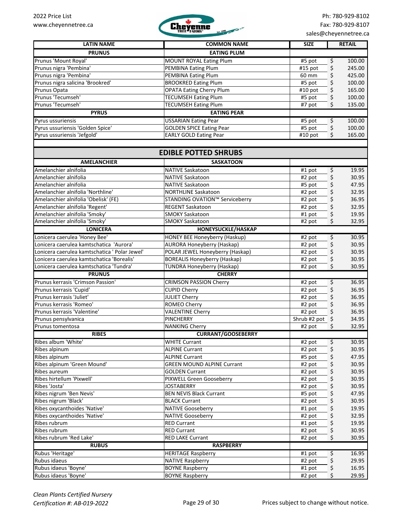

| <b>LATIN NAME</b>                                | <b>COMMON NAME</b>                                  | <b>SIZE</b>               | <b>RETAIL</b> |
|--------------------------------------------------|-----------------------------------------------------|---------------------------|---------------|
| <b>PRUNUS</b>                                    | <b>EATING PLUM</b>                                  |                           |               |
| Prunus 'Mount Royal'                             | <b>MOUNT ROYAL Eating Plum</b>                      | \$<br>#5 pot              | 100.00        |
| Prunus nigra 'Pembina'                           | PEMBINA Eating Plum                                 | \$<br>#15 pot             | 245.00        |
| Prunus nigra 'Pembina'                           | <b>PEMBINA Eating Plum</b>                          | \$<br>60 mm               | 425.00        |
| Prunus nigra salicina 'Brookred'                 | <b>BROOKRED Eating Plum</b>                         | \$<br>#5 pot              | 100.00        |
| Prunus Opata                                     | <b>OPATA Eating Cherry Plum</b>                     | \$<br>#10 pot             | 165.00        |
| Prunus 'Tecumseh'                                | <b>TECUMSEH Eating Plum</b>                         | \$<br>#5 pot              | 100.00        |
| Prunus 'Tecumseh'                                | <b>TECUMSEH Eating Plum</b>                         | #7 pot<br>\$              | 135.00        |
| <b>PYRUS</b>                                     | <b>EATING PEAR</b>                                  |                           |               |
| Pyrus ussuriensis                                | <b>USSARIAN Eating Pear</b>                         | \$<br>#5 pot              | 100.00        |
| Pyrus ussuriensis 'Golden Spice'                 | <b>GOLDEN SPICE Eating Pear</b>                     | #5 pot<br>\$              | 100.00        |
| Pyrus ussuriensis 'Jefgold'                      | <b>EARLY GOLD Eating Pear</b>                       | #10 pot<br>\$             | 165.00        |
|                                                  |                                                     |                           |               |
|                                                  | <b>EDIBLE POTTED SHRUBS</b>                         |                           |               |
| <b>AMELANCHIER</b>                               | <b>SASKATOON</b>                                    |                           |               |
| Amelanchier alnifolia                            | <b>NATIVE Saskatoon</b>                             | \$<br>$#1$ pot            | 19.95         |
| Amelanchier alnifolia                            | <b>NATIVE Saskatoon</b>                             | \$<br>#2 pot              | 30.95         |
| Amelanchier alnifolia                            | <b>NATIVE Saskatoon</b>                             | \$<br>#5 pot              | 47.95         |
| Amelanchier alnifolia 'Northline'                | <b>NORTHLINE Saskatoon</b>                          | \$<br>#2 pot              | 32.95         |
| Amelanchier alnifolia 'Obelisk' (FE)             | STANDING OVATION™ Serviceberry                      | \$<br>#2 pot              | 36.95         |
| Amelanchier alnifolia 'Regent'                   | <b>REGENT Saskatoon</b>                             | \$<br>#2 pot              | 32.95         |
| Amelanchier alnifolia 'Smoky'                    | <b>SMOKY Saskatoon</b>                              | \$<br>#1 pot              | 19.95         |
| Amelanchier alnifolia 'Smoky'                    | <b>SMOKY Saskatoon</b>                              | \$<br>#2 pot              | 32.95         |
| <b>LONICERA</b>                                  | HONEYSUCKLE/HASKAP                                  |                           |               |
| Lonicera caerulea 'Honey Bee'                    | <b>HONEY BEE Honeyberry (Haskup)</b>                | \$<br>#2 pot              | 30.95         |
| Lonicera caerulea kamtschatica 'Aurora'          | <b>AURORA Honeyberry (Haskap)</b>                   | \$<br>#2 pot              | 30.95         |
| Lonicera caerulea kamtschatica ' Polar Jewel'    | POLAR JEWEL Honeyberry (Haskap)                     | \$<br>#2 pot              | 30.95         |
| Lonicera caerulea kamtschatica 'Borealis'        | <b>BOREALIS Honeyberry (Haskap)</b>                 | \$<br>#2 pot              | 30.95         |
| Lonicera caerulea kamtschatica 'Tundra'          | <b>TUNDRA Honeyberry (Haskap)</b>                   | \$<br>#2 pot              | 30.95         |
| <b>PRUNUS</b>                                    | <b>CHERRY</b>                                       |                           |               |
| Prunus kerrasis 'Crimson Passion'                | <b>CRIMSON PASSION Cherry</b>                       | \$<br>$\overline{42}$ pot | 36.95         |
| Prunus kerrasis 'Cupid'                          | <b>CUPID Cherry</b>                                 | \$<br>#2 pot              | 36.95         |
| Prunus kerrasis 'Juliet'                         | <b>JULIET Cherry</b>                                | \$<br>#2 pot              | 36.95         |
| Prunus kerrasis 'Romeo'                          | <b>ROMEO Cherry</b>                                 | \$<br>#2 pot              | 36.95         |
| Prunus kerrasis 'Valentine'                      | <b>VALENTINE Cherry</b>                             | \$<br>#2 pot              | 36.95         |
| Prunus pensylvanica                              | PINCHERRY                                           | \$<br>Shrub #2 pot        | 34.95         |
| Prunus tomentosa                                 | <b>NANKING Cherry</b>                               | \$<br>#2 pot              | 32.95         |
| <b>RIBES</b>                                     | <b>CURRANT/GOOSEBERRY</b>                           |                           |               |
| Ribes album 'White'                              | <b>WHITE Currant</b>                                | \$<br>#2 pot              | 30.95         |
| Ribes alpinum                                    | <b>ALPINE Currant</b>                               | \$<br>#2 pot              | 30.95         |
| Ribes alpinum                                    | <b>ALPINE Currant</b>                               | \$<br>#5 pot              | 47.95         |
| Ribes alpinum 'Green Mound'                      | <b>GREEN MOUND ALPINE Currant</b>                   | \$<br>#2 pot              | 30.95         |
| <b>Ribes aureum</b>                              | <b>GOLDEN Currant</b>                               | \$<br>#2 pot              | 30.95         |
|                                                  |                                                     |                           |               |
| Ribes hirtellum 'Pixwell'                        | PIXWELL Green Gooseberry                            | \$<br>#2 pot              | 30.95         |
| Ribes 'Josta'                                    | <b>JOSTABERRY</b><br><b>BEN NEVIS Black Currant</b> | \$<br>#2 pot              | 30.95         |
| Ribes nigrum 'Ben Nevis'<br>Ribes nigrum 'Black' |                                                     | \$<br>#5 pot              | 47.95         |
|                                                  | <b>BLACK Currant</b>                                | \$<br>#2 pot              | 30.95         |
| Ribes oxycanthoides 'Native'                     | <b>NATIVE Gooseberry</b>                            | \$<br>#1 pot              | 19.95         |
| Ribes oxycanthoides 'Native'                     | <b>NATIVE Gooseberry</b>                            | \$<br>#2 pot              | 32.95         |
| Ribes rubrum                                     | <b>RED Currant</b>                                  | \$<br>#1 pot              | 19.95         |
| Ribes rubrum                                     | <b>RED Currant</b>                                  | \$<br>#2 pot              | 30.95         |
| Ribes rubrum 'Red Lake'                          | <b>RED LAKE Currant</b>                             | \$<br>#2 pot              | 30.95         |
| <b>RUBUS</b>                                     | <b>RASPBERRY</b>                                    |                           |               |
| Rubus 'Heritage'                                 | <b>HERITAGE Raspberry</b>                           | \$<br>#1 pot              | 16.95         |
| Rubus idaeus                                     | <b>NATIVE Raspberry</b>                             | \$<br>#2 pot              | 29.95         |
| Rubus idaeus 'Boyne'                             | <b>BOYNE Raspberry</b>                              | \$<br>#1 pot              | 16.95         |
| Rubus idaeus 'Boyne'                             | <b>BOYNE Raspberry</b>                              | \$<br>#2 pot              | 29.95         |